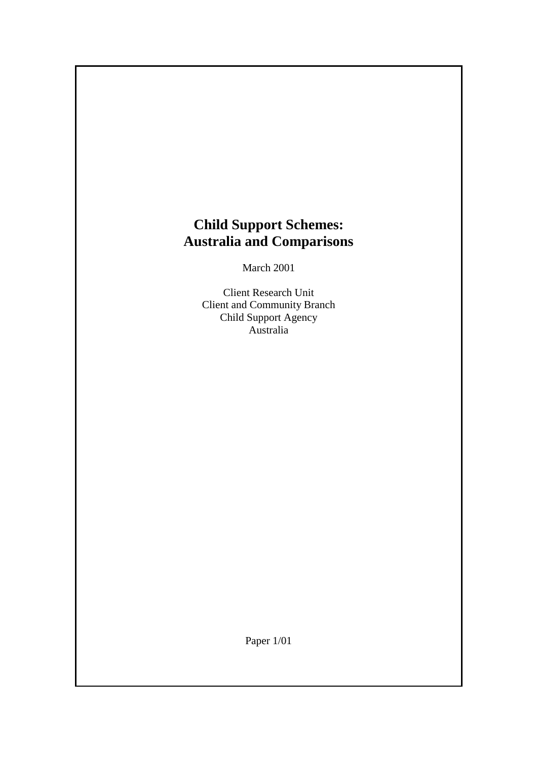# **Child Support Schemes: Australia and Comparisons**

March 2001

Client Research Unit Client and Community Branch Child Support Agency Australia

Paper 1/01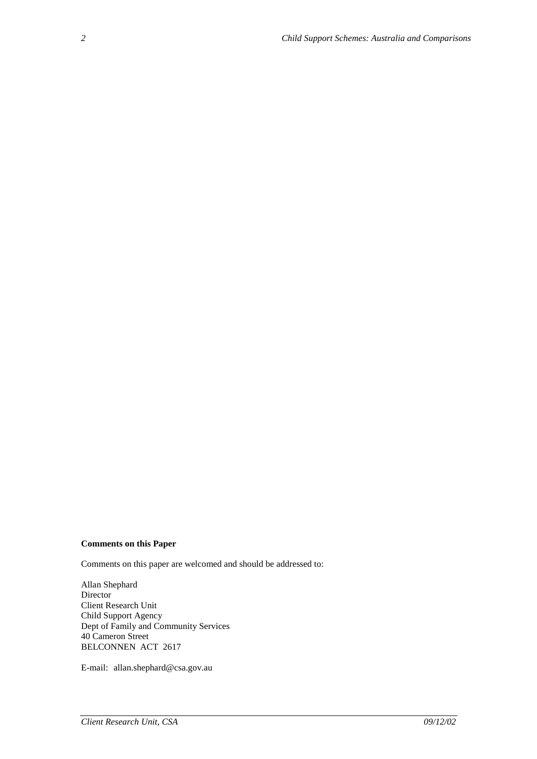#### **Comments on this Paper**

Comments on this paper are welcomed and should be addressed to:

Allan Shephard Director Client Research Unit Child Support Agency Dept of Family and Community Services 40 Cameron Street BELCONNEN ACT 2617

E-mail: allan.shephard@csa.gov.au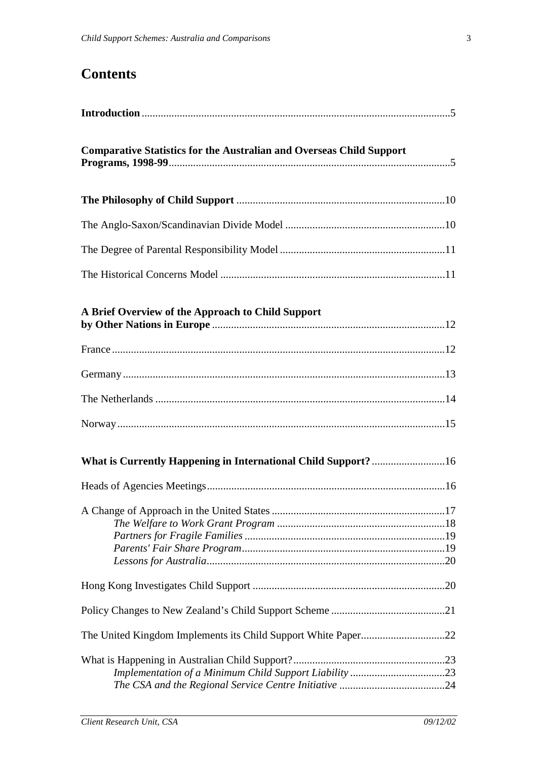# **Contents**

| <b>Comparative Statistics for the Australian and Overseas Child Support</b> |
|-----------------------------------------------------------------------------|
|                                                                             |
|                                                                             |
|                                                                             |
|                                                                             |
| A Brief Overview of the Approach to Child Support                           |
|                                                                             |
|                                                                             |
|                                                                             |
|                                                                             |
|                                                                             |
|                                                                             |
|                                                                             |
|                                                                             |
|                                                                             |
|                                                                             |
|                                                                             |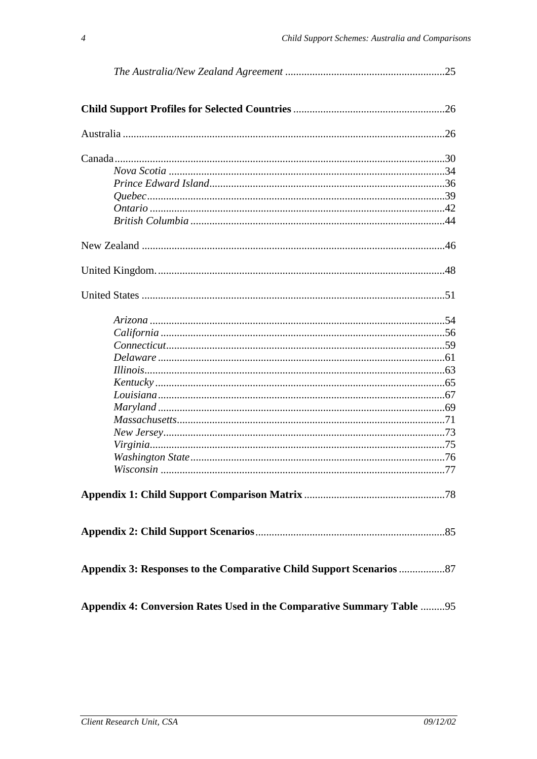| Appendix 4: Conversion Rates Used in the Comparative Summary Table  95 |  |
|------------------------------------------------------------------------|--|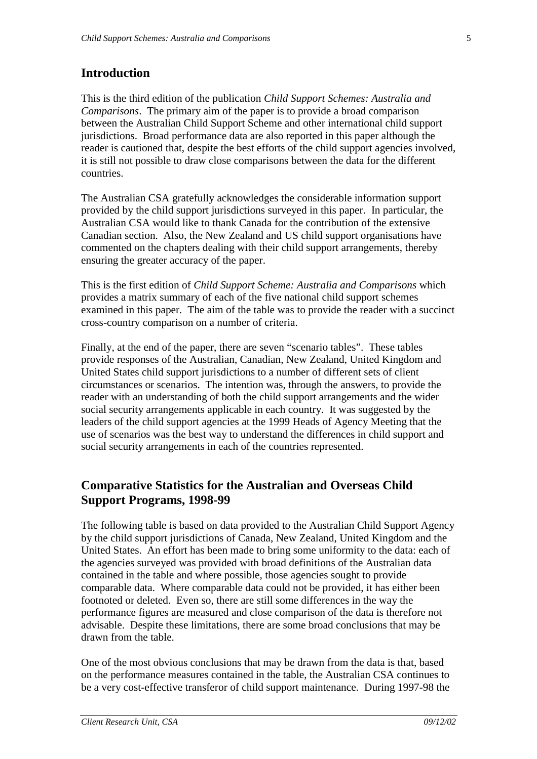### **Introduction**

This is the third edition of the publication *Child Support Schemes: Australia and Comparisons*. The primary aim of the paper is to provide a broad comparison between the Australian Child Support Scheme and other international child support jurisdictions. Broad performance data are also reported in this paper although the reader is cautioned that, despite the best efforts of the child support agencies involved, it is still not possible to draw close comparisons between the data for the different countries.

The Australian CSA gratefully acknowledges the considerable information support provided by the child support jurisdictions surveyed in this paper. In particular, the Australian CSA would like to thank Canada for the contribution of the extensive Canadian section. Also, the New Zealand and US child support organisations have commented on the chapters dealing with their child support arrangements, thereby ensuring the greater accuracy of the paper.

This is the first edition of *Child Support Scheme: Australia and Comparisons* which provides a matrix summary of each of the five national child support schemes examined in this paper. The aim of the table was to provide the reader with a succinct cross-country comparison on a number of criteria.

Finally, at the end of the paper, there are seven "scenario tables". These tables provide responses of the Australian, Canadian, New Zealand, United Kingdom and United States child support jurisdictions to a number of different sets of client circumstances or scenarios. The intention was, through the answers, to provide the reader with an understanding of both the child support arrangements and the wider social security arrangements applicable in each country. It was suggested by the leaders of the child support agencies at the 1999 Heads of Agency Meeting that the use of scenarios was the best way to understand the differences in child support and social security arrangements in each of the countries represented.

### **Comparative Statistics for the Australian and Overseas Child Support Programs, 1998-99**

The following table is based on data provided to the Australian Child Support Agency by the child support jurisdictions of Canada, New Zealand, United Kingdom and the United States. An effort has been made to bring some uniformity to the data: each of the agencies surveyed was provided with broad definitions of the Australian data contained in the table and where possible, those agencies sought to provide comparable data. Where comparable data could not be provided, it has either been footnoted or deleted. Even so, there are still some differences in the way the performance figures are measured and close comparison of the data is therefore not advisable. Despite these limitations, there are some broad conclusions that may be drawn from the table.

One of the most obvious conclusions that may be drawn from the data is that, based on the performance measures contained in the table, the Australian CSA continues to be a very cost-effective transferor of child support maintenance. During 1997-98 the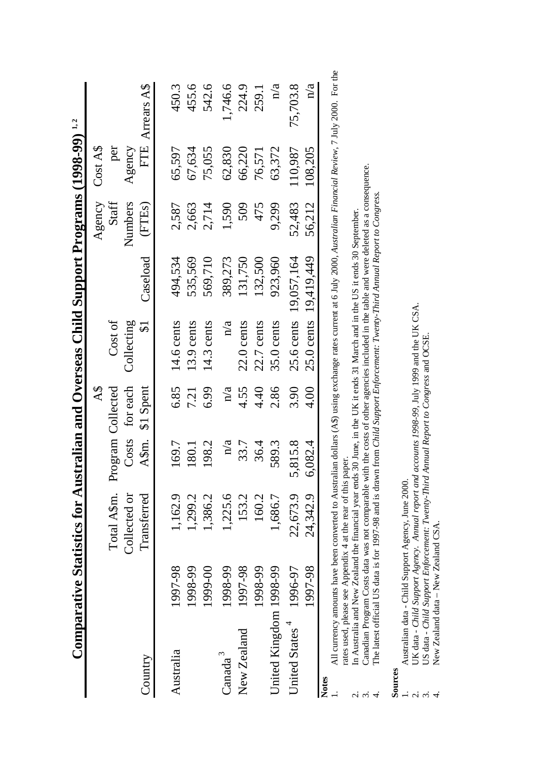| Total A\$m.<br>Collected or<br>1,162.9<br>Transferred<br>1,299.2<br>1,225.6<br>1,386.2<br>1997-98<br>1999-00<br>1997-98<br>1998-99<br>1998-99<br>New Zealand<br>Australia<br>Canada $^3$<br>Country | 169.7<br>180.1 | Costs for each<br>6.85<br>Program Collected<br>A\$m. \$1 Spent | Cost of<br>Collecting<br>$\mathfrak{I}$ |            |         | Cost A\$ |                 |
|-----------------------------------------------------------------------------------------------------------------------------------------------------------------------------------------------------|----------------|----------------------------------------------------------------|-----------------------------------------|------------|---------|----------|-----------------|
|                                                                                                                                                                                                     |                |                                                                |                                         |            | Staff   | per      |                 |
|                                                                                                                                                                                                     |                |                                                                |                                         |            | Numbers | Agency   |                 |
|                                                                                                                                                                                                     |                |                                                                |                                         | Caseload   | (FTEs)  |          | FTE Arrears A\$ |
|                                                                                                                                                                                                     |                |                                                                |                                         |            |         |          |                 |
|                                                                                                                                                                                                     |                |                                                                | 14.6 cents                              | 494,534    | 2,587   | 65,597   | 450.3           |
|                                                                                                                                                                                                     |                | 721                                                            | $13.9$ cents                            | 535,569    | 2,663   | 67,634   | 455.6           |
|                                                                                                                                                                                                     | 198.2          | 6.99                                                           | $14.3$ cents                            | 569,710    | 2,714   | 75,055   | 542.6           |
|                                                                                                                                                                                                     |                | n/a<br>n/a                                                     | n/a                                     | 389,273    | 1,590   | 62,830   | 1,746.6         |
|                                                                                                                                                                                                     | 153.2          | 4.55<br>33.7                                                   | $22.0$ cents                            | 131,750    | 509     | 66,220   | 224.9           |
| 1998-99                                                                                                                                                                                             | 160.2          | 4.40<br>36.4                                                   | $22.7$ cents                            | 132,500    | 475     | 76,571   | 259.1           |
| 1,686.7<br>United Kingdom 1998-99                                                                                                                                                                   | 589.3          | 2.86                                                           | $35.0$ cents                            | 923,960    | 9,299   | 63,372   | n/a             |
| 22,673.9<br>1996-97<br>United States <sup>4</sup>                                                                                                                                                   | 5,815.8        | 3.90                                                           | $25.6$ cents                            | 19,057,164 | 52,483  | 110,987  | 75,703.8        |
| 24,342.9<br>1997-98                                                                                                                                                                                 | 6,082.4        | 4.00                                                           | $25.0$ cents                            | 19,419,449 | 56,212  | 108,205  | n/a             |

1. All currency amounts have been converted to Australian dollars (A\$) using exchange rates current at 6 July 2000, *Australian Financial Review*, 7 July 2000. For the All currency amounts have been converted to Australian dollars (AS) using exchange rates current at 6 July 2000, Australian Financial Review, 7 July 2000. For the rates used, please see Appendix 4 at the rear of this paper. rates used, please see Appendix 4 at the rear of this paper.

In Australia and New Zealand the financial year ends 30 June, in the UK it ends 31 March and in the US it ends 30 September. 2. In Australia and New Zealand the financial year ends 30 June, in the UK it ends 31 March and in the US it ends 30 September.

3. Canadian Program Costs data was not comparable with the costs of other agencies included in the table and were deleted as a consequence. Canadian Program Costs data was not comparable with the costs of other agencies included in the table and were deleted as a consequence.

The latest official US data is for 1997-98 and is drawn from Child Support Enforcement: Twenty-Third Annual Report to Congress. 4. The latest official US data is for 1997-98 and is drawn from *Child Support Enforcement: Twenty-Third Annual Report to Congress.*  $2.52$ 

**Sources** 

1. Australian data - Child Support Agency, June 2000. Australian data - Child Support Agency, June 2000.  $\alpha$   $\alpha$   $+$ 

2. UK data - *Child Support Agency. Annual report and accounts 1998-99*, July 1999 and the UK CSA. UK data - Child Support Agency. Annual report and accounts 1998-99, July 1999 and the UK CSA.

3. US data - *Child Support Enforcement: Twenty-Third Annual Report to Congress* and OCSE. US data - Child Support Enforcement: Twenty-Third Annual Report to Congress and OCSE.

New Zealand data - New Zealand CSA. 4. New Zealand data – New Zealand CSA.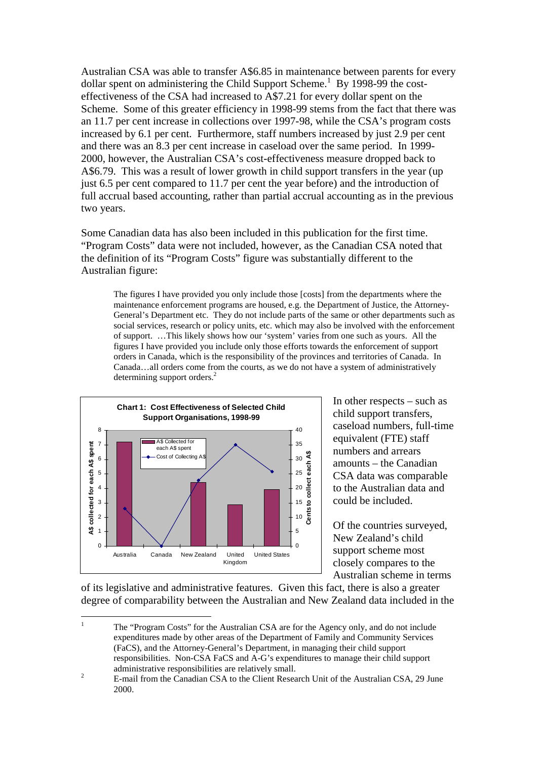Australian CSA was able to transfer A\$6.85 in maintenance between parents for every dollar spent on administering the Child Support Scheme.<sup>1</sup> By 1998-99 the costeffectiveness of the CSA had increased to A\$7.21 for every dollar spent on the Scheme. Some of this greater efficiency in 1998-99 stems from the fact that there was an 11.7 per cent increase in collections over 1997-98, while the CSA's program costs increased by 6.1 per cent. Furthermore, staff numbers increased by just 2.9 per cent and there was an 8.3 per cent increase in caseload over the same period. In 1999- 2000, however, the Australian CSA's cost-effectiveness measure dropped back to A\$6.79. This was a result of lower growth in child support transfers in the year (up just 6.5 per cent compared to 11.7 per cent the year before) and the introduction of full accrual based accounting, rather than partial accrual accounting as in the previous two years.

Some Canadian data has also been included in this publication for the first time. "Program Costs" data were not included, however, as the Canadian CSA noted that the definition of its "Program Costs" figure was substantially different to the Australian figure:

The figures I have provided you only include those [costs] from the departments where the maintenance enforcement programs are housed, e.g. the Department of Justice, the Attorney-General's Department etc. They do not include parts of the same or other departments such as social services, research or policy units, etc. which may also be involved with the enforcement of support. …This likely shows how our 'system' varies from one such as yours. All the figures I have provided you include only those efforts towards the enforcement of support orders in Canada, which is the responsibility of the provinces and territories of Canada. In Canada…all orders come from the courts, as we do not have a system of administratively determining support orders.<sup>2</sup>



In other respects – such as child support transfers, caseload numbers, full-time equivalent (FTE) staff numbers and arrears amounts – the Canadian CSA data was comparable to the Australian data and could be included.

Of the countries surveyed, New Zealand's child support scheme most closely compares to the Australian scheme in terms

of its legislative and administrative features. Given this fact, there is also a greater degree of comparability between the Australian and New Zealand data included in the

1 The "Program Costs" for the Australian CSA are for the Agency only, and do not include expenditures made by other areas of the Department of Family and Community Services (FaCS), and the Attorney-General's Department, in managing their child support responsibilities. Non-CSA FaCS and A-G's expenditures to manage their child support administrative responsibilities are relatively small. 2

E-mail from the Canadian CSA to the Client Research Unit of the Australian CSA, 29 June 2000.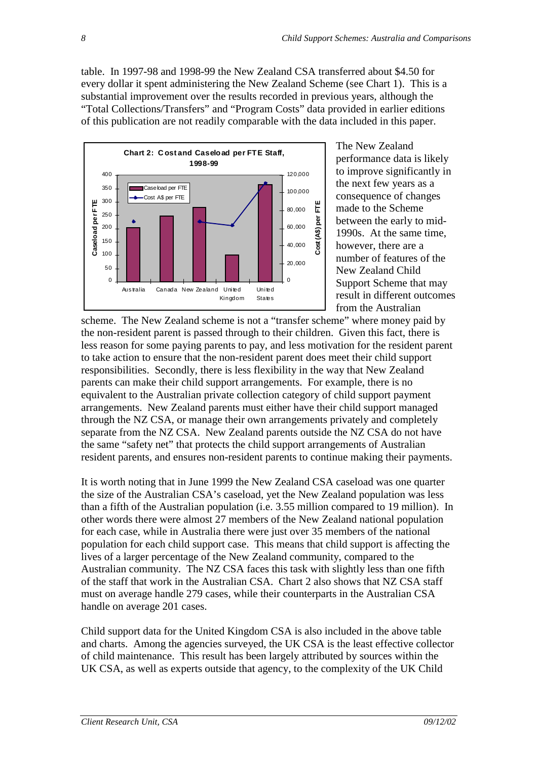table. In 1997-98 and 1998-99 the New Zealand CSA transferred about \$4.50 for every dollar it spent administering the New Zealand Scheme (see Chart 1). This is a substantial improvement over the results recorded in previous years, although the "Total Collections/Transfers" and "Program Costs" data provided in earlier editions of this publication are not readily comparable with the data included in this paper.



The New Zealand performance data is likely to improve significantly in the next few years as a consequence of changes made to the Scheme between the early to mid-1990s. At the same time, however, there are a number of features of the New Zealand Child Support Scheme that may result in different outcomes from the Australian

scheme. The New Zealand scheme is not a "transfer scheme" where money paid by the non-resident parent is passed through to their children. Given this fact, there is less reason for some paying parents to pay, and less motivation for the resident parent to take action to ensure that the non-resident parent does meet their child support responsibilities. Secondly, there is less flexibility in the way that New Zealand parents can make their child support arrangements. For example, there is no equivalent to the Australian private collection category of child support payment arrangements. New Zealand parents must either have their child support managed through the NZ CSA, or manage their own arrangements privately and completely separate from the NZ CSA. New Zealand parents outside the NZ CSA do not have the same "safety net" that protects the child support arrangements of Australian resident parents, and ensures non-resident parents to continue making their payments.

It is worth noting that in June 1999 the New Zealand CSA caseload was one quarter the size of the Australian CSA's caseload, yet the New Zealand population was less than a fifth of the Australian population (i.e. 3.55 million compared to 19 million). In other words there were almost 27 members of the New Zealand national population for each case, while in Australia there were just over 35 members of the national population for each child support case. This means that child support is affecting the lives of a larger percentage of the New Zealand community, compared to the Australian community. The NZ CSA faces this task with slightly less than one fifth of the staff that work in the Australian CSA. Chart 2 also shows that NZ CSA staff must on average handle 279 cases, while their counterparts in the Australian CSA handle on average 201 cases.

Child support data for the United Kingdom CSA is also included in the above table and charts. Among the agencies surveyed, the UK CSA is the least effective collector of child maintenance. This result has been largely attributed by sources within the UK CSA, as well as experts outside that agency, to the complexity of the UK Child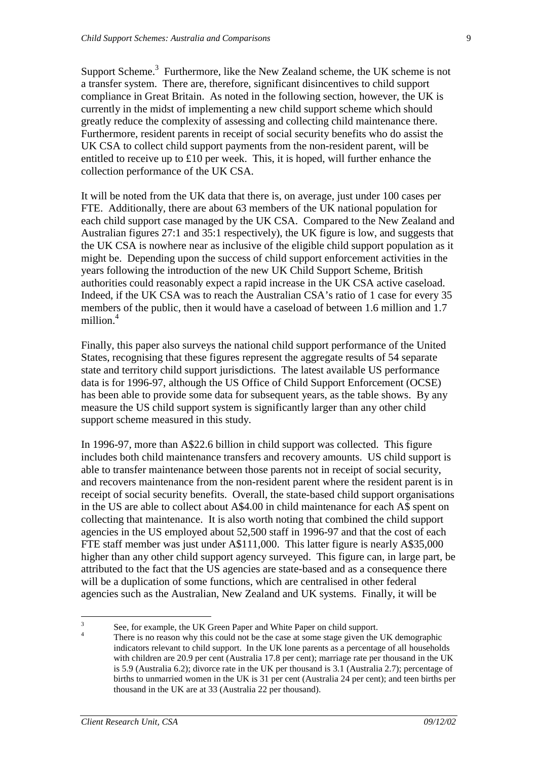Support Scheme. $3$  Furthermore, like the New Zealand scheme, the UK scheme is not a transfer system. There are, therefore, significant disincentives to child support compliance in Great Britain. As noted in the following section, however, the UK is currently in the midst of implementing a new child support scheme which should greatly reduce the complexity of assessing and collecting child maintenance there. Furthermore, resident parents in receipt of social security benefits who do assist the UK CSA to collect child support payments from the non-resident parent, will be entitled to receive up to £10 per week. This, it is hoped, will further enhance the collection performance of the UK CSA.

It will be noted from the UK data that there is, on average, just under 100 cases per FTE. Additionally, there are about 63 members of the UK national population for each child support case managed by the UK CSA. Compared to the New Zealand and Australian figures 27:1 and 35:1 respectively), the UK figure is low, and suggests that the UK CSA is nowhere near as inclusive of the eligible child support population as it might be. Depending upon the success of child support enforcement activities in the years following the introduction of the new UK Child Support Scheme, British authorities could reasonably expect a rapid increase in the UK CSA active caseload. Indeed, if the UK CSA was to reach the Australian CSA's ratio of 1 case for every 35 members of the public, then it would have a caseload of between 1.6 million and 1.7 million.<sup>4</sup>

Finally, this paper also surveys the national child support performance of the United States, recognising that these figures represent the aggregate results of 54 separate state and territory child support jurisdictions. The latest available US performance data is for 1996-97, although the US Office of Child Support Enforcement (OCSE) has been able to provide some data for subsequent years, as the table shows. By any measure the US child support system is significantly larger than any other child support scheme measured in this study.

In 1996-97, more than A\$22.6 billion in child support was collected. This figure includes both child maintenance transfers and recovery amounts. US child support is able to transfer maintenance between those parents not in receipt of social security, and recovers maintenance from the non-resident parent where the resident parent is in receipt of social security benefits. Overall, the state-based child support organisations in the US are able to collect about A\$4.00 in child maintenance for each A\$ spent on collecting that maintenance. It is also worth noting that combined the child support agencies in the US employed about 52,500 staff in 1996-97 and that the cost of each FTE staff member was just under A\$111,000. This latter figure is nearly A\$35,000 higher than any other child support agency surveyed. This figure can, in large part, be attributed to the fact that the US agencies are state-based and as a consequence there will be a duplication of some functions, which are centralised in other federal agencies such as the Australian, New Zealand and UK systems. Finally, it will be

<sup>3</sup> See, for example, the UK Green Paper and White Paper on child support. 4

There is no reason why this could not be the case at some stage given the UK demographic indicators relevant to child support. In the UK lone parents as a percentage of all households with children are 20.9 per cent (Australia 17.8 per cent); marriage rate per thousand in the UK is 5.9 (Australia 6.2); divorce rate in the UK per thousand is 3.1 (Australia 2.7); percentage of births to unmarried women in the UK is 31 per cent (Australia 24 per cent); and teen births per thousand in the UK are at 33 (Australia 22 per thousand).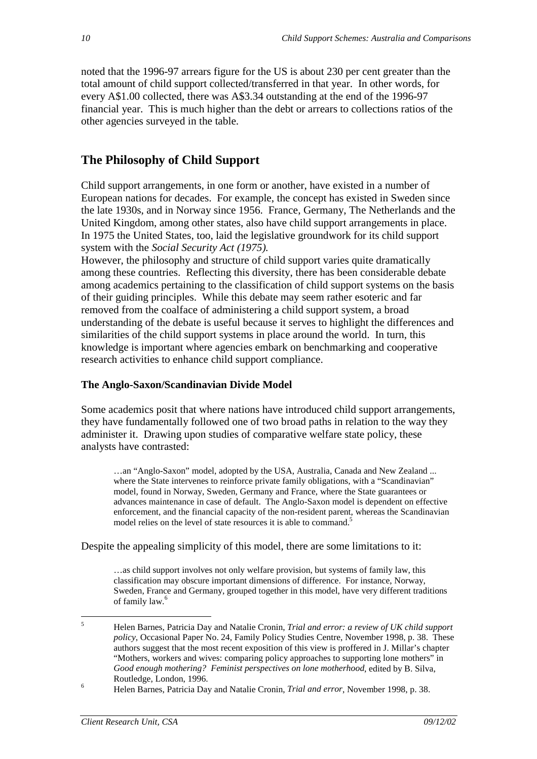noted that the 1996-97 arrears figure for the US is about 230 per cent greater than the total amount of child support collected/transferred in that year. In other words, for every A\$1.00 collected, there was A\$3.34 outstanding at the end of the 1996-97 financial year. This is much higher than the debt or arrears to collections ratios of the other agencies surveyed in the table.

## **The Philosophy of Child Support**

Child support arrangements, in one form or another, have existed in a number of European nations for decades. For example, the concept has existed in Sweden since the late 1930s, and in Norway since 1956. France, Germany, The Netherlands and the United Kingdom, among other states, also have child support arrangements in place. In 1975 the United States, too, laid the legislative groundwork for its child support system with the *Social Security Act (1975).*

However, the philosophy and structure of child support varies quite dramatically among these countries. Reflecting this diversity, there has been considerable debate among academics pertaining to the classification of child support systems on the basis of their guiding principles. While this debate may seem rather esoteric and far removed from the coalface of administering a child support system, a broad understanding of the debate is useful because it serves to highlight the differences and similarities of the child support systems in place around the world. In turn, this knowledge is important where agencies embark on benchmarking and cooperative research activities to enhance child support compliance.

### **The Anglo-Saxon/Scandinavian Divide Model**

Some academics posit that where nations have introduced child support arrangements, they have fundamentally followed one of two broad paths in relation to the way they administer it. Drawing upon studies of comparative welfare state policy, these analysts have contrasted:

…an "Anglo-Saxon" model, adopted by the USA, Australia, Canada and New Zealand ... where the State intervenes to reinforce private family obligations, with a "Scandinavian" model, found in Norway, Sweden, Germany and France, where the State guarantees or advances maintenance in case of default. The Anglo-Saxon model is dependent on effective enforcement, and the financial capacity of the non-resident parent, whereas the Scandinavian model relies on the level of state resources it is able to command.<sup>5</sup>

Despite the appealing simplicity of this model, there are some limitations to it:

…as child support involves not only welfare provision, but systems of family law, this classification may obscure important dimensions of difference. For instance, Norway, Sweden, France and Germany, grouped together in this model, have very different traditions of family law.<sup>6</sup>

<sup>5</sup> Helen Barnes, Patricia Day and Natalie Cronin, *Trial and error: a review of UK child support policy*, Occasional Paper No. 24, Family Policy Studies Centre, November 1998, p. 38. These authors suggest that the most recent exposition of this view is proffered in J. Millar's chapter "Mothers, workers and wives: comparing policy approaches to supporting lone mothers" in *Good enough mothering? Feminist perspectives on lone motherhood*, edited by B. Silva, Routledge, London, 1996.

<sup>6</sup> Helen Barnes, Patricia Day and Natalie Cronin, *Trial and error*, November 1998, p. 38.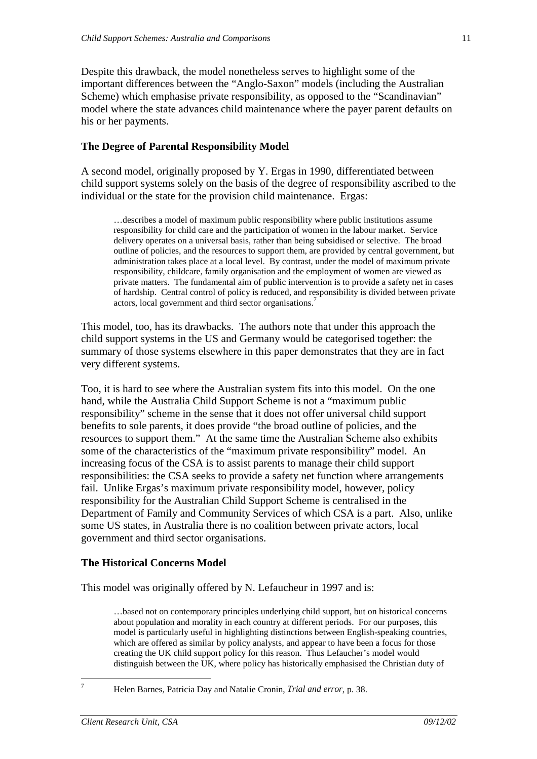Despite this drawback, the model nonetheless serves to highlight some of the important differences between the "Anglo-Saxon" models (including the Australian Scheme) which emphasise private responsibility, as opposed to the "Scandinavian" model where the state advances child maintenance where the payer parent defaults on his or her payments.

### **The Degree of Parental Responsibility Model**

A second model, originally proposed by Y. Ergas in 1990, differentiated between child support systems solely on the basis of the degree of responsibility ascribed to the individual or the state for the provision child maintenance. Ergas:

…describes a model of maximum public responsibility where public institutions assume responsibility for child care and the participation of women in the labour market. Service delivery operates on a universal basis, rather than being subsidised or selective. The broad outline of policies, and the resources to support them, are provided by central government, but administration takes place at a local level. By contrast, under the model of maximum private responsibility, childcare, family organisation and the employment of women are viewed as private matters. The fundamental aim of public intervention is to provide a safety net in cases of hardship. Central control of policy is reduced, and responsibility is divided between private actors, local government and third sector organisations.<sup>7</sup>

This model, too, has its drawbacks. The authors note that under this approach the child support systems in the US and Germany would be categorised together: the summary of those systems elsewhere in this paper demonstrates that they are in fact very different systems.

Too, it is hard to see where the Australian system fits into this model. On the one hand, while the Australia Child Support Scheme is not a "maximum public responsibility" scheme in the sense that it does not offer universal child support benefits to sole parents, it does provide "the broad outline of policies, and the resources to support them." At the same time the Australian Scheme also exhibits some of the characteristics of the "maximum private responsibility" model. An increasing focus of the CSA is to assist parents to manage their child support responsibilities: the CSA seeks to provide a safety net function where arrangements fail. Unlike Ergas's maximum private responsibility model, however, policy responsibility for the Australian Child Support Scheme is centralised in the Department of Family and Community Services of which CSA is a part. Also, unlike some US states, in Australia there is no coalition between private actors, local government and third sector organisations.

#### **The Historical Concerns Model**

This model was originally offered by N. Lefaucheur in 1997 and is:

…based not on contemporary principles underlying child support, but on historical concerns about population and morality in each country at different periods. For our purposes, this model is particularly useful in highlighting distinctions between English-speaking countries, which are offered as similar by policy analysts, and appear to have been a focus for those creating the UK child support policy for this reason. Thus Lefaucher's model would distinguish between the UK, where policy has historically emphasised the Christian duty of

<sup>7</sup>

Helen Barnes, Patricia Day and Natalie Cronin, *Trial and error*, p. 38.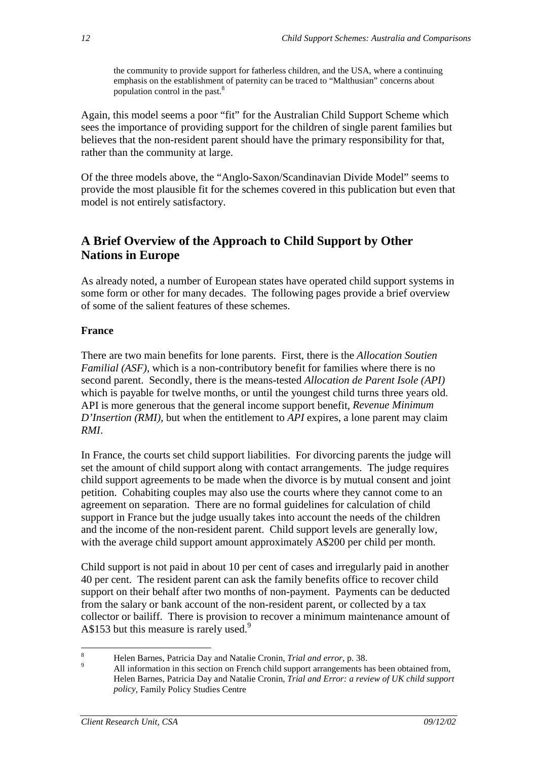the community to provide support for fatherless children, and the USA, where a continuing emphasis on the establishment of paternity can be traced to "Malthusian" concerns about population control in the past.<sup>8</sup>

Again, this model seems a poor "fit" for the Australian Child Support Scheme which sees the importance of providing support for the children of single parent families but believes that the non-resident parent should have the primary responsibility for that, rather than the community at large.

Of the three models above, the "Anglo-Saxon/Scandinavian Divide Model" seems to provide the most plausible fit for the schemes covered in this publication but even that model is not entirely satisfactory.

# **A Brief Overview of the Approach to Child Support by Other Nations in Europe**

As already noted, a number of European states have operated child support systems in some form or other for many decades. The following pages provide a brief overview of some of the salient features of these schemes.

### **France**

There are two main benefits for lone parents. First, there is the *Allocation Soutien Familial (ASF),* which is a non-contributory benefit for families where there is no second parent. Secondly, there is the means-tested *Allocation de Parent Isole (API)* which is payable for twelve months, or until the youngest child turns three years old. API is more generous that the general income support benefit, *Revenue Minimum D'Insertion (RMI)*, but when the entitlement to *API* expires, a lone parent may claim *RMI*.

In France, the courts set child support liabilities. For divorcing parents the judge will set the amount of child support along with contact arrangements. The judge requires child support agreements to be made when the divorce is by mutual consent and joint petition. Cohabiting couples may also use the courts where they cannot come to an agreement on separation. There are no formal guidelines for calculation of child support in France but the judge usually takes into account the needs of the children and the income of the non-resident parent. Child support levels are generally low, with the average child support amount approximately A\$200 per child per month.

Child support is not paid in about 10 per cent of cases and irregularly paid in another 40 per cent. The resident parent can ask the family benefits office to recover child support on their behalf after two months of non-payment. Payments can be deducted from the salary or bank account of the non-resident parent, or collected by a tax collector or bailiff. There is provision to recover a minimum maintenance amount of A\$153 but this measure is rarely used.<sup>9</sup>

<sup>8</sup> <sup>8</sup> Helen Barnes, Patricia Day and Natalie Cronin, *Trial and error*, p. 38.

All information in this section on French child support arrangements has been obtained from, Helen Barnes, Patricia Day and Natalie Cronin, *Trial and Error: a review of UK child support policy*, Family Policy Studies Centre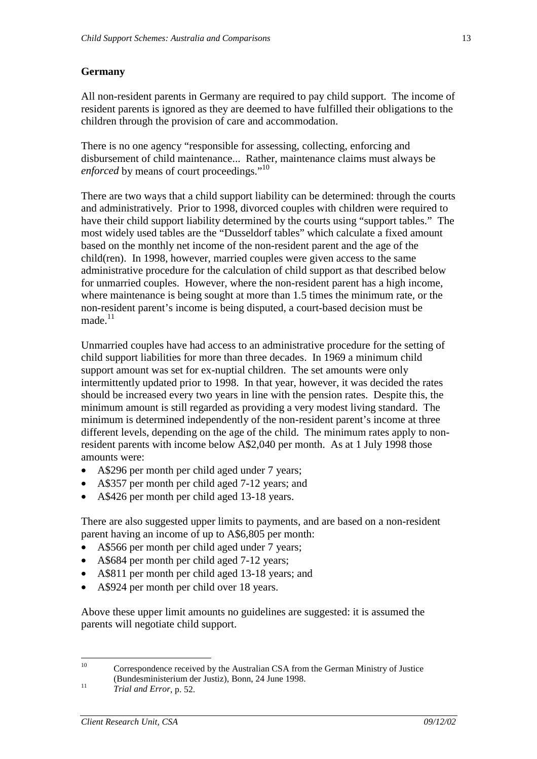### **Germany**

All non-resident parents in Germany are required to pay child support. The income of resident parents is ignored as they are deemed to have fulfilled their obligations to the children through the provision of care and accommodation.

There is no one agency "responsible for assessing, collecting, enforcing and disbursement of child maintenance... Rather, maintenance claims must always be *enforced* by means of court proceedings."<sup>10</sup>

There are two ways that a child support liability can be determined: through the courts and administratively. Prior to 1998, divorced couples with children were required to have their child support liability determined by the courts using "support tables." The most widely used tables are the "Dusseldorf tables" which calculate a fixed amount based on the monthly net income of the non-resident parent and the age of the child(ren). In 1998, however, married couples were given access to the same administrative procedure for the calculation of child support as that described below for unmarried couples. However, where the non-resident parent has a high income, where maintenance is being sought at more than 1.5 times the minimum rate, or the non-resident parent's income is being disputed, a court-based decision must be made $^{11}$ 

Unmarried couples have had access to an administrative procedure for the setting of child support liabilities for more than three decades. In 1969 a minimum child support amount was set for ex-nuptial children. The set amounts were only intermittently updated prior to 1998. In that year, however, it was decided the rates should be increased every two years in line with the pension rates. Despite this, the minimum amount is still regarded as providing a very modest living standard. The minimum is determined independently of the non-resident parent's income at three different levels, depending on the age of the child. The minimum rates apply to nonresident parents with income below A\$2,040 per month. As at 1 July 1998 those amounts were:

- A\$296 per month per child aged under 7 years:
- A\$357 per month per child aged 7-12 years; and
- A\$426 per month per child aged 13-18 years.

There are also suggested upper limits to payments, and are based on a non-resident parent having an income of up to A\$6,805 per month:

- A\$566 per month per child aged under 7 years;
- A\$684 per month per child aged 7-12 years;
- A\$811 per month per child aged 13-18 years; and
- A\$924 per month per child over 18 years.

Above these upper limit amounts no guidelines are suggested: it is assumed the parents will negotiate child support.

<sup>&</sup>lt;sup>10</sup> Correspondence received by the Australian CSA from the German Ministry of Justice (Bundesministerium der Justiz), Bonn, 24 June 1998.

<sup>11</sup> *Trial and Error*, p. 52.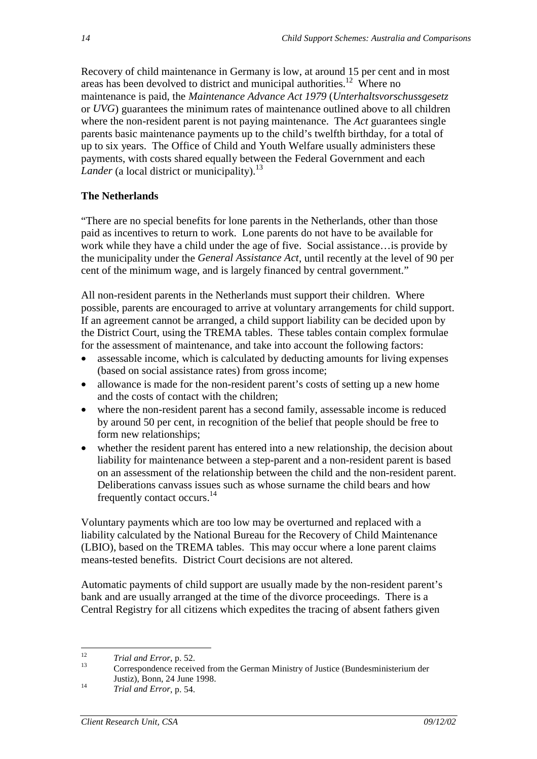Recovery of child maintenance in Germany is low, at around 15 per cent and in most areas has been devolved to district and municipal authorities.12 Where no maintenance is paid, the *Maintenance Advance Act 1979* (*Unterhaltsvorschussgesetz* or *UVG*) guarantees the minimum rates of maintenance outlined above to all children where the non-resident parent is not paying maintenance. The *Act* guarantees single parents basic maintenance payments up to the child's twelfth birthday, for a total of up to six years. The Office of Child and Youth Welfare usually administers these payments, with costs shared equally between the Federal Government and each *Lander* (a local district or municipality).<sup>13</sup>

### **The Netherlands**

"There are no special benefits for lone parents in the Netherlands, other than those paid as incentives to return to work. Lone parents do not have to be available for work while they have a child under the age of five. Social assistance…is provide by the municipality under the *General Assistance Act*, until recently at the level of 90 per cent of the minimum wage, and is largely financed by central government."

All non-resident parents in the Netherlands must support their children. Where possible, parents are encouraged to arrive at voluntary arrangements for child support. If an agreement cannot be arranged, a child support liability can be decided upon by the District Court, using the TREMA tables. These tables contain complex formulae for the assessment of maintenance, and take into account the following factors:

- assessable income, which is calculated by deducting amounts for living expenses (based on social assistance rates) from gross income;
- allowance is made for the non-resident parent's costs of setting up a new home and the costs of contact with the children;
- where the non-resident parent has a second family, assessable income is reduced by around 50 per cent, in recognition of the belief that people should be free to form new relationships;
- whether the resident parent has entered into a new relationship, the decision about liability for maintenance between a step-parent and a non-resident parent is based on an assessment of the relationship between the child and the non-resident parent. Deliberations canvass issues such as whose surname the child bears and how frequently contact occurs.14

Voluntary payments which are too low may be overturned and replaced with a liability calculated by the National Bureau for the Recovery of Child Maintenance (LBIO), based on the TREMA tables. This may occur where a lone parent claims means-tested benefits. District Court decisions are not altered.

Automatic payments of child support are usually made by the non-resident parent's bank and are usually arranged at the time of the divorce proceedings. There is a Central Registry for all citizens which expedites the tracing of absent fathers given

<sup>14</sup> *Trial and Error*, p. 54.

<sup>&</sup>lt;sup>12</sup> *Trial and Error*, p. 52.<br>Correspondence received from the German Ministry of Justice (Bundesministerium der Justiz), Bonn, 24 June 1998.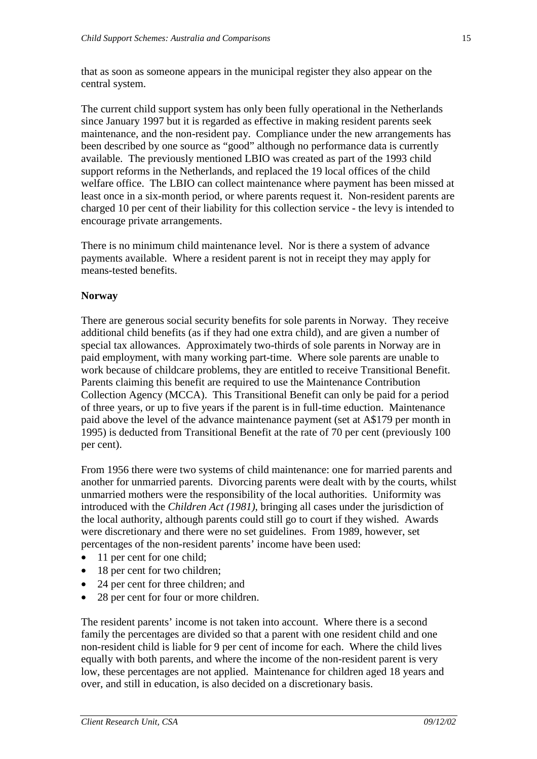that as soon as someone appears in the municipal register they also appear on the central system.

The current child support system has only been fully operational in the Netherlands since January 1997 but it is regarded as effective in making resident parents seek maintenance, and the non-resident pay. Compliance under the new arrangements has been described by one source as "good" although no performance data is currently available. The previously mentioned LBIO was created as part of the 1993 child support reforms in the Netherlands, and replaced the 19 local offices of the child welfare office. The LBIO can collect maintenance where payment has been missed at least once in a six-month period, or where parents request it. Non-resident parents are charged 10 per cent of their liability for this collection service - the levy is intended to encourage private arrangements.

There is no minimum child maintenance level. Nor is there a system of advance payments available. Where a resident parent is not in receipt they may apply for means-tested benefits.

### **Norway**

There are generous social security benefits for sole parents in Norway. They receive additional child benefits (as if they had one extra child), and are given a number of special tax allowances. Approximately two-thirds of sole parents in Norway are in paid employment, with many working part-time. Where sole parents are unable to work because of childcare problems, they are entitled to receive Transitional Benefit. Parents claiming this benefit are required to use the Maintenance Contribution Collection Agency (MCCA). This Transitional Benefit can only be paid for a period of three years, or up to five years if the parent is in full-time eduction. Maintenance paid above the level of the advance maintenance payment (set at A\$179 per month in 1995) is deducted from Transitional Benefit at the rate of 70 per cent (previously 100 per cent).

From 1956 there were two systems of child maintenance: one for married parents and another for unmarried parents. Divorcing parents were dealt with by the courts, whilst unmarried mothers were the responsibility of the local authorities. Uniformity was introduced with the *Children Act (1981)*, bringing all cases under the jurisdiction of the local authority, although parents could still go to court if they wished. Awards were discretionary and there were no set guidelines. From 1989, however, set percentages of the non-resident parents' income have been used:

- 11 per cent for one child;
- 18 per cent for two children;
- 24 per cent for three children; and
- 28 per cent for four or more children.

The resident parents' income is not taken into account. Where there is a second family the percentages are divided so that a parent with one resident child and one non-resident child is liable for 9 per cent of income for each. Where the child lives equally with both parents, and where the income of the non-resident parent is very low, these percentages are not applied. Maintenance for children aged 18 years and over, and still in education, is also decided on a discretionary basis.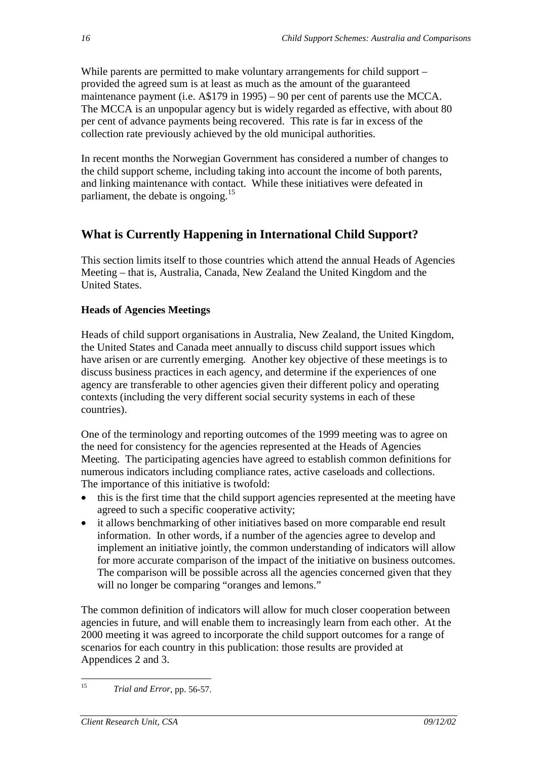While parents are permitted to make voluntary arrangements for child support – provided the agreed sum is at least as much as the amount of the guaranteed maintenance payment (i.e. A\$179 in 1995) – 90 per cent of parents use the MCCA. The MCCA is an unpopular agency but is widely regarded as effective, with about 80 per cent of advance payments being recovered. This rate is far in excess of the collection rate previously achieved by the old municipal authorities.

In recent months the Norwegian Government has considered a number of changes to the child support scheme, including taking into account the income of both parents, and linking maintenance with contact. While these initiatives were defeated in parliament, the debate is ongoing.<sup>15</sup>

# **What is Currently Happening in International Child Support?**

This section limits itself to those countries which attend the annual Heads of Agencies Meeting – that is, Australia, Canada, New Zealand the United Kingdom and the United States.

### **Heads of Agencies Meetings**

Heads of child support organisations in Australia, New Zealand, the United Kingdom, the United States and Canada meet annually to discuss child support issues which have arisen or are currently emerging. Another key objective of these meetings is to discuss business practices in each agency, and determine if the experiences of one agency are transferable to other agencies given their different policy and operating contexts (including the very different social security systems in each of these countries).

One of the terminology and reporting outcomes of the 1999 meeting was to agree on the need for consistency for the agencies represented at the Heads of Agencies Meeting. The participating agencies have agreed to establish common definitions for numerous indicators including compliance rates, active caseloads and collections. The importance of this initiative is twofold:

- this is the first time that the child support agencies represented at the meeting have agreed to such a specific cooperative activity;
- it allows benchmarking of other initiatives based on more comparable end result information. In other words, if a number of the agencies agree to develop and implement an initiative jointly, the common understanding of indicators will allow for more accurate comparison of the impact of the initiative on business outcomes. The comparison will be possible across all the agencies concerned given that they will no longer be comparing "oranges and lemons."

The common definition of indicators will allow for much closer cooperation between agencies in future, and will enable them to increasingly learn from each other. At the 2000 meeting it was agreed to incorporate the child support outcomes for a range of scenarios for each country in this publication: those results are provided at Appendices 2 and 3.

<sup>15</sup> *Trial and Error*, pp. 56-57.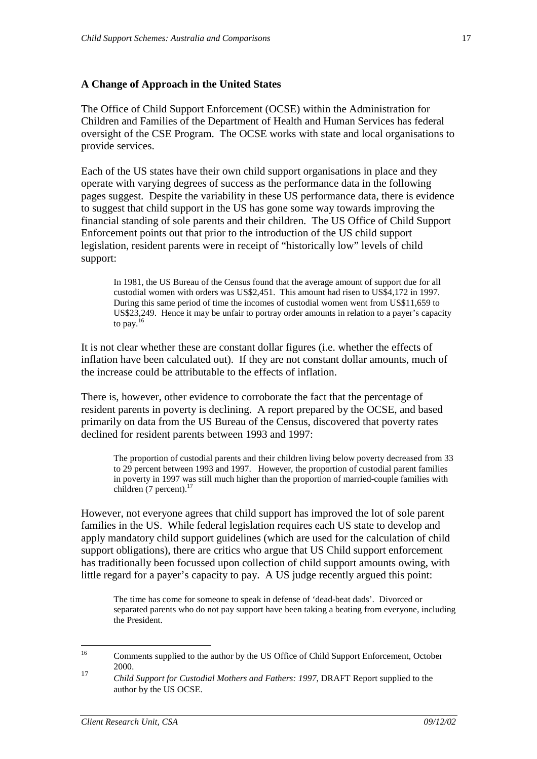#### **A Change of Approach in the United States**

The Office of Child Support Enforcement (OCSE) within the Administration for Children and Families of the Department of Health and Human Services has federal oversight of the CSE Program. The OCSE works with state and local organisations to provide services.

Each of the US states have their own child support organisations in place and they operate with varying degrees of success as the performance data in the following pages suggest. Despite the variability in these US performance data, there is evidence to suggest that child support in the US has gone some way towards improving the financial standing of sole parents and their children. The US Office of Child Support Enforcement points out that prior to the introduction of the US child support legislation, resident parents were in receipt of "historically low" levels of child support:

In 1981, the US Bureau of the Census found that the average amount of support due for all custodial women with orders was US\$2,451. This amount had risen to US\$4,172 in 1997. During this same period of time the incomes of custodial women went from US\$11,659 to US\$23,249. Hence it may be unfair to portray order amounts in relation to a payer's capacity to pay.<sup>16</sup>

It is not clear whether these are constant dollar figures (i.e. whether the effects of inflation have been calculated out). If they are not constant dollar amounts, much of the increase could be attributable to the effects of inflation.

There is, however, other evidence to corroborate the fact that the percentage of resident parents in poverty is declining. A report prepared by the OCSE, and based primarily on data from the US Bureau of the Census, discovered that poverty rates declined for resident parents between 1993 and 1997:

The proportion of custodial parents and their children living below poverty decreased from 33 to 29 percent between 1993 and 1997. However, the proportion of custodial parent families in poverty in 1997 was still much higher than the proportion of married-couple families with children (7 percent).<sup>17</sup>

However, not everyone agrees that child support has improved the lot of sole parent families in the US. While federal legislation requires each US state to develop and apply mandatory child support guidelines (which are used for the calculation of child support obligations), there are critics who argue that US Child support enforcement has traditionally been focussed upon collection of child support amounts owing, with little regard for a payer's capacity to pay. A US judge recently argued this point:

The time has come for someone to speak in defense of 'dead-beat dads'. Divorced or separated parents who do not pay support have been taking a beating from everyone, including the President.

<sup>&</sup>lt;sup>16</sup> Comments supplied to the author by the US Office of Child Support Enforcement, October  $2000.$ 

<sup>17</sup> *Child Support for Custodial Mothers and Fathers: 1997*, DRAFT Report supplied to the author by the US OCSE.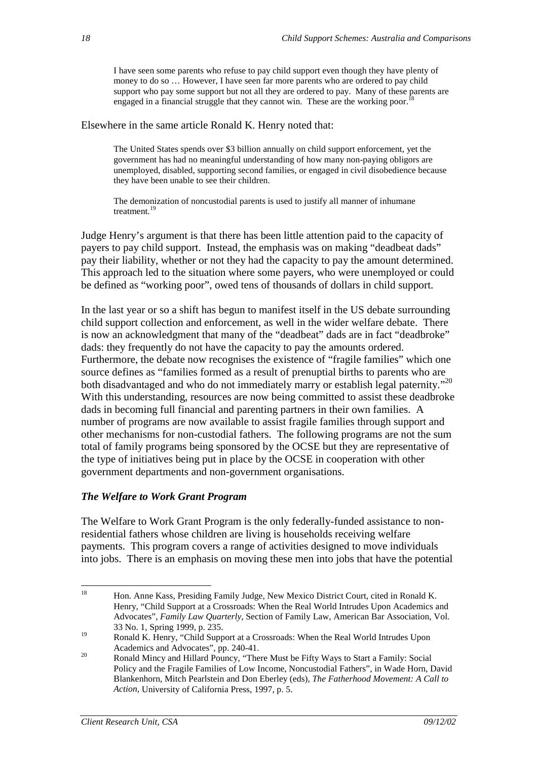I have seen some parents who refuse to pay child support even though they have plenty of money to do so … However, I have seen far more parents who are ordered to pay child support who pay some support but not all they are ordered to pay. Many of these parents are engaged in a financial struggle that they cannot win. These are the working poor.

Elsewhere in the same article Ronald K. Henry noted that:

The United States spends over \$3 billion annually on child support enforcement, yet the government has had no meaningful understanding of how many non-paying obligors are unemployed, disabled, supporting second families, or engaged in civil disobedience because they have been unable to see their children.

The demonization of noncustodial parents is used to justify all manner of inhumane treatment.<sup>19</sup>

Judge Henry's argument is that there has been little attention paid to the capacity of payers to pay child support. Instead, the emphasis was on making "deadbeat dads" pay their liability, whether or not they had the capacity to pay the amount determined. This approach led to the situation where some payers, who were unemployed or could be defined as "working poor", owed tens of thousands of dollars in child support.

In the last year or so a shift has begun to manifest itself in the US debate surrounding child support collection and enforcement, as well in the wider welfare debate. There is now an acknowledgment that many of the "deadbeat" dads are in fact "deadbroke" dads: they frequently do not have the capacity to pay the amounts ordered. Furthermore, the debate now recognises the existence of "fragile families" which one source defines as "families formed as a result of prenuptial births to parents who are both disadvantaged and who do not immediately marry or establish legal paternity."<sup>20</sup> With this understanding, resources are now being committed to assist these deadbroke dads in becoming full financial and parenting partners in their own families. A number of programs are now available to assist fragile families through support and other mechanisms for non-custodial fathers. The following programs are not the sum total of family programs being sponsored by the OCSE but they are representative of the type of initiatives being put in place by the OCSE in cooperation with other government departments and non-government organisations.

#### *The Welfare to Work Grant Program*

The Welfare to Work Grant Program is the only federally-funded assistance to nonresidential fathers whose children are living is households receiving welfare payments. This program covers a range of activities designed to move individuals into jobs. There is an emphasis on moving these men into jobs that have the potential

<sup>&</sup>lt;sup>18</sup> Hon. Anne Kass, Presiding Family Judge, New Mexico District Court, cited in Ronald K. Henry, "Child Support at a Crossroads: When the Real World Intrudes Upon Academics and Advocates", *Family Law Quarterly*, Section of Family Law, American Bar Association, Vol. 33 No. 1, Spring 1999, p. 235.

Ronald K. Henry, "Child Support at a Crossroads: When the Real World Intrudes Upon Academics and Advocates", pp. 240-41.

Ronald Mincy and Hillard Pouncy, "There Must be Fifty Ways to Start a Family: Social Policy and the Fragile Families of Low Income, Noncustodial Fathers", in Wade Horn, David Blankenhorn, Mitch Pearlstein and Don Eberley (eds), *The Fatherhood Movement: A Call to Action,* University of California Press, 1997, p. 5.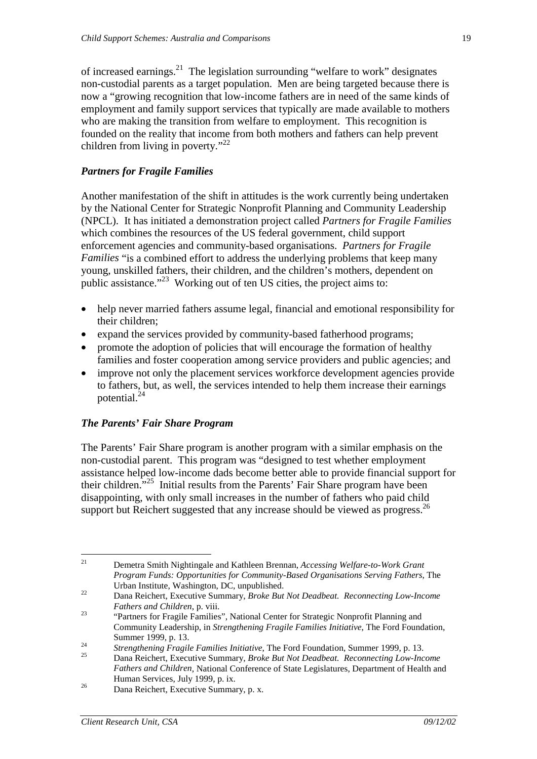of increased earnings. $^{21}$  The legislation surrounding "welfare to work" designates non-custodial parents as a target population. Men are being targeted because there is now a "growing recognition that low-income fathers are in need of the same kinds of employment and family support services that typically are made available to mothers who are making the transition from welfare to employment. This recognition is founded on the reality that income from both mothers and fathers can help prevent children from living in poverty."<sup>22</sup>

### *Partners for Fragile Families*

Another manifestation of the shift in attitudes is the work currently being undertaken by the National Center for Strategic Nonprofit Planning and Community Leadership (NPCL). It has initiated a demonstration project called *Partners for Fragile Families* which combines the resources of the US federal government, child support enforcement agencies and community-based organisations. *Partners for Fragile Families* "is a combined effort to address the underlying problems that keep many young, unskilled fathers, their children, and the children's mothers, dependent on public assistance."23 Working out of ten US cities, the project aims to:

- help never married fathers assume legal, financial and emotional responsibility for their children;
- expand the services provided by community-based fatherhood programs;
- promote the adoption of policies that will encourage the formation of healthy families and foster cooperation among service providers and public agencies; and
- improve not only the placement services workforce development agencies provide to fathers, but, as well, the services intended to help them increase their earnings potential.<sup>24</sup>

### *The Parents' Fair Share Program*

The Parents' Fair Share program is another program with a similar emphasis on the non-custodial parent. This program was "designed to test whether employment assistance helped low-income dads become better able to provide financial support for their children."<sup>25</sup> Initial results from the Parents' Fair Share program have been disappointing, with only small increases in the number of fathers who paid child support but Reichert suggested that any increase should be viewed as progress.<sup>26</sup>

<sup>21</sup> Demetra Smith Nightingale and Kathleen Brennan, *Accessing Welfare-to-Work Grant Program Funds: Opportunities for Community-Based Organisations Serving Fathers*, The Urban Institute, Washington, DC, unpublished.

<sup>22</sup> Dana Reichert, Executive Summary, *Broke But Not Deadbeat. Reconnecting Low-Income* 

*Fathers and Children*, p. viii.<br><sup>23</sup> "Partners for Fragile Families", National Center for Strategic Nonprofit Planning and Community Leadership, in *Strengthening Fragile Families Initiative*, The Ford Foundation, Summer 1999, p. 13.

<sup>24</sup> *Strengthening Fragile Families Initiative*, The Ford Foundation, Summer 1999, p. 13. 25 Dana Reichert, Executive Summary, *Broke But Not Deadbeat. Reconnecting Low-Income* 

*Fathers and Children*, National Conference of State Legislatures, Department of Health and Human Services, July 1999, p. ix.

Dana Reichert, Executive Summary, p. x.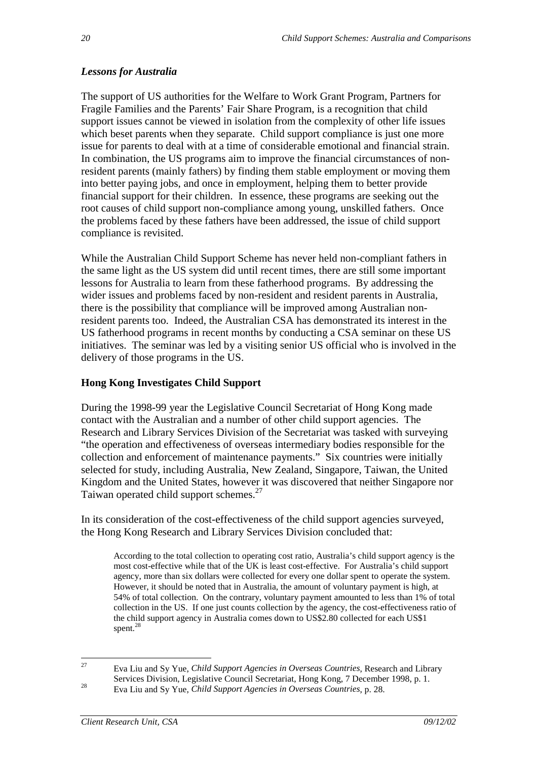### *Lessons for Australia*

The support of US authorities for the Welfare to Work Grant Program, Partners for Fragile Families and the Parents' Fair Share Program, is a recognition that child support issues cannot be viewed in isolation from the complexity of other life issues which beset parents when they separate. Child support compliance is just one more issue for parents to deal with at a time of considerable emotional and financial strain. In combination, the US programs aim to improve the financial circumstances of nonresident parents (mainly fathers) by finding them stable employment or moving them into better paying jobs, and once in employment, helping them to better provide financial support for their children. In essence, these programs are seeking out the root causes of child support non-compliance among young, unskilled fathers. Once the problems faced by these fathers have been addressed, the issue of child support compliance is revisited.

While the Australian Child Support Scheme has never held non-compliant fathers in the same light as the US system did until recent times, there are still some important lessons for Australia to learn from these fatherhood programs. By addressing the wider issues and problems faced by non-resident and resident parents in Australia, there is the possibility that compliance will be improved among Australian nonresident parents too. Indeed, the Australian CSA has demonstrated its interest in the US fatherhood programs in recent months by conducting a CSA seminar on these US initiatives. The seminar was led by a visiting senior US official who is involved in the delivery of those programs in the US.

### **Hong Kong Investigates Child Support**

During the 1998-99 year the Legislative Council Secretariat of Hong Kong made contact with the Australian and a number of other child support agencies. The Research and Library Services Division of the Secretariat was tasked with surveying "the operation and effectiveness of overseas intermediary bodies responsible for the collection and enforcement of maintenance payments." Six countries were initially selected for study, including Australia, New Zealand, Singapore, Taiwan, the United Kingdom and the United States, however it was discovered that neither Singapore nor Taiwan operated child support schemes.<sup>27</sup>

In its consideration of the cost-effectiveness of the child support agencies surveyed, the Hong Kong Research and Library Services Division concluded that:

According to the total collection to operating cost ratio, Australia's child support agency is the most cost-effective while that of the UK is least cost-effective. For Australia's child support agency, more than six dollars were collected for every one dollar spent to operate the system. However, it should be noted that in Australia, the amount of voluntary payment is high, at 54% of total collection. On the contrary, voluntary payment amounted to less than 1% of total collection in the US. If one just counts collection by the agency, the cost-effectiveness ratio of the child support agency in Australia comes down to US\$2.80 collected for each US\$1 spent. $^{28}$ 

<sup>27</sup> Eva Liu and Sy Yue, *Child Support Agencies in Overseas Countries*, Research and Library Services Division, Legislative Council Secretariat, Hong Kong, 7 December 1998, p. 1.

<sup>28</sup> Eva Liu and Sy Yue, *Child Support Agencies in Overseas Countries*, p. 28.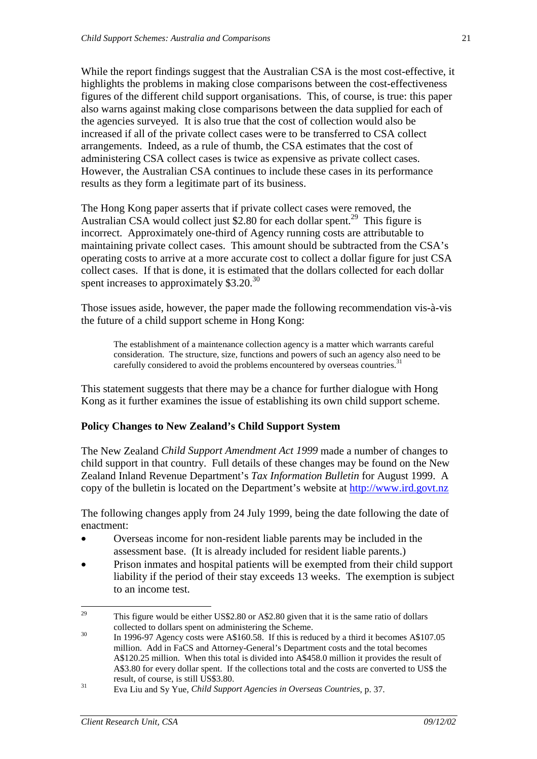While the report findings suggest that the Australian CSA is the most cost-effective, it highlights the problems in making close comparisons between the cost-effectiveness figures of the different child support organisations. This, of course, is true: this paper also warns against making close comparisons between the data supplied for each of the agencies surveyed. It is also true that the cost of collection would also be increased if all of the private collect cases were to be transferred to CSA collect arrangements. Indeed, as a rule of thumb, the CSA estimates that the cost of administering CSA collect cases is twice as expensive as private collect cases. However, the Australian CSA continues to include these cases in its performance results as they form a legitimate part of its business.

The Hong Kong paper asserts that if private collect cases were removed, the Australian CSA would collect just \$2.80 for each dollar spent.<sup>29</sup> This figure is incorrect. Approximately one-third of Agency running costs are attributable to maintaining private collect cases. This amount should be subtracted from the CSA's operating costs to arrive at a more accurate cost to collect a dollar figure for just CSA collect cases. If that is done, it is estimated that the dollars collected for each dollar spent increases to approximately \$3.20.<sup>30</sup>

Those issues aside, however, the paper made the following recommendation vis-à-vis the future of a child support scheme in Hong Kong:

The establishment of a maintenance collection agency is a matter which warrants careful consideration. The structure, size, functions and powers of such an agency also need to be carefully considered to avoid the problems encountered by overseas countries.<sup>3</sup>

This statement suggests that there may be a chance for further dialogue with Hong Kong as it further examines the issue of establishing its own child support scheme.

### **Policy Changes to New Zealand's Child Support System**

The New Zealand *Child Support Amendment Act 1999* made a number of changes to child support in that country. Full details of these changes may be found on the New Zealand Inland Revenue Department's *Tax Information Bulletin* for August 1999. A copy of the bulletin is located on the Department's website at http://www.ird.govt.nz

The following changes apply from 24 July 1999, being the date following the date of enactment:

- Overseas income for non-resident liable parents may be included in the assessment base. (It is already included for resident liable parents.)
- Prison inmates and hospital patients will be exempted from their child support liability if the period of their stay exceeds 13 weeks. The exemption is subject to an income test.

<sup>&</sup>lt;sup>29</sup> This figure would be either US\$2.80 or A\$2.80 given that it is the same ratio of dollars collected to dollars spent on administering the Scheme.<br> $^{30}$ 

<sup>30</sup> In 1996-97 Agency costs were A\$160.58. If this is reduced by a third it becomes A\$107.05 million. Add in FaCS and Attorney-General's Department costs and the total becomes A\$120.25 million. When this total is divided into A\$458.0 million it provides the result of A\$3.80 for every dollar spent. If the collections total and the costs are converted to US\$ the result, of course, is still US\$3.80.

<sup>31</sup> Eva Liu and Sy Yue, *Child Support Agencies in Overseas Countries*, p. 37.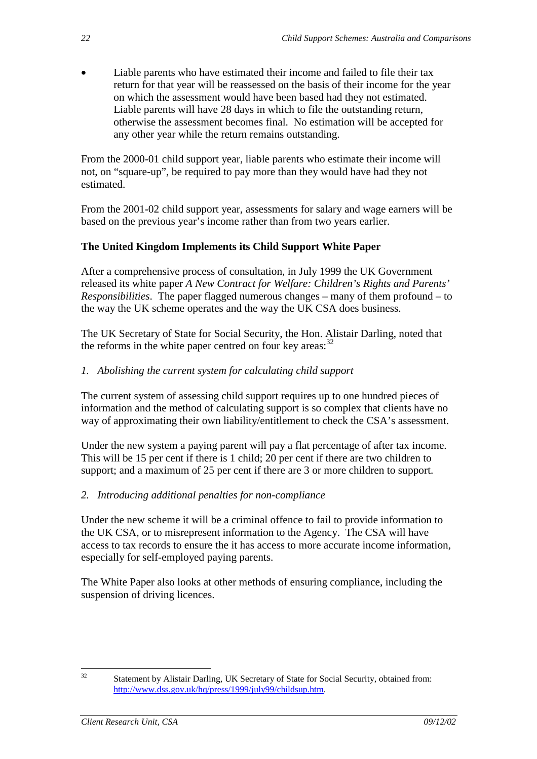• Liable parents who have estimated their income and failed to file their tax return for that year will be reassessed on the basis of their income for the year on which the assessment would have been based had they not estimated. Liable parents will have 28 days in which to file the outstanding return, otherwise the assessment becomes final. No estimation will be accepted for any other year while the return remains outstanding.

From the 2000-01 child support year, liable parents who estimate their income will not, on "square-up", be required to pay more than they would have had they not estimated.

From the 2001-02 child support year, assessments for salary and wage earners will be based on the previous year's income rather than from two years earlier.

### **The United Kingdom Implements its Child Support White Paper**

After a comprehensive process of consultation, in July 1999 the UK Government released its white paper *A New Contract for Welfare: Children's Rights and Parents' Responsibilities*. The paper flagged numerous changes – many of them profound – to the way the UK scheme operates and the way the UK CSA does business.

The UK Secretary of State for Social Security, the Hon. Alistair Darling, noted that the reforms in the white paper centred on four key areas:  $32$ 

### *1. Abolishing the current system for calculating child support*

The current system of assessing child support requires up to one hundred pieces of information and the method of calculating support is so complex that clients have no way of approximating their own liability/entitlement to check the CSA's assessment.

Under the new system a paying parent will pay a flat percentage of after tax income. This will be 15 per cent if there is 1 child; 20 per cent if there are two children to support; and a maximum of 25 per cent if there are 3 or more children to support.

### *2. Introducing additional penalties for non-compliance*

Under the new scheme it will be a criminal offence to fail to provide information to the UK CSA, or to misrepresent information to the Agency. The CSA will have access to tax records to ensure the it has access to more accurate income information, especially for self-employed paying parents.

The White Paper also looks at other methods of ensuring compliance, including the suspension of driving licences.

<sup>&</sup>lt;sup>32</sup> Statement by Alistair Darling, UK Secretary of State for Social Security, obtained from: http://www.dss.gov.uk/hq/press/1999/july99/childsup.htm.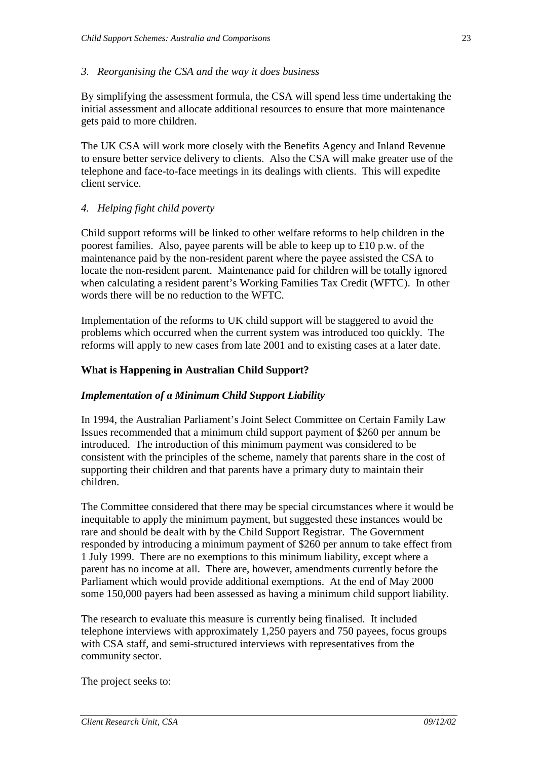### *3. Reorganising the CSA and the way it does business*

By simplifying the assessment formula, the CSA will spend less time undertaking the initial assessment and allocate additional resources to ensure that more maintenance gets paid to more children.

The UK CSA will work more closely with the Benefits Agency and Inland Revenue to ensure better service delivery to clients. Also the CSA will make greater use of the telephone and face-to-face meetings in its dealings with clients. This will expedite client service.

### *4. Helping fight child poverty*

Child support reforms will be linked to other welfare reforms to help children in the poorest families. Also, payee parents will be able to keep up to £10 p.w. of the maintenance paid by the non-resident parent where the payee assisted the CSA to locate the non-resident parent. Maintenance paid for children will be totally ignored when calculating a resident parent's Working Families Tax Credit (WFTC). In other words there will be no reduction to the WFTC.

Implementation of the reforms to UK child support will be staggered to avoid the problems which occurred when the current system was introduced too quickly. The reforms will apply to new cases from late 2001 and to existing cases at a later date.

### **What is Happening in Australian Child Support?**

#### *Implementation of a Minimum Child Support Liability*

In 1994, the Australian Parliament's Joint Select Committee on Certain Family Law Issues recommended that a minimum child support payment of \$260 per annum be introduced. The introduction of this minimum payment was considered to be consistent with the principles of the scheme, namely that parents share in the cost of supporting their children and that parents have a primary duty to maintain their children.

The Committee considered that there may be special circumstances where it would be inequitable to apply the minimum payment, but suggested these instances would be rare and should be dealt with by the Child Support Registrar. The Government responded by introducing a minimum payment of \$260 per annum to take effect from 1 July 1999. There are no exemptions to this minimum liability, except where a parent has no income at all. There are, however, amendments currently before the Parliament which would provide additional exemptions. At the end of May 2000 some 150,000 payers had been assessed as having a minimum child support liability.

The research to evaluate this measure is currently being finalised. It included telephone interviews with approximately 1,250 payers and 750 payees, focus groups with CSA staff, and semi-structured interviews with representatives from the community sector.

The project seeks to: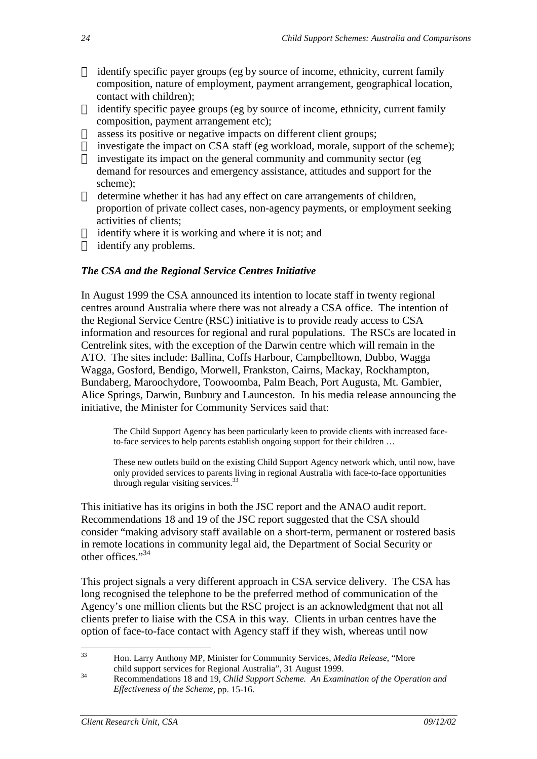- identify specific payer groups (eg by source of income, ethnicity, current family composition, nature of employment, payment arrangement, geographical location, contact with children);
- identify specific payee groups (eg by source of income, ethnicity, current family composition, payment arrangement etc);
- assess its positive or negative impacts on different client groups;
- investigate the impact on CSA staff (eg workload, morale, support of the scheme);
- investigate its impact on the general community and community sector (eg demand for resources and emergency assistance, attitudes and support for the scheme);
- determine whether it has had any effect on care arrangements of children, proportion of private collect cases, non-agency payments, or employment seeking activities of clients;
- identify where it is working and where it is not; and
- $\check{\sigma}$  identify any problems.

### *The CSA and the Regional Service Centres Initiative*

In August 1999 the CSA announced its intention to locate staff in twenty regional centres around Australia where there was not already a CSA office. The intention of the Regional Service Centre (RSC) initiative is to provide ready access to CSA information and resources for regional and rural populations. The RSCs are located in Centrelink sites, with the exception of the Darwin centre which will remain in the ATO. The sites include: Ballina, Coffs Harbour, Campbelltown, Dubbo, Wagga Wagga, Gosford, Bendigo, Morwell, Frankston, Cairns, Mackay, Rockhampton, Bundaberg, Maroochydore, Toowoomba, Palm Beach, Port Augusta, Mt. Gambier, Alice Springs, Darwin, Bunbury and Launceston. In his media release announcing the initiative, the Minister for Community Services said that:

The Child Support Agency has been particularly keen to provide clients with increased faceto-face services to help parents establish ongoing support for their children …

These new outlets build on the existing Child Support Agency network which, until now, have only provided services to parents living in regional Australia with face-to-face opportunities through regular visiting services.<sup>33</sup>

This initiative has its origins in both the JSC report and the ANAO audit report. Recommendations 18 and 19 of the JSC report suggested that the CSA should consider "making advisory staff available on a short-term, permanent or rostered basis in remote locations in community legal aid, the Department of Social Security or other offices."<sup>34</sup>

This project signals a very different approach in CSA service delivery. The CSA has long recognised the telephone to be the preferred method of communication of the Agency's one million clients but the RSC project is an acknowledgment that not all clients prefer to liaise with the CSA in this way. Clients in urban centres have the option of face-to-face contact with Agency staff if they wish, whereas until now

<sup>33</sup> Hon. Larry Anthony MP, Minister for Community Services, *Media Release*, "More child support services for Regional Australia", 31 August 1999.

<sup>34</sup> Recommendations 18 and 19, *Child Support Scheme. An Examination of the Operation and Effectiveness of the Scheme*, pp. 15-16.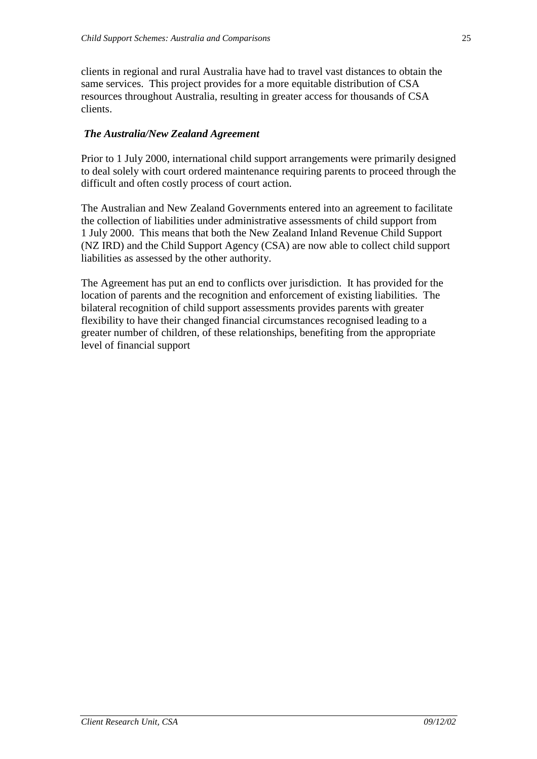clients in regional and rural Australia have had to travel vast distances to obtain the same services. This project provides for a more equitable distribution of CSA resources throughout Australia, resulting in greater access for thousands of CSA clients.

### *The Australia/New Zealand Agreement*

Prior to 1 July 2000, international child support arrangements were primarily designed to deal solely with court ordered maintenance requiring parents to proceed through the difficult and often costly process of court action.

The Australian and New Zealand Governments entered into an agreement to facilitate the collection of liabilities under administrative assessments of child support from 1 July 2000. This means that both the New Zealand Inland Revenue Child Support (NZ IRD) and the Child Support Agency (CSA) are now able to collect child support liabilities as assessed by the other authority.

The Agreement has put an end to conflicts over jurisdiction. It has provided for the location of parents and the recognition and enforcement of existing liabilities. The bilateral recognition of child support assessments provides parents with greater flexibility to have their changed financial circumstances recognised leading to a greater number of children, of these relationships, benefiting from the appropriate level of financial support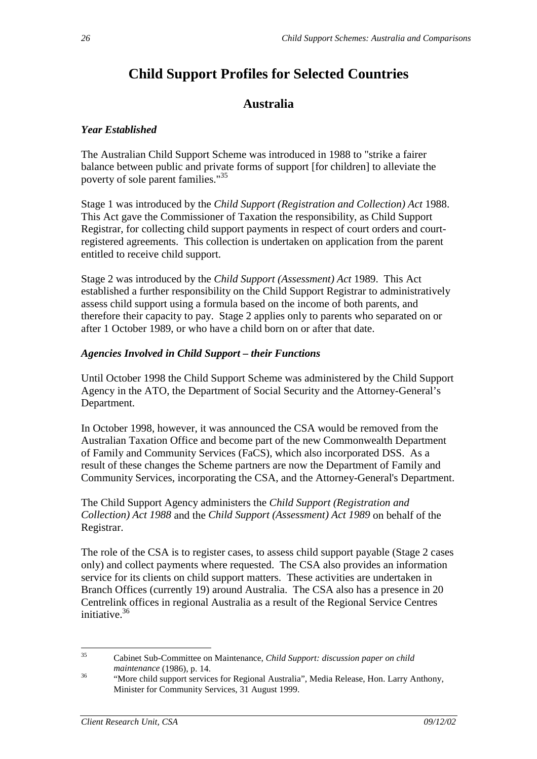# **Child Support Profiles for Selected Countries**

# **Australia**

### *Year Established*

The Australian Child Support Scheme was introduced in 1988 to "strike a fairer balance between public and private forms of support [for children] to alleviate the poverty of sole parent families."35

Stage 1 was introduced by the *Child Support (Registration and Collection) Act* 1988. This Act gave the Commissioner of Taxation the responsibility, as Child Support Registrar, for collecting child support payments in respect of court orders and courtregistered agreements. This collection is undertaken on application from the parent entitled to receive child support.

Stage 2 was introduced by the *Child Support (Assessment) Act* 1989. This Act established a further responsibility on the Child Support Registrar to administratively assess child support using a formula based on the income of both parents, and therefore their capacity to pay. Stage 2 applies only to parents who separated on or after 1 October 1989, or who have a child born on or after that date.

### *Agencies Involved in Child Support – their Functions*

Until October 1998 the Child Support Scheme was administered by the Child Support Agency in the ATO, the Department of Social Security and the Attorney-General's Department.

In October 1998, however, it was announced the CSA would be removed from the Australian Taxation Office and become part of the new Commonwealth Department of Family and Community Services (FaCS), which also incorporated DSS. As a result of these changes the Scheme partners are now the Department of Family and Community Services, incorporating the CSA, and the Attorney-General's Department.

The Child Support Agency administers the *Child Support (Registration and Collection) Act 1988* and the *Child Support (Assessment) Act 1989* on behalf of the Registrar.

The role of the CSA is to register cases, to assess child support payable (Stage 2 cases only) and collect payments where requested. The CSA also provides an information service for its clients on child support matters. These activities are undertaken in Branch Offices (currently 19) around Australia. The CSA also has a presence in 20 Centrelink offices in regional Australia as a result of the Regional Service Centres initiative.36

<sup>35</sup> Cabinet Sub-Committee on Maintenance, *Child Support: discussion paper on child* 

*maintenance* (1986), p. 14.<br>
"More child support services for Regional Australia", Media Release, Hon. Larry Anthony, Minister for Community Services, 31 August 1999.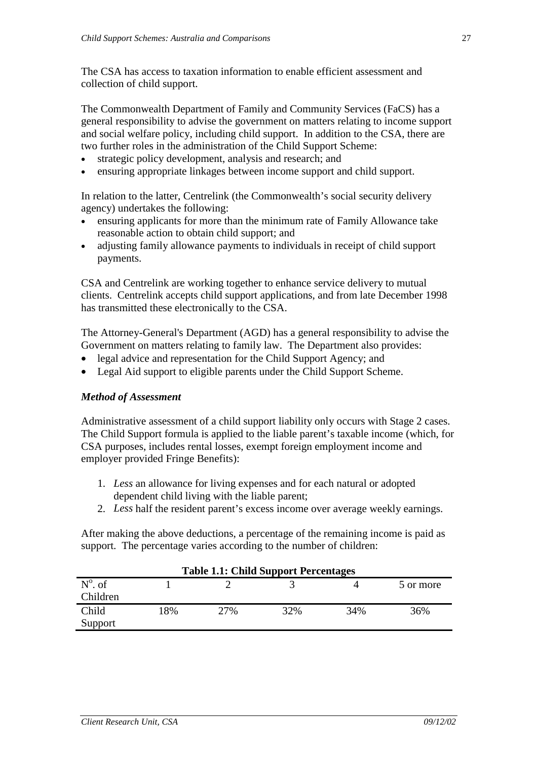The CSA has access to taxation information to enable efficient assessment and collection of child support.

The Commonwealth Department of Family and Community Services (FaCS) has a general responsibility to advise the government on matters relating to income support and social welfare policy, including child support. In addition to the CSA, there are two further roles in the administration of the Child Support Scheme:

- strategic policy development, analysis and research; and
- ensuring appropriate linkages between income support and child support.

In relation to the latter, Centrelink (the Commonwealth's social security delivery agency) undertakes the following:

- ensuring applicants for more than the minimum rate of Family Allowance take reasonable action to obtain child support; and
- adjusting family allowance payments to individuals in receipt of child support payments.

CSA and Centrelink are working together to enhance service delivery to mutual clients. Centrelink accepts child support applications, and from late December 1998 has transmitted these electronically to the CSA.

The Attorney-General's Department (AGD) has a general responsibility to advise the Government on matters relating to family law. The Department also provides:

- legal advice and representation for the Child Support Agency; and
- Legal Aid support to eligible parents under the Child Support Scheme.

#### *Method of Assessment*

Administrative assessment of a child support liability only occurs with Stage 2 cases. The Child Support formula is applied to the liable parent's taxable income (which, for CSA purposes, includes rental losses, exempt foreign employment income and employer provided Fringe Benefits):

- 1. *Less* an allowance for living expenses and for each natural or adopted dependent child living with the liable parent;
- 2. *Less* half the resident parent's excess income over average weekly earnings.

After making the above deductions, a percentage of the remaining income is paid as support. The percentage varies according to the number of children:

| Table 1.1: Child Support Percentages |    |     |     |     |           |  |  |  |
|--------------------------------------|----|-----|-----|-----|-----------|--|--|--|
| $N^{\circ}$ . of                     |    |     |     |     | 5 or more |  |  |  |
| Children                             |    |     |     |     |           |  |  |  |
| Child                                | 8% | 27% | 32% | 34% | 36%       |  |  |  |
| Support                              |    |     |     |     |           |  |  |  |

### **Table 1.1: Child Support Percentages**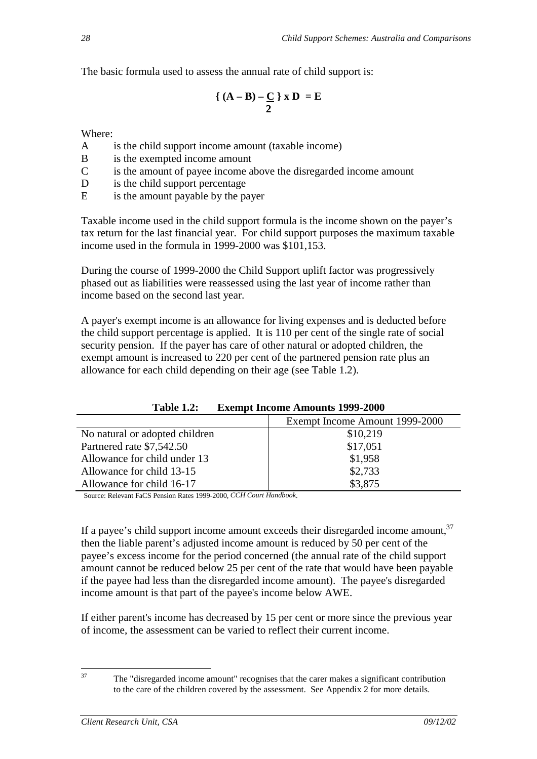The basic formula used to assess the annual rate of child support is:

$$
\left\{ (A - B) - \frac{C}{2} \right\} x D = E
$$

Where:

- A is the child support income amount (taxable income)
- B is the exempted income amount
- C is the amount of payee income above the disregarded income amount
- D is the child support percentage
- E is the amount payable by the payer

Taxable income used in the child support formula is the income shown on the payer's tax return for the last financial year. For child support purposes the maximum taxable income used in the formula in 1999-2000 was \$101,153.

During the course of 1999-2000 the Child Support uplift factor was progressively phased out as liabilities were reassessed using the last year of income rather than income based on the second last year.

A payer's exempt income is an allowance for living expenses and is deducted before the child support percentage is applied. It is 110 per cent of the single rate of social security pension. If the payer has care of other natural or adopted children, the exempt amount is increased to 220 per cent of the partnered pension rate plus an allowance for each child depending on their age (see Table 1.2).

|                                | Exempt Income Amount 1999-2000 |
|--------------------------------|--------------------------------|
| No natural or adopted children | \$10,219                       |
| Partnered rate \$7,542.50      | \$17,051                       |
| Allowance for child under 13   | \$1,958                        |
| Allowance for child 13-15      | \$2,733                        |
| Allowance for child 16-17      | \$3,875                        |

**Table 1.2: Exempt Income Amounts 1999-2000** 

Source: Relevant FaCS Pension Rates 1999-2000, *CCH Court Handbook*.

If a payee's child support income amount exceeds their disregarded income amount.<sup>37</sup> then the liable parent's adjusted income amount is reduced by 50 per cent of the payee's excess income for the period concerned (the annual rate of the child support amount cannot be reduced below 25 per cent of the rate that would have been payable if the payee had less than the disregarded income amount). The payee's disregarded income amount is that part of the payee's income below AWE.

If either parent's income has decreased by 15 per cent or more since the previous year of income, the assessment can be varied to reflect their current income.

<sup>&</sup>lt;sup>37</sup> The "disregarded income amount" recognises that the carer makes a significant contribution to the care of the children covered by the assessment. See Appendix 2 for more details.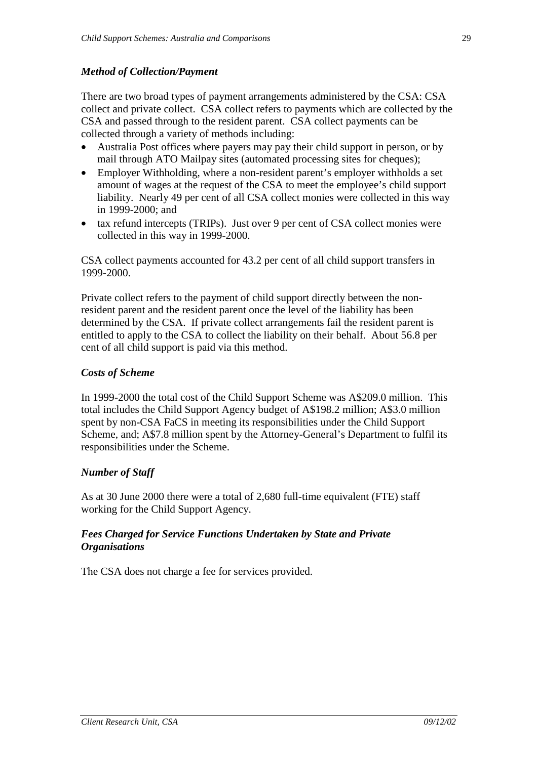### *Method of Collection/Payment*

There are two broad types of payment arrangements administered by the CSA: CSA collect and private collect. CSA collect refers to payments which are collected by the CSA and passed through to the resident parent. CSA collect payments can be collected through a variety of methods including:

- Australia Post offices where payers may pay their child support in person, or by mail through ATO Mailpay sites (automated processing sites for cheques);
- Employer Withholding, where a non-resident parent's employer withholds a set amount of wages at the request of the CSA to meet the employee's child support liability. Nearly 49 per cent of all CSA collect monies were collected in this way in 1999-2000; and
- tax refund intercepts (TRIPs). Just over 9 per cent of CSA collect monies were collected in this way in 1999-2000.

CSA collect payments accounted for 43.2 per cent of all child support transfers in 1999-2000.

Private collect refers to the payment of child support directly between the nonresident parent and the resident parent once the level of the liability has been determined by the CSA. If private collect arrangements fail the resident parent is entitled to apply to the CSA to collect the liability on their behalf. About 56.8 per cent of all child support is paid via this method.

### *Costs of Scheme*

In 1999-2000 the total cost of the Child Support Scheme was A\$209.0 million. This total includes the Child Support Agency budget of A\$198.2 million; A\$3.0 million spent by non-CSA FaCS in meeting its responsibilities under the Child Support Scheme, and; A\$7.8 million spent by the Attorney-General's Department to fulfil its responsibilities under the Scheme.

### *Number of Staff*

As at 30 June 2000 there were a total of 2,680 full-time equivalent (FTE) staff working for the Child Support Agency.

### *Fees Charged for Service Functions Undertaken by State and Private Organisations*

The CSA does not charge a fee for services provided.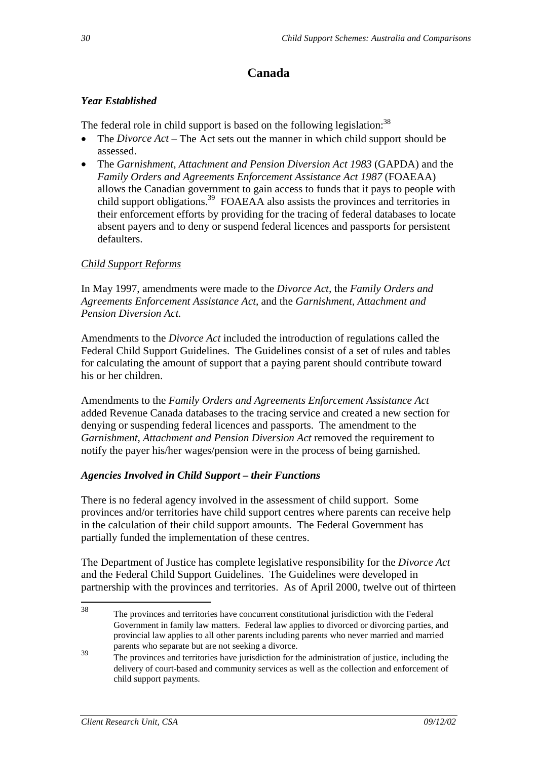# **Canada**

### *Year Established*

The federal role in child support is based on the following legislation:<sup>38</sup>

- The *Divorce Act* The Act sets out the manner in which child support should be assessed.
- The *Garnishment, Attachment and Pension Diversion Act 1983* (GAPDA) and the *Family Orders and Agreements Enforcement Assistance Act 1987* (FOAEAA) allows the Canadian government to gain access to funds that it pays to people with child support obligations.<sup>39</sup> FOAEAA also assists the provinces and territories in their enforcement efforts by providing for the tracing of federal databases to locate absent payers and to deny or suspend federal licences and passports for persistent defaulters.

### *Child Support Reforms*

In May 1997, amendments were made to the *Divorce Act,* the *Family Orders and Agreements Enforcement Assistance Act,* and the *Garnishment, Attachment and Pension Diversion Act.* 

Amendments to the *Divorce Act* included the introduction of regulations called the Federal Child Support Guidelines. The Guidelines consist of a set of rules and tables for calculating the amount of support that a paying parent should contribute toward his or her children.

Amendments to the *Family Orders and Agreements Enforcement Assistance Act* added Revenue Canada databases to the tracing service and created a new section for denying or suspending federal licences and passports. The amendment to the *Garnishment, Attachment and Pension Diversion Act* removed the requirement to notify the payer his/her wages/pension were in the process of being garnished.

### *Agencies Involved in Child Support – their Functions*

There is no federal agency involved in the assessment of child support. Some provinces and/or territories have child support centres where parents can receive help in the calculation of their child support amounts. The Federal Government has partially funded the implementation of these centres.

The Department of Justice has complete legislative responsibility for the *Divorce Act* and the Federal Child Support Guidelines. The Guidelines were developed in partnership with the provinces and territories. As of April 2000, twelve out of thirteen

<sup>38</sup> The provinces and territories have concurrent constitutional jurisdiction with the Federal Government in family law matters. Federal law applies to divorced or divorcing parties, and provincial law applies to all other parents including parents who never married and married parents who separate but are not seeking a divorce.

The provinces and territories have jurisdiction for the administration of justice, including the delivery of court-based and community services as well as the collection and enforcement of child support payments.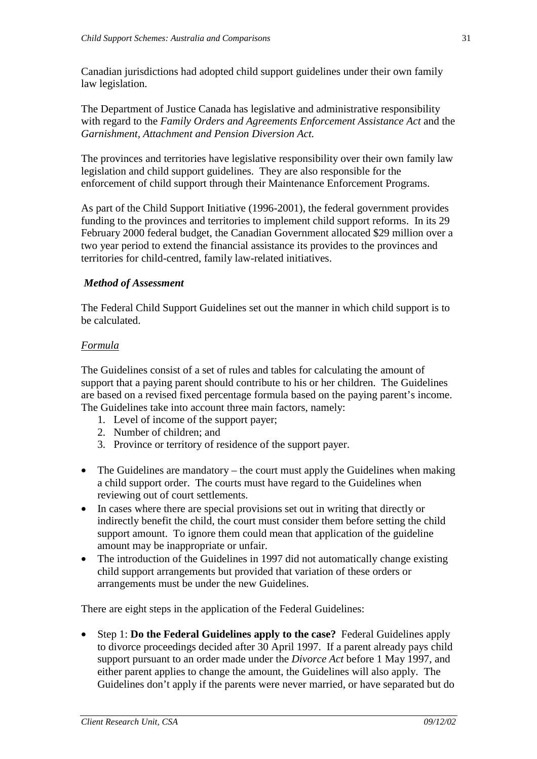Canadian jurisdictions had adopted child support guidelines under their own family law legislation.

The Department of Justice Canada has legislative and administrative responsibility with regard to the *Family Orders and Agreements Enforcement Assistance Act* and the *Garnishment, Attachment and Pension Diversion Act.*

The provinces and territories have legislative responsibility over their own family law legislation and child support guidelines. They are also responsible for the enforcement of child support through their Maintenance Enforcement Programs.

As part of the Child Support Initiative (1996-2001), the federal government provides funding to the provinces and territories to implement child support reforms. In its 29 February 2000 federal budget, the Canadian Government allocated \$29 million over a two year period to extend the financial assistance its provides to the provinces and territories for child-centred, family law-related initiatives.

### *Method of Assessment*

The Federal Child Support Guidelines set out the manner in which child support is to be calculated.

### *Formula*

The Guidelines consist of a set of rules and tables for calculating the amount of support that a paying parent should contribute to his or her children. The Guidelines are based on a revised fixed percentage formula based on the paying parent's income. The Guidelines take into account three main factors, namely:

- 1. Level of income of the support payer;
- 2. Number of children; and
- 3. Province or territory of residence of the support payer.
- The Guidelines are mandatory the court must apply the Guidelines when making a child support order. The courts must have regard to the Guidelines when reviewing out of court settlements.
- In cases where there are special provisions set out in writing that directly or indirectly benefit the child, the court must consider them before setting the child support amount. To ignore them could mean that application of the guideline amount may be inappropriate or unfair.
- The introduction of the Guidelines in 1997 did not automatically change existing child support arrangements but provided that variation of these orders or arrangements must be under the new Guidelines.

There are eight steps in the application of the Federal Guidelines:

• Step 1: **Do the Federal Guidelines apply to the case?** Federal Guidelines apply to divorce proceedings decided after 30 April 1997. If a parent already pays child support pursuant to an order made under the *Divorce Act* before 1 May 1997, and either parent applies to change the amount, the Guidelines will also apply. The Guidelines don't apply if the parents were never married, or have separated but do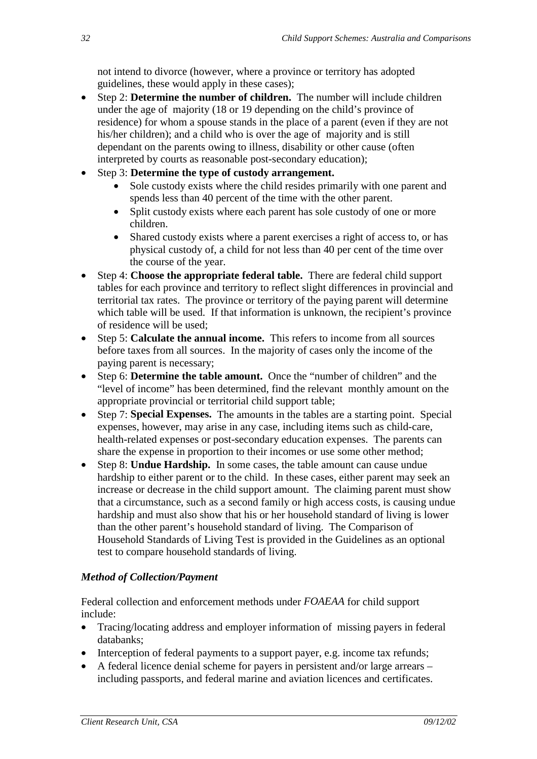not intend to divorce (however, where a province or territory has adopted guidelines, these would apply in these cases);

- Step 2: **Determine the number of children.** The number will include children under the age of majority (18 or 19 depending on the child's province of residence) for whom a spouse stands in the place of a parent (even if they are not his/her children); and a child who is over the age of majority and is still dependant on the parents owing to illness, disability or other cause (often interpreted by courts as reasonable post-secondary education);
- Step 3: **Determine the type of custody arrangement.**
	- Sole custody exists where the child resides primarily with one parent and spends less than 40 percent of the time with the other parent.
	- Split custody exists where each parent has sole custody of one or more children.
	- Shared custody exists where a parent exercises a right of access to, or has physical custody of, a child for not less than 40 per cent of the time over the course of the year.
- Step 4: **Choose the appropriate federal table.** There are federal child support tables for each province and territory to reflect slight differences in provincial and territorial tax rates. The province or territory of the paying parent will determine which table will be used. If that information is unknown, the recipient's province of residence will be used;
- Step 5: **Calculate the annual income.** This refers to income from all sources before taxes from all sources. In the majority of cases only the income of the paying parent is necessary;
- Step 6: **Determine the table amount.** Once the "number of children" and the "level of income" has been determined, find the relevant monthly amount on the appropriate provincial or territorial child support table;
- Step 7: **Special Expenses.** The amounts in the tables are a starting point. Special expenses, however, may arise in any case, including items such as child-care, health-related expenses or post-secondary education expenses. The parents can share the expense in proportion to their incomes or use some other method;
- Step 8: **Undue Hardship.** In some cases, the table amount can cause undue hardship to either parent or to the child. In these cases, either parent may seek an increase or decrease in the child support amount. The claiming parent must show that a circumstance, such as a second family or high access costs, is causing undue hardship and must also show that his or her household standard of living is lower than the other parent's household standard of living. The Comparison of Household Standards of Living Test is provided in the Guidelines as an optional test to compare household standards of living.

### *Method of Collection/Payment*

Federal collection and enforcement methods under *FOAEAA* for child support include:

- Tracing/locating address and employer information of missing payers in federal databanks;
- Interception of federal payments to a support payer, e.g. income tax refunds;
- A federal licence denial scheme for payers in persistent and/or large arrears including passports, and federal marine and aviation licences and certificates.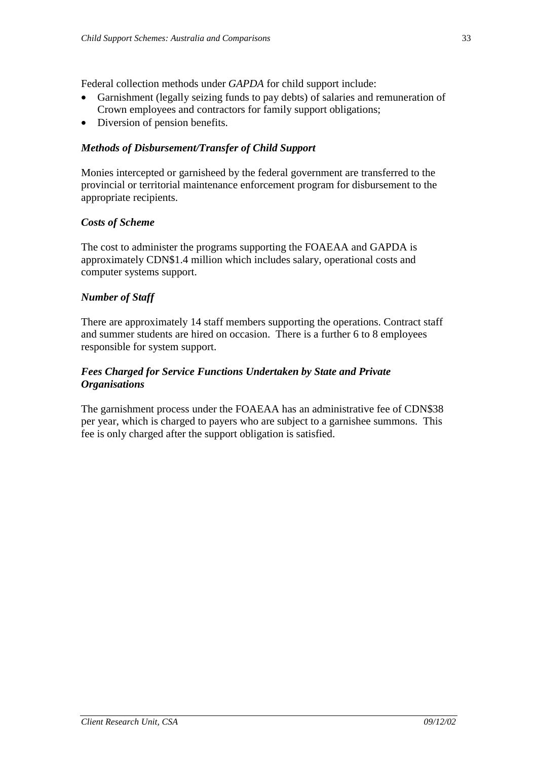Federal collection methods under *GAPDA* for child support include:

- Garnishment (legally seizing funds to pay debts) of salaries and remuneration of Crown employees and contractors for family support obligations;
- Diversion of pension benefits.

### *Methods of Disbursement/Transfer of Child Support*

Monies intercepted or garnisheed by the federal government are transferred to the provincial or territorial maintenance enforcement program for disbursement to the appropriate recipients.

### *Costs of Scheme*

The cost to administer the programs supporting the FOAEAA and GAPDA is approximately CDN\$1.4 million which includes salary, operational costs and computer systems support.

### *Number of Staff*

There are approximately 14 staff members supporting the operations. Contract staff and summer students are hired on occasion. There is a further 6 to 8 employees responsible for system support.

### *Fees Charged for Service Functions Undertaken by State and Private Organisations*

The garnishment process under the FOAEAA has an administrative fee of CDN\$38 per year, which is charged to payers who are subject to a garnishee summons. This fee is only charged after the support obligation is satisfied.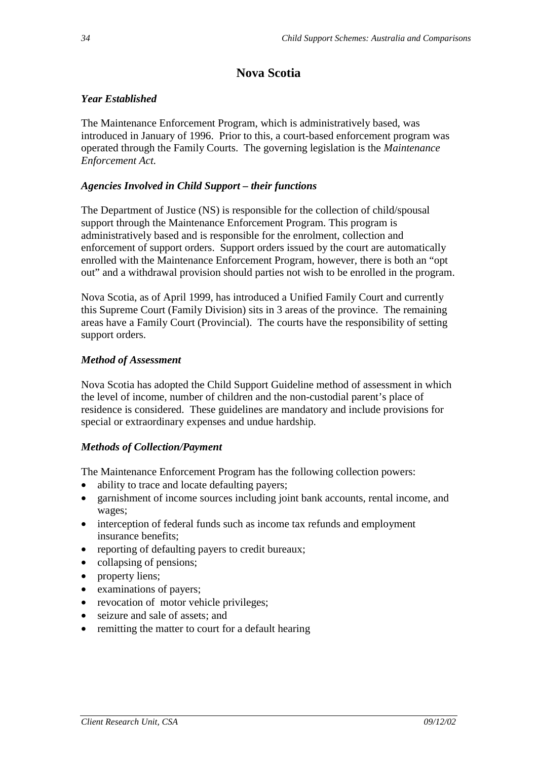## **Nova Scotia**

### *Year Established*

The Maintenance Enforcement Program, which is administratively based, was introduced in January of 1996. Prior to this, a court-based enforcement program was operated through the Family Courts. The governing legislation is the *Maintenance Enforcement Act.* 

### *Agencies Involved in Child Support – their functions*

The Department of Justice (NS) is responsible for the collection of child/spousal support through the Maintenance Enforcement Program. This program is administratively based and is responsible for the enrolment, collection and enforcement of support orders. Support orders issued by the court are automatically enrolled with the Maintenance Enforcement Program, however, there is both an "opt out" and a withdrawal provision should parties not wish to be enrolled in the program.

Nova Scotia, as of April 1999, has introduced a Unified Family Court and currently this Supreme Court (Family Division) sits in 3 areas of the province. The remaining areas have a Family Court (Provincial). The courts have the responsibility of setting support orders.

### *Method of Assessment*

Nova Scotia has adopted the Child Support Guideline method of assessment in which the level of income, number of children and the non-custodial parent's place of residence is considered. These guidelines are mandatory and include provisions for special or extraordinary expenses and undue hardship.

### *Methods of Collection/Payment*

The Maintenance Enforcement Program has the following collection powers:

- ability to trace and locate defaulting payers;
- garnishment of income sources including joint bank accounts, rental income, and wages;
- interception of federal funds such as income tax refunds and employment insurance benefits;
- reporting of defaulting payers to credit bureaux;
- collapsing of pensions;
- property liens;
- examinations of payers;
- revocation of motor vehicle privileges;
- seizure and sale of assets; and
- remitting the matter to court for a default hearing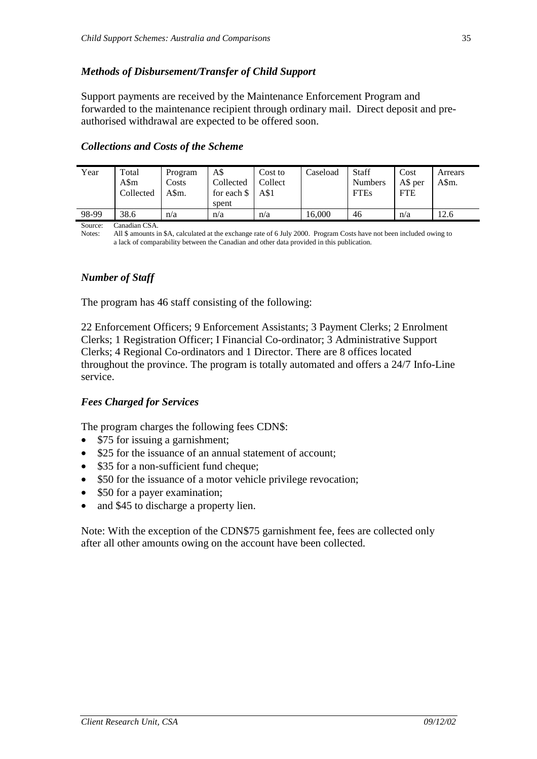### *Methods of Disbursement/Transfer of Child Support*

Support payments are received by the Maintenance Enforcement Program and forwarded to the maintenance recipient through ordinary mail. Direct deposit and preauthorised withdrawal are expected to be offered soon.

| Year  | Total     | Program | A\$         | Cost to | Caseload | <b>Staff</b>   | Cost       | Arrears |
|-------|-----------|---------|-------------|---------|----------|----------------|------------|---------|
|       | A\$m      | Costs   | Collected   | Collect |          | <b>Numbers</b> | A\$ per    | A\$m.   |
|       | Collected | A\$m.   | for each \$ | A\$1    |          | <b>FTEs</b>    | <b>FTE</b> |         |
|       |           |         | spent       |         |          |                |            |         |
| 98-99 | 38.6      | n/a     | n/a         | n/a     | 16,000   | 46             | n/a        | 12.6    |

#### *Collections and Costs of the Scheme*

Source: Canadian CSA.<br>Notes: All \$ amounts i

All \$ amounts in \$A, calculated at the exchange rate of 6 July 2000. Program Costs have not been included owing to a lack of comparability between the Canadian and other data provided in this publication.

### *Number of Staff*

The program has 46 staff consisting of the following:

22 Enforcement Officers; 9 Enforcement Assistants; 3 Payment Clerks; 2 Enrolment Clerks; 1 Registration Officer; I Financial Co-ordinator; 3 Administrative Support Clerks; 4 Regional Co-ordinators and 1 Director. There are 8 offices located throughout the province. The program is totally automated and offers a 24/7 Info-Line service.

#### *Fees Charged for Services*

The program charges the following fees CDN\$:

- \$75 for issuing a garnishment;
- \$25 for the issuance of an annual statement of account;
- \$35 for a non-sufficient fund cheque;
- \$50 for the issuance of a motor vehicle privilege revocation;
- \$50 for a payer examination;
- and \$45 to discharge a property lien.

Note: With the exception of the CDN\$75 garnishment fee, fees are collected only after all other amounts owing on the account have been collected.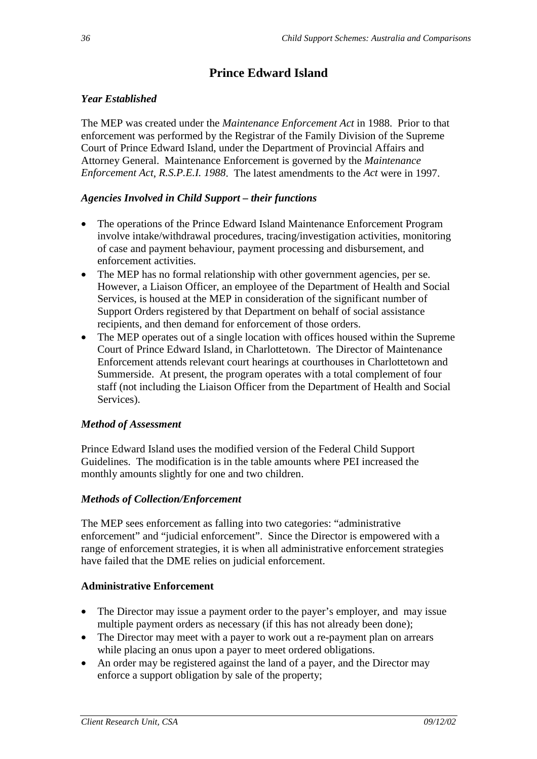# **Prince Edward Island**

### *Year Established*

The MEP was created under the *Maintenance Enforcement Act* in 1988. Prior to that enforcement was performed by the Registrar of the Family Division of the Supreme Court of Prince Edward Island, under the Department of Provincial Affairs and Attorney General. Maintenance Enforcement is governed by the *Maintenance Enforcement Act*, *R.S.P.E.I. 1988*. The latest amendments to the *Act* were in 1997.

### *Agencies Involved in Child Support – their functions*

- The operations of the Prince Edward Island Maintenance Enforcement Program involve intake/withdrawal procedures, tracing/investigation activities, monitoring of case and payment behaviour, payment processing and disbursement, and enforcement activities.
- The MEP has no formal relationship with other government agencies, per se. However, a Liaison Officer, an employee of the Department of Health and Social Services, is housed at the MEP in consideration of the significant number of Support Orders registered by that Department on behalf of social assistance recipients, and then demand for enforcement of those orders.
- The MEP operates out of a single location with offices housed within the Supreme Court of Prince Edward Island, in Charlottetown. The Director of Maintenance Enforcement attends relevant court hearings at courthouses in Charlottetown and Summerside. At present, the program operates with a total complement of four staff (not including the Liaison Officer from the Department of Health and Social Services).

### *Method of Assessment*

Prince Edward Island uses the modified version of the Federal Child Support Guidelines. The modification is in the table amounts where PEI increased the monthly amounts slightly for one and two children.

### *Methods of Collection/Enforcement*

The MEP sees enforcement as falling into two categories: "administrative enforcement" and "judicial enforcement". Since the Director is empowered with a range of enforcement strategies, it is when all administrative enforcement strategies have failed that the DME relies on judicial enforcement.

### **Administrative Enforcement**

- The Director may issue a payment order to the payer's employer, and may issue multiple payment orders as necessary (if this has not already been done);
- The Director may meet with a payer to work out a re-payment plan on arrears while placing an onus upon a payer to meet ordered obligations.
- An order may be registered against the land of a payer, and the Director may enforce a support obligation by sale of the property;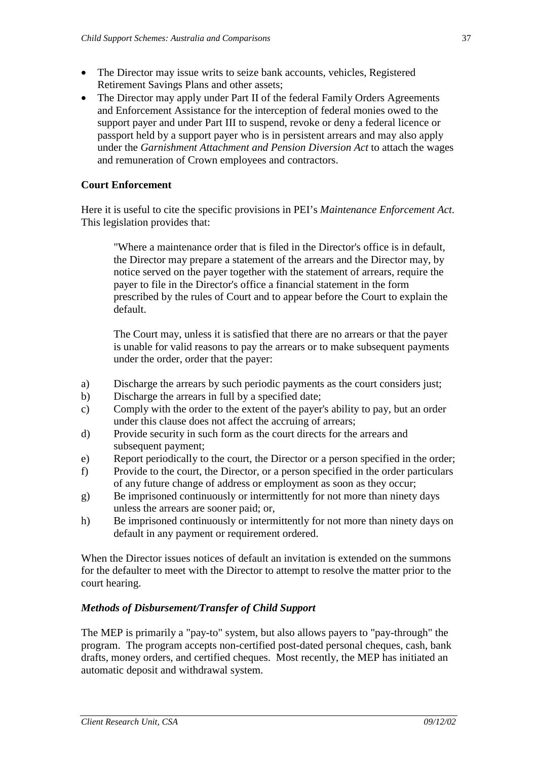- The Director may issue writs to seize bank accounts, vehicles, Registered Retirement Savings Plans and other assets;
- The Director may apply under Part II of the federal Family Orders Agreements and Enforcement Assistance for the interception of federal monies owed to the support payer and under Part III to suspend, revoke or deny a federal licence or passport held by a support payer who is in persistent arrears and may also apply under the *Garnishment Attachment and Pension Diversion Act* to attach the wages and remuneration of Crown employees and contractors.

#### **Court Enforcement**

Here it is useful to cite the specific provisions in PEI's *Maintenance Enforcement Act*. This legislation provides that:

 "Where a maintenance order that is filed in the Director's office is in default, the Director may prepare a statement of the arrears and the Director may, by notice served on the payer together with the statement of arrears, require the payer to file in the Director's office a financial statement in the form prescribed by the rules of Court and to appear before the Court to explain the default.

 The Court may, unless it is satisfied that there are no arrears or that the payer is unable for valid reasons to pay the arrears or to make subsequent payments under the order, order that the payer:

- a) Discharge the arrears by such periodic payments as the court considers just;
- b) Discharge the arrears in full by a specified date;
- c) Comply with the order to the extent of the payer's ability to pay, but an order under this clause does not affect the accruing of arrears;
- d) Provide security in such form as the court directs for the arrears and subsequent payment;
- e) Report periodically to the court, the Director or a person specified in the order;
- f) Provide to the court, the Director, or a person specified in the order particulars of any future change of address or employment as soon as they occur;
- g) Be imprisoned continuously or intermittently for not more than ninety days unless the arrears are sooner paid; or,
- h) Be imprisoned continuously or intermittently for not more than ninety days on default in any payment or requirement ordered.

When the Director issues notices of default an invitation is extended on the summons for the defaulter to meet with the Director to attempt to resolve the matter prior to the court hearing.

#### *Methods of Disbursement/Transfer of Child Support*

The MEP is primarily a "pay-to" system, but also allows payers to "pay-through" the program. The program accepts non-certified post-dated personal cheques, cash, bank drafts, money orders, and certified cheques. Most recently, the MEP has initiated an automatic deposit and withdrawal system.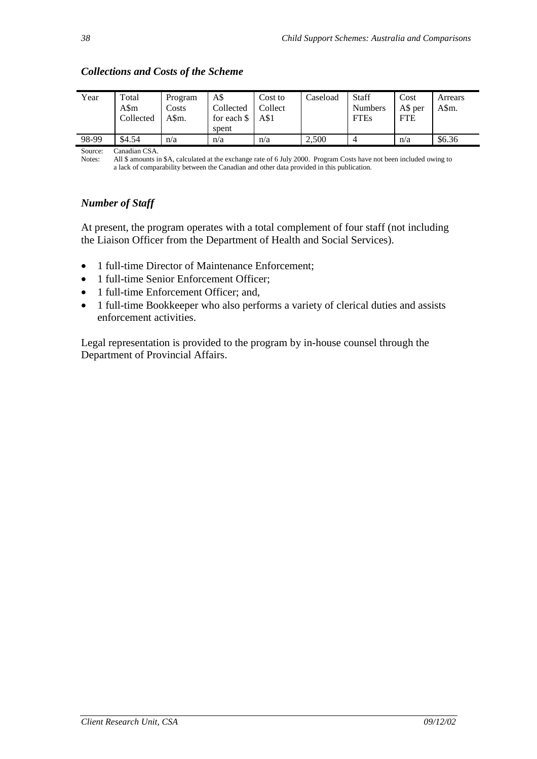| Year  | Total<br>A\$m<br>Collected | Program<br>Costs<br>A\$m. | A\$<br>Collected<br>for each \$<br>spent | Cost to<br>Collect<br>A\$1 | Caseload | Staff<br><b>Numbers</b><br><b>FTEs</b> | Cost<br>A\$ per<br><b>FTE</b> | Arrears<br>A\$m. |
|-------|----------------------------|---------------------------|------------------------------------------|----------------------------|----------|----------------------------------------|-------------------------------|------------------|
| 98-99 | \$4.54                     | n/a                       | n/a                                      | n/a                        | 2,500    |                                        | n/a                           | \$6.36           |

### *Collections and Costs of the Scheme*

Source: Canadian CSA.

Notes: All \$ amounts in \$A, calculated at the exchange rate of 6 July 2000. Program Costs have not been included owing to a lack of comparability between the Canadian and other data provided in this publication.

# *Number of Staff*

At present, the program operates with a total complement of four staff (not including the Liaison Officer from the Department of Health and Social Services).

- 1 full-time Director of Maintenance Enforcement;
- 1 full-time Senior Enforcement Officer;
- 1 full-time Enforcement Officer; and,
- 1 full-time Bookkeeper who also performs a variety of clerical duties and assists enforcement activities.

Legal representation is provided to the program by in-house counsel through the Department of Provincial Affairs.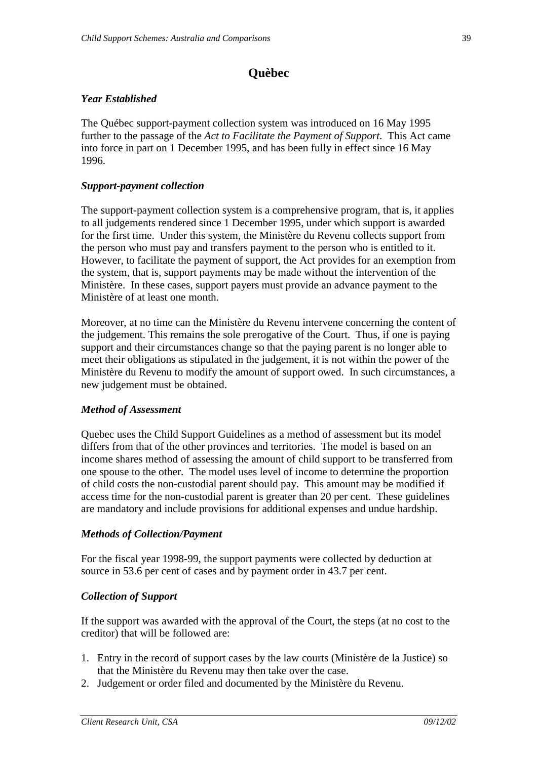# **Quèbec**

## *Year Established*

The Québec support-payment collection system was introduced on 16 May 1995 further to the passage of the *Act to Facilitate the Payment of Support*. This Act came into force in part on 1 December 1995, and has been fully in effect since 16 May 1996.

### *Support-payment collection*

The support-payment collection system is a comprehensive program, that is, it applies to all judgements rendered since 1 December 1995, under which support is awarded for the first time. Under this system, the Ministère du Revenu collects support from the person who must pay and transfers payment to the person who is entitled to it. However, to facilitate the payment of support, the Act provides for an exemption from the system, that is, support payments may be made without the intervention of the Ministère. In these cases, support payers must provide an advance payment to the Ministère of at least one month.

Moreover, at no time can the Ministère du Revenu intervene concerning the content of the judgement. This remains the sole prerogative of the Court. Thus, if one is paying support and their circumstances change so that the paying parent is no longer able to meet their obligations as stipulated in the judgement, it is not within the power of the Ministère du Revenu to modify the amount of support owed. In such circumstances, a new judgement must be obtained.

#### *Method of Assessment*

Quebec uses the Child Support Guidelines as a method of assessment but its model differs from that of the other provinces and territories. The model is based on an income shares method of assessing the amount of child support to be transferred from one spouse to the other. The model uses level of income to determine the proportion of child costs the non-custodial parent should pay. This amount may be modified if access time for the non-custodial parent is greater than 20 per cent. These guidelines are mandatory and include provisions for additional expenses and undue hardship.

#### *Methods of Collection/Payment*

For the fiscal year 1998-99, the support payments were collected by deduction at source in 53.6 per cent of cases and by payment order in 43.7 per cent.

#### *Collection of Support*

If the support was awarded with the approval of the Court, the steps (at no cost to the creditor) that will be followed are:

- 1. Entry in the record of support cases by the law courts (Ministère de la Justice) so that the Ministère du Revenu may then take over the case.
- 2. Judgement or order filed and documented by the Ministère du Revenu.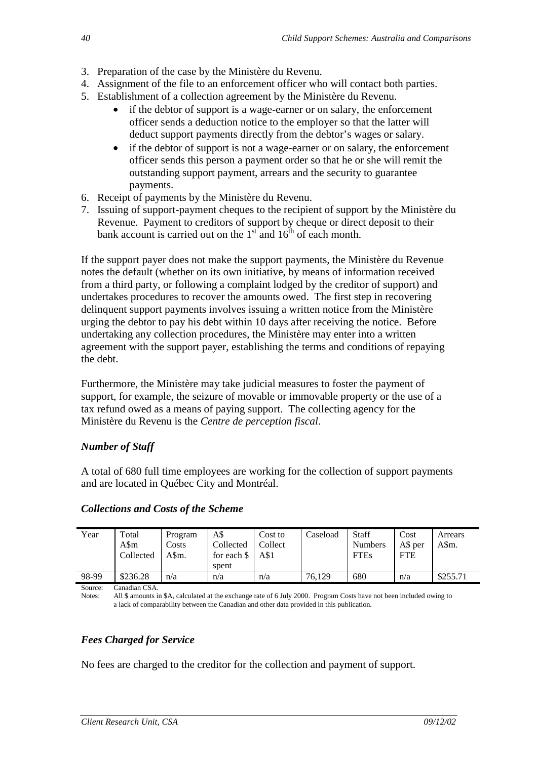- 3. Preparation of the case by the Ministère du Revenu.
- 4. Assignment of the file to an enforcement officer who will contact both parties.
- 5. Establishment of a collection agreement by the Ministère du Revenu.
	- if the debtor of support is a wage-earner or on salary, the enforcement officer sends a deduction notice to the employer so that the latter will deduct support payments directly from the debtor's wages or salary.
	- if the debtor of support is not a wage-earner or on salary, the enforcement officer sends this person a payment order so that he or she will remit the outstanding support payment, arrears and the security to guarantee payments.
- 6. Receipt of payments by the Ministère du Revenu.
- 7. Issuing of support-payment cheques to the recipient of support by the Ministère du Revenue. Payment to creditors of support by cheque or direct deposit to their bank account is carried out on the  $1<sup>st</sup>$  and  $16<sup>th</sup>$  of each month.

If the support payer does not make the support payments, the Ministère du Revenue notes the default (whether on its own initiative, by means of information received from a third party, or following a complaint lodged by the creditor of support) and undertakes procedures to recover the amounts owed. The first step in recovering delinquent support payments involves issuing a written notice from the Ministère urging the debtor to pay his debt within 10 days after receiving the notice. Before undertaking any collection procedures, the Ministère may enter into a written agreement with the support payer, establishing the terms and conditions of repaying the debt.

Furthermore, the Ministère may take judicial measures to foster the payment of support, for example, the seizure of movable or immovable property or the use of a tax refund owed as a means of paying support. The collecting agency for the Ministère du Revenu is the *Centre de perception fiscal*.

# *Number of Staff*

A total of 680 full time employees are working for the collection of support payments and are located in Québec City and Montréal.

| Year    | Total<br>A\$m<br>Collected | Program<br>Costs<br>A\$m. | A\$<br>Collected<br>for each \$<br>spent | Cost to<br>Collect<br>A\$1 | Caseload | <b>Staff</b><br><b>Numbers</b><br><b>FTEs</b> | Cost<br>A\$ per<br><b>FTE</b> | Arrears<br>A\$m. |
|---------|----------------------------|---------------------------|------------------------------------------|----------------------------|----------|-----------------------------------------------|-------------------------------|------------------|
| 98-99   | \$236.28                   | n/a                       | n/a                                      | n/a                        | 76.129   | 680                                           | n/a                           | \$255.71         |
| Source: | <sup>∼</sup> anadian CSA   |                           |                                          |                            |          |                                               |                               |                  |

#### *Collections and Costs of the Scheme*

Notes: All \$ amounts in \$A, calculated at the exchange rate of 6 July 2000. Program Costs have not been included owing to a lack of comparability between the Canadian and other data provided in this publication.

# *Fees Charged for Service*

No fees are charged to the creditor for the collection and payment of support.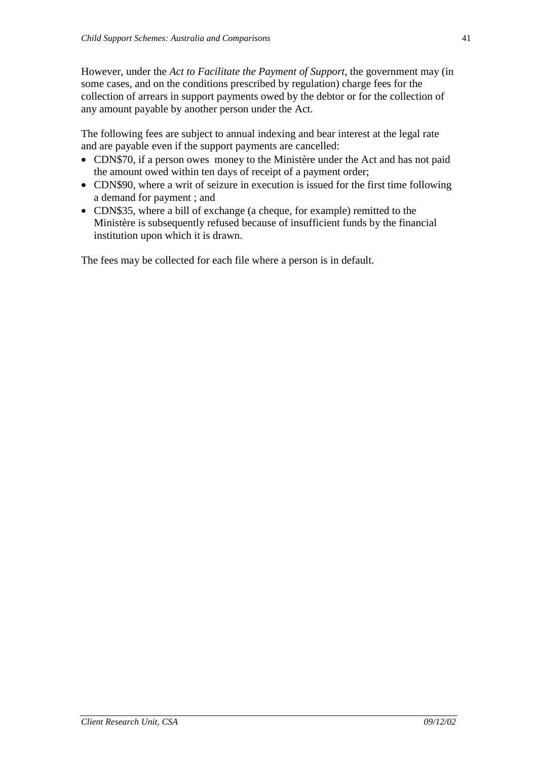However, under the *Act to Facilitate the Payment of Support*, the government may (in some cases, and on the conditions prescribed by regulation) charge fees for the collection of arrears in support payments owed by the debtor or for the collection of any amount payable by another person under the Act.

The following fees are subject to annual indexing and bear interest at the legal rate and are payable even if the support payments are cancelled:

- CDN\$70, if a person owes money to the Ministère under the Act and has not paid the amount owed within ten days of receipt of a payment order;
- CDN\$90, where a writ of seizure in execution is issued for the first time following a demand for payment ; and
- CDN\$35, where a bill of exchange (a cheque, for example) remitted to the Ministère is subsequently refused because of insufficient funds by the financial institution upon which it is drawn.

The fees may be collected for each file where a person is in default.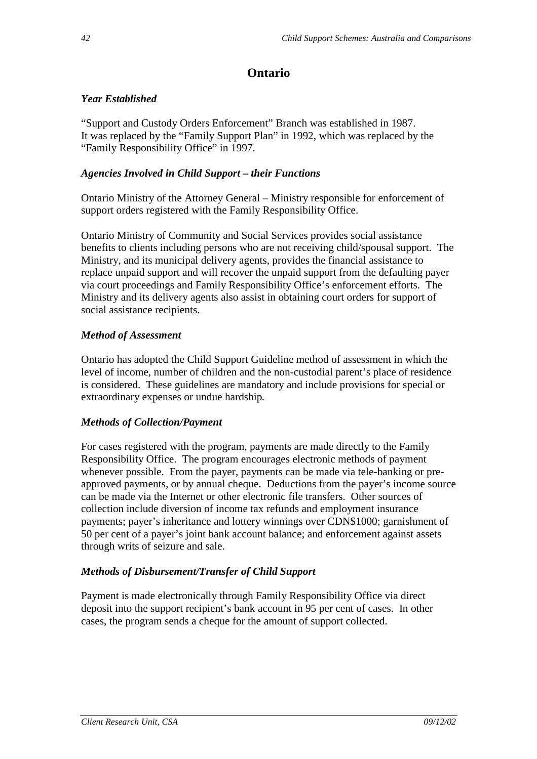# **Ontario**

## *Year Established*

"Support and Custody Orders Enforcement" Branch was established in 1987. It was replaced by the "Family Support Plan" in 1992, which was replaced by the "Family Responsibility Office" in 1997.

## *Agencies Involved in Child Support – their Functions*

Ontario Ministry of the Attorney General – Ministry responsible for enforcement of support orders registered with the Family Responsibility Office.

Ontario Ministry of Community and Social Services provides social assistance benefits to clients including persons who are not receiving child/spousal support. The Ministry, and its municipal delivery agents, provides the financial assistance to replace unpaid support and will recover the unpaid support from the defaulting payer via court proceedings and Family Responsibility Office's enforcement efforts. The Ministry and its delivery agents also assist in obtaining court orders for support of social assistance recipients.

# *Method of Assessment*

Ontario has adopted the Child Support Guideline method of assessment in which the level of income, number of children and the non-custodial parent's place of residence is considered. These guidelines are mandatory and include provisions for special or extraordinary expenses or undue hardship*.*

#### *Methods of Collection/Payment*

For cases registered with the program, payments are made directly to the Family Responsibility Office. The program encourages electronic methods of payment whenever possible. From the payer, payments can be made via tele-banking or preapproved payments, or by annual cheque. Deductions from the payer's income source can be made via the Internet or other electronic file transfers. Other sources of collection include diversion of income tax refunds and employment insurance payments; payer's inheritance and lottery winnings over CDN\$1000; garnishment of 50 per cent of a payer's joint bank account balance; and enforcement against assets through writs of seizure and sale.

# *Methods of Disbursement/Transfer of Child Support*

Payment is made electronically through Family Responsibility Office via direct deposit into the support recipient's bank account in 95 per cent of cases. In other cases, the program sends a cheque for the amount of support collected.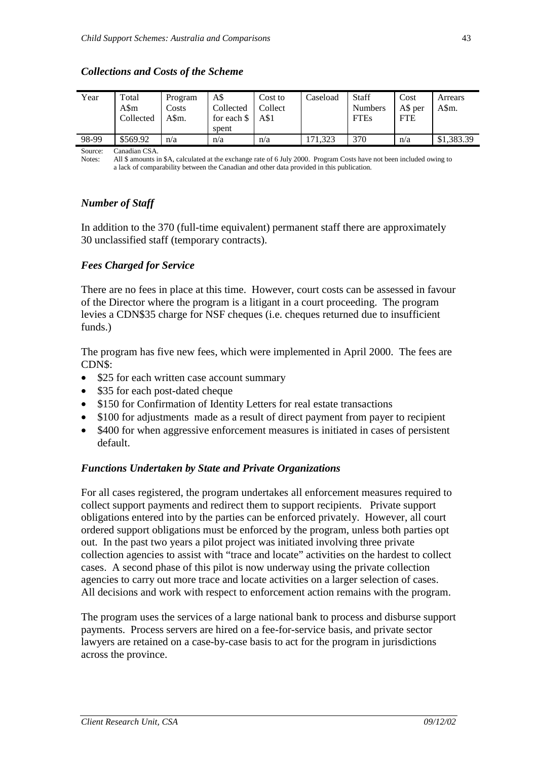#### *Collections and Costs of the Scheme*

| Year  | Total<br>A\$m<br>Collected | Program<br>Costs<br>A\$m. | A\$<br>Collected<br>for each \$<br>spent | Cost to<br>Collect<br>$A\$1$ | Caseload | Staff<br><b>Numbers</b><br><b>FTEs</b> | Cost<br>A\$ per<br><b>FTE</b> | Arrears<br>A\$m. |
|-------|----------------------------|---------------------------|------------------------------------------|------------------------------|----------|----------------------------------------|-------------------------------|------------------|
| 98-99 | \$569.92                   | n/a                       | n/a                                      | n/a                          | 1.323    | 370                                    | n/a                           | \$1,383.39       |

Source: Canadian CSA.

Notes: All \$ amounts in \$A, calculated at the exchange rate of 6 July 2000. Program Costs have not been included owing to a lack of comparability between the Canadian and other data provided in this publication.

#### *Number of Staff*

In addition to the 370 (full-time equivalent) permanent staff there are approximately 30 unclassified staff (temporary contracts).

#### *Fees Charged for Service*

There are no fees in place at this time. However, court costs can be assessed in favour of the Director where the program is a litigant in a court proceeding. The program levies a CDN\$35 charge for NSF cheques (i.e. cheques returned due to insufficient funds.)

The program has five new fees, which were implemented in April 2000. The fees are CDN\$:

- \$25 for each written case account summary
- \$35 for each post-dated cheque
- \$150 for Confirmation of Identity Letters for real estate transactions
- \$100 for adjustments made as a result of direct payment from payer to recipient
- \$400 for when aggressive enforcement measures is initiated in cases of persistent default.

#### *Functions Undertaken by State and Private Organizations*

For all cases registered, the program undertakes all enforcement measures required to collect support payments and redirect them to support recipients. Private support obligations entered into by the parties can be enforced privately. However, all court ordered support obligations must be enforced by the program, unless both parties opt out. In the past two years a pilot project was initiated involving three private collection agencies to assist with "trace and locate" activities on the hardest to collect cases. A second phase of this pilot is now underway using the private collection agencies to carry out more trace and locate activities on a larger selection of cases. All decisions and work with respect to enforcement action remains with the program.

The program uses the services of a large national bank to process and disburse support payments. Process servers are hired on a fee-for-service basis, and private sector lawyers are retained on a case-by-case basis to act for the program in jurisdictions across the province.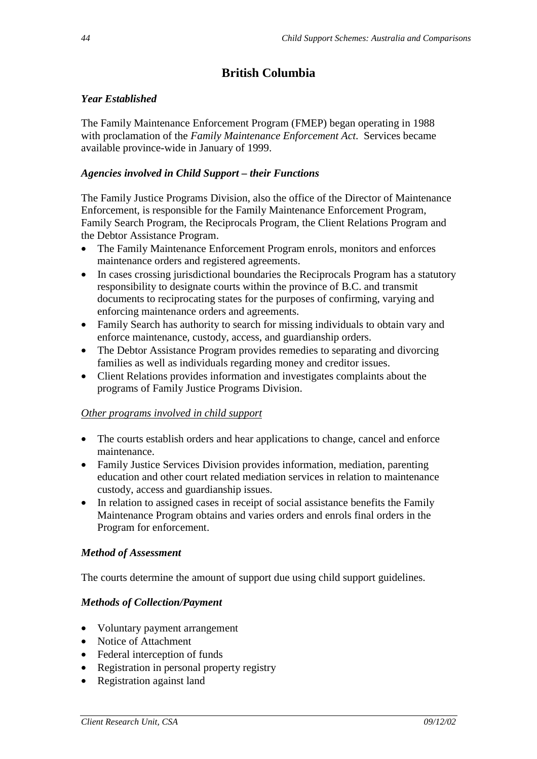# **British Columbia**

## *Year Established*

The Family Maintenance Enforcement Program (FMEP) began operating in 1988 with proclamation of the *Family Maintenance Enforcement Act*. Services became available province-wide in January of 1999.

### *Agencies involved in Child Support – their Functions*

The Family Justice Programs Division, also the office of the Director of Maintenance Enforcement, is responsible for the Family Maintenance Enforcement Program, Family Search Program, the Reciprocals Program, the Client Relations Program and the Debtor Assistance Program.

- The Family Maintenance Enforcement Program enrols, monitors and enforces maintenance orders and registered agreements.
- In cases crossing jurisdictional boundaries the Reciprocals Program has a statutory responsibility to designate courts within the province of B.C. and transmit documents to reciprocating states for the purposes of confirming, varying and enforcing maintenance orders and agreements.
- Family Search has authority to search for missing individuals to obtain vary and enforce maintenance, custody, access, and guardianship orders.
- The Debtor Assistance Program provides remedies to separating and divorcing families as well as individuals regarding money and creditor issues.
- Client Relations provides information and investigates complaints about the programs of Family Justice Programs Division.

#### *Other programs involved in child support*

- The courts establish orders and hear applications to change, cancel and enforce maintenance.
- Family Justice Services Division provides information, mediation, parenting education and other court related mediation services in relation to maintenance custody, access and guardianship issues.
- In relation to assigned cases in receipt of social assistance benefits the Family Maintenance Program obtains and varies orders and enrols final orders in the Program for enforcement.

# *Method of Assessment*

The courts determine the amount of support due using child support guidelines.

#### *Methods of Collection/Payment*

- Voluntary payment arrangement
- Notice of Attachment
- Federal interception of funds
- Registration in personal property registry
- Registration against land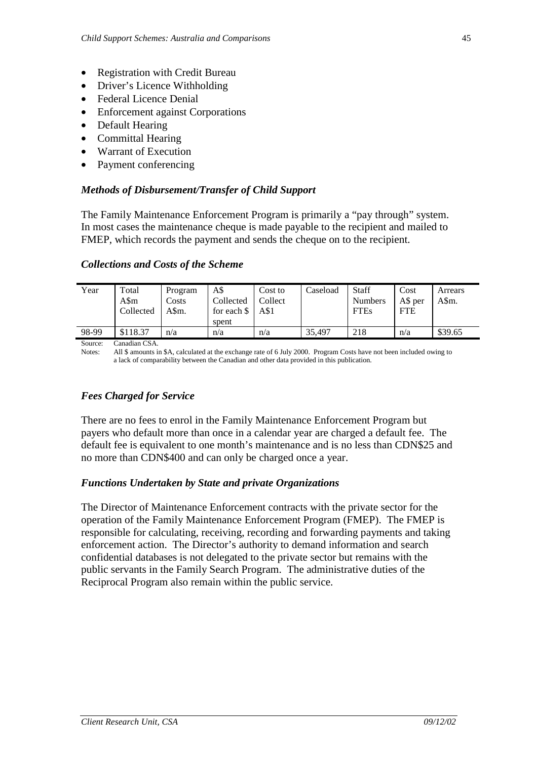- Registration with Credit Bureau
- Driver's Licence Withholding
- Federal Licence Denial
- Enforcement against Corporations
- Default Hearing
- Committal Hearing
- Warrant of Execution
- Payment conferencing

#### *Methods of Disbursement/Transfer of Child Support*

The Family Maintenance Enforcement Program is primarily a "pay through" system. In most cases the maintenance cheque is made payable to the recipient and mailed to FMEP, which records the payment and sends the cheque on to the recipient.

#### *Collections and Costs of the Scheme*

| Year  | Total<br>A\$m<br>Collected | Program<br>Costs<br>A\$m. | A\$<br>Collected<br>for each \$<br>spent | Cost to<br>Collect<br>A\$1 | Caseload | <b>Staff</b><br><b>Numbers</b><br><b>FTEs</b> | Cost<br>A\$ per<br><b>FTE</b> | Arrears<br>A\$m. |
|-------|----------------------------|---------------------------|------------------------------------------|----------------------------|----------|-----------------------------------------------|-------------------------------|------------------|
| 98-99 | \$118.37                   | n/a                       | n/a                                      | n/a                        | 35.497   | 218                                           | n/a                           | \$39.65          |
|       |                            |                           |                                          |                            |          |                                               |                               |                  |

Source: Canadian CSA.<br>Notes: All \$ amounts i All \$ amounts in \$A, calculated at the exchange rate of 6 July 2000. Program Costs have not been included owing to a lack of comparability between the Canadian and other data provided in this publication.

#### *Fees Charged for Service*

There are no fees to enrol in the Family Maintenance Enforcement Program but payers who default more than once in a calendar year are charged a default fee. The default fee is equivalent to one month's maintenance and is no less than CDN\$25 and no more than CDN\$400 and can only be charged once a year.

#### *Functions Undertaken by State and private Organizations*

The Director of Maintenance Enforcement contracts with the private sector for the operation of the Family Maintenance Enforcement Program (FMEP). The FMEP is responsible for calculating, receiving, recording and forwarding payments and taking enforcement action. The Director's authority to demand information and search confidential databases is not delegated to the private sector but remains with the public servants in the Family Search Program. The administrative duties of the Reciprocal Program also remain within the public service.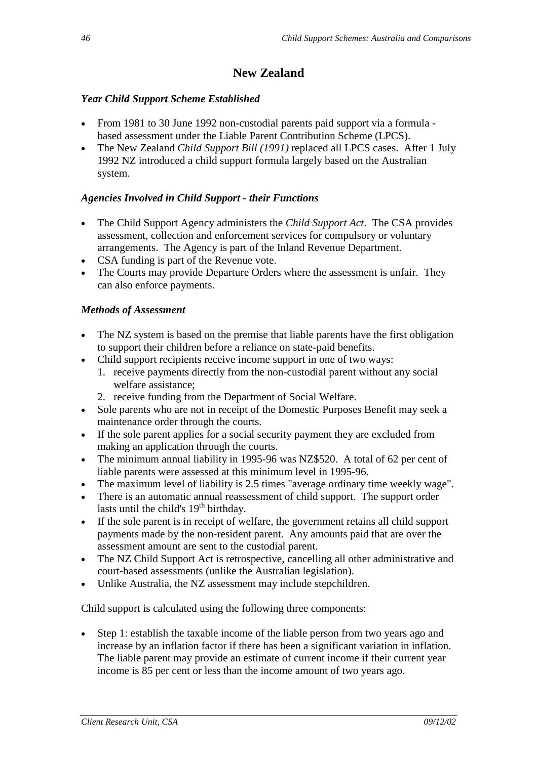# **New Zealand**

## *Year Child Support Scheme Established*

- From 1981 to 30 June 1992 non-custodial parents paid support via a formula based assessment under the Liable Parent Contribution Scheme (LPCS).
- The New Zealand *Child Support Bill (1991)* replaced all LPCS cases. After 1 July 1992 NZ introduced a child support formula largely based on the Australian system.

# *Agencies Involved in Child Support - their Functions*

- The Child Support Agency administers the *Child Support Act*. The CSA provides assessment, collection and enforcement services for compulsory or voluntary arrangements. The Agency is part of the Inland Revenue Department.
- CSA funding is part of the Revenue vote.
- The Courts may provide Departure Orders where the assessment is unfair. They can also enforce payments.

# *Methods of Assessment*

- The NZ system is based on the premise that liable parents have the first obligation to support their children before a reliance on state-paid benefits.
- Child support recipients receive income support in one of two ways:
	- 1. receive payments directly from the non-custodial parent without any social welfare assistance;
	- 2. receive funding from the Department of Social Welfare.
- Sole parents who are not in receipt of the Domestic Purposes Benefit may seek a maintenance order through the courts.
- If the sole parent applies for a social security payment they are excluded from making an application through the courts.
- The minimum annual liability in 1995-96 was NZ\$520. A total of 62 per cent of liable parents were assessed at this minimum level in 1995-96.
- The maximum level of liability is 2.5 times "average ordinary time weekly wage".
- There is an automatic annual reassessment of child support. The support order lasts until the child's  $19<sup>th</sup>$  birthday.
- If the sole parent is in receipt of welfare, the government retains all child support payments made by the non-resident parent. Any amounts paid that are over the assessment amount are sent to the custodial parent.
- The NZ Child Support Act is retrospective, cancelling all other administrative and court-based assessments (unlike the Australian legislation).
- Unlike Australia, the NZ assessment may include stepchildren.

Child support is calculated using the following three components:

• Step 1: establish the taxable income of the liable person from two years ago and increase by an inflation factor if there has been a significant variation in inflation. The liable parent may provide an estimate of current income if their current year income is 85 per cent or less than the income amount of two years ago.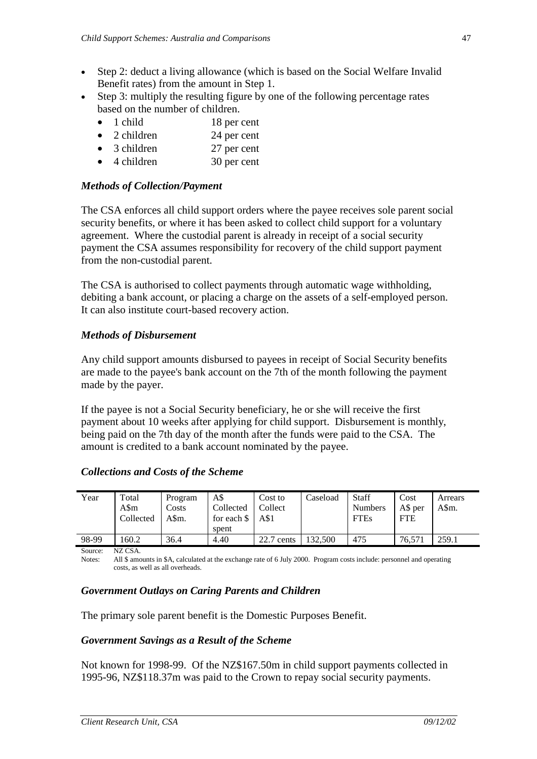- Step 2: deduct a living allowance (which is based on the Social Welfare Invalid Benefit rates) from the amount in Step 1.
- Step 3: multiply the resulting figure by one of the following percentage rates based on the number of children.
	- 1 child 18 per cent
	- 2 children 24 per cent
	- 3 children 27 per cent
	- 4 children 30 per cent

#### *Methods of Collection/Payment*

The CSA enforces all child support orders where the payee receives sole parent social security benefits, or where it has been asked to collect child support for a voluntary agreement. Where the custodial parent is already in receipt of a social security payment the CSA assumes responsibility for recovery of the child support payment from the non-custodial parent.

The CSA is authorised to collect payments through automatic wage withholding, debiting a bank account, or placing a charge on the assets of a self-employed person. It can also institute court-based recovery action.

#### *Methods of Disbursement*

Any child support amounts disbursed to payees in receipt of Social Security benefits are made to the payee's bank account on the 7th of the month following the payment made by the payer.

If the payee is not a Social Security beneficiary, he or she will receive the first payment about 10 weeks after applying for child support. Disbursement is monthly, being paid on the 7th day of the month after the funds were paid to the CSA. The amount is credited to a bank account nominated by the payee.

#### *Collections and Costs of the Scheme*

| Year  | Total     | Program | A\$         | Cost to      | Caseload | Staff          | Cost       | Arrears |
|-------|-----------|---------|-------------|--------------|----------|----------------|------------|---------|
|       | A\$m      | Costs   | Collected   | Collect      |          | <b>Numbers</b> | A\$ per    | A\$m.   |
|       | Collected | A\$m.   | for each \$ | A\$1         |          | <b>FTEs</b>    | <b>FTE</b> |         |
|       |           |         | spent       |              |          |                |            |         |
| 98-99 | 160.2     | 36.4    | 4.40        | $22.7$ cents | 132,500  | 475            | 76.57      | 259.1   |

Source: NZ CSA.

Notes: All \$ amounts in \$A, calculated at the exchange rate of 6 July 2000. Program costs include: personnel and operating costs, as well as all overheads.

#### *Government Outlays on Caring Parents and Children*

The primary sole parent benefit is the Domestic Purposes Benefit.

#### *Government Savings as a Result of the Scheme*

Not known for 1998-99. Of the NZ\$167.50m in child support payments collected in 1995-96, NZ\$118.37m was paid to the Crown to repay social security payments.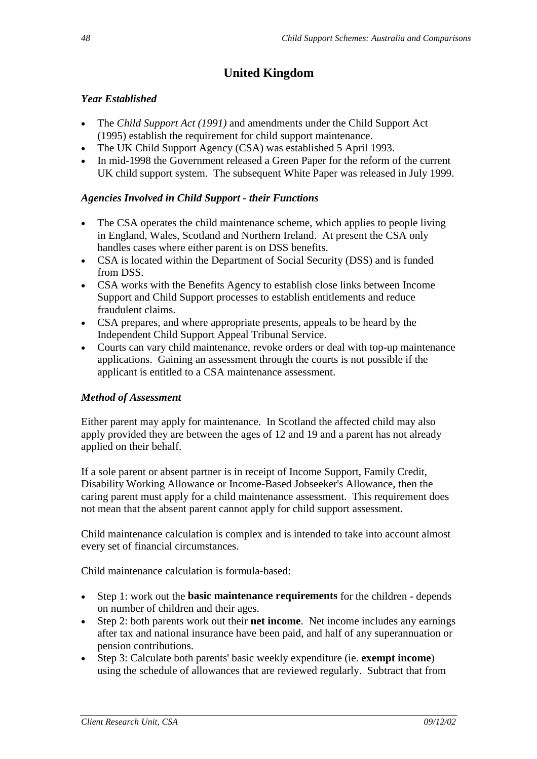# **United Kingdom**

# *Year Established*

- The *Child Support Act (1991)* and amendments under the Child Support Act (1995) establish the requirement for child support maintenance.
- The UK Child Support Agency (CSA) was established 5 April 1993.
- In mid-1998 the Government released a Green Paper for the reform of the current UK child support system. The subsequent White Paper was released in July 1999.

# *Agencies Involved in Child Support - their Functions*

- The CSA operates the child maintenance scheme, which applies to people living in England, Wales, Scotland and Northern Ireland. At present the CSA only handles cases where either parent is on DSS benefits.
- CSA is located within the Department of Social Security (DSS) and is funded from DSS.
- CSA works with the Benefits Agency to establish close links between Income Support and Child Support processes to establish entitlements and reduce fraudulent claims.
- CSA prepares, and where appropriate presents, appeals to be heard by the Independent Child Support Appeal Tribunal Service.
- Courts can vary child maintenance, revoke orders or deal with top-up maintenance applications. Gaining an assessment through the courts is not possible if the applicant is entitled to a CSA maintenance assessment.

# *Method of Assessment*

Either parent may apply for maintenance. In Scotland the affected child may also apply provided they are between the ages of 12 and 19 and a parent has not already applied on their behalf.

If a sole parent or absent partner is in receipt of Income Support, Family Credit, Disability Working Allowance or Income-Based Jobseeker's Allowance, then the caring parent must apply for a child maintenance assessment. This requirement does not mean that the absent parent cannot apply for child support assessment.

Child maintenance calculation is complex and is intended to take into account almost every set of financial circumstances.

Child maintenance calculation is formula-based:

- Step 1: work out the **basic maintenance requirements** for the children depends on number of children and their ages.
- Step 2: both parents work out their **net income**. Net income includes any earnings after tax and national insurance have been paid, and half of any superannuation or pension contributions.
- Step 3: Calculate both parents' basic weekly expenditure (ie. **exempt income**) using the schedule of allowances that are reviewed regularly. Subtract that from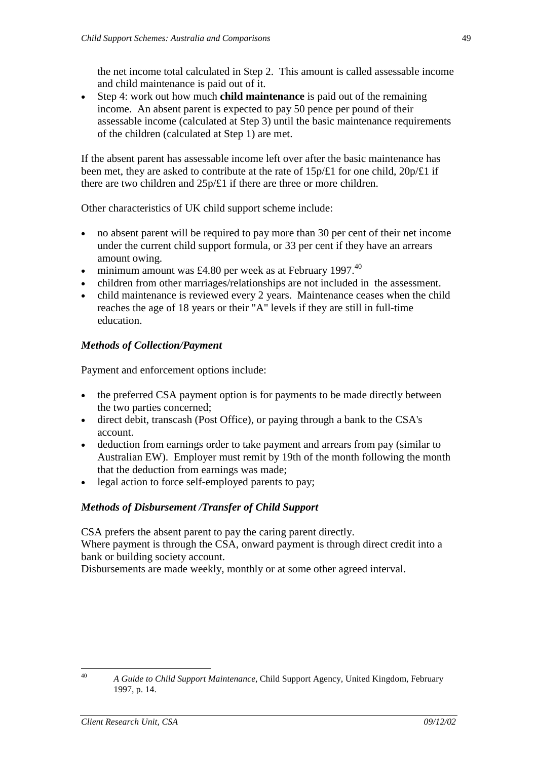the net income total calculated in Step 2. This amount is called assessable income and child maintenance is paid out of it.

• Step 4: work out how much **child maintenance** is paid out of the remaining income. An absent parent is expected to pay 50 pence per pound of their assessable income (calculated at Step 3) until the basic maintenance requirements of the children (calculated at Step 1) are met.

If the absent parent has assessable income left over after the basic maintenance has been met, they are asked to contribute at the rate of 15p/£1 for one child, 20p/£1 if there are two children and 25p/£1 if there are three or more children.

Other characteristics of UK child support scheme include:

- no absent parent will be required to pay more than 30 per cent of their net income under the current child support formula, or 33 per cent if they have an arrears amount owing.
- minimum amount was £4.80 per week as at February 1997.<sup>40</sup>
- children from other marriages/relationships are not included in the assessment.
- child maintenance is reviewed every 2 years. Maintenance ceases when the child reaches the age of 18 years or their "A" levels if they are still in full-time education.

#### *Methods of Collection/Payment*

Payment and enforcement options include:

- the preferred CSA payment option is for payments to be made directly between the two parties concerned;
- direct debit, transcash (Post Office), or paying through a bank to the CSA's account.
- deduction from earnings order to take payment and arrears from pay (similar to Australian EW). Employer must remit by 19th of the month following the month that the deduction from earnings was made;
- legal action to force self-employed parents to pay;

#### *Methods of Disbursement /Transfer of Child Support*

CSA prefers the absent parent to pay the caring parent directly.

Where payment is through the CSA, onward payment is through direct credit into a bank or building society account.

Disbursements are made weekly, monthly or at some other agreed interval.

<sup>40</sup> *A Guide to Child Support Maintenance*, Child Support Agency, United Kingdom, February 1997, p. 14.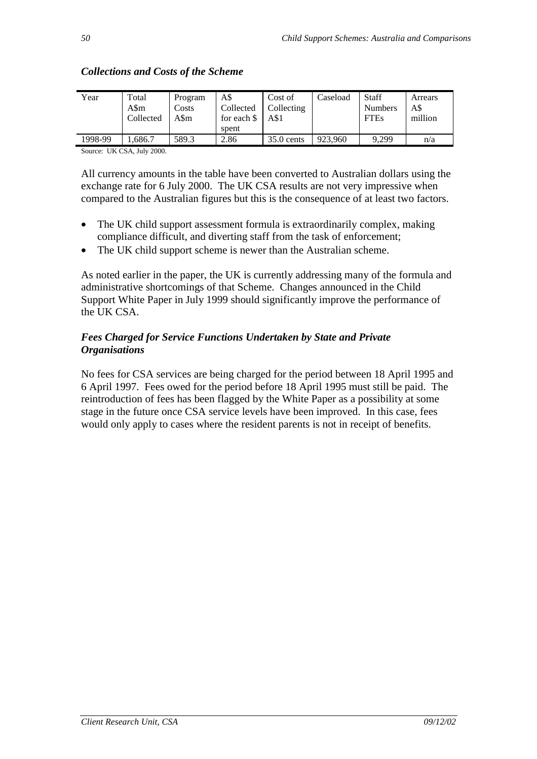| Year    | Total<br>A\$m<br>Collected | Program<br>Costs<br>A\$m | A\$<br>Collected<br>for each \$<br>spent | Cost of<br>Collecting<br>A\$1 | Caseload | <b>Staff</b><br><b>Numbers</b><br><b>FTEs</b> | Arrears<br>A\$<br>million |
|---------|----------------------------|--------------------------|------------------------------------------|-------------------------------|----------|-----------------------------------------------|---------------------------|
| 1998-99 | .,686.7                    | 589.3                    | 2.86                                     | $35.0$ cents                  | 923,960  | 9.299                                         | n/a                       |

## *Collections and Costs of the Scheme*

Source: UK CSA, July 2000.

All currency amounts in the table have been converted to Australian dollars using the exchange rate for 6 July 2000. The UK CSA results are not very impressive when compared to the Australian figures but this is the consequence of at least two factors.

- The UK child support assessment formula is extraordinarily complex, making compliance difficult, and diverting staff from the task of enforcement;
- The UK child support scheme is newer than the Australian scheme.

As noted earlier in the paper, the UK is currently addressing many of the formula and administrative shortcomings of that Scheme. Changes announced in the Child Support White Paper in July 1999 should significantly improve the performance of the UK CSA.

## *Fees Charged for Service Functions Undertaken by State and Private Organisations*

No fees for CSA services are being charged for the period between 18 April 1995 and 6 April 1997. Fees owed for the period before 18 April 1995 must still be paid. The reintroduction of fees has been flagged by the White Paper as a possibility at some stage in the future once CSA service levels have been improved. In this case, fees would only apply to cases where the resident parents is not in receipt of benefits.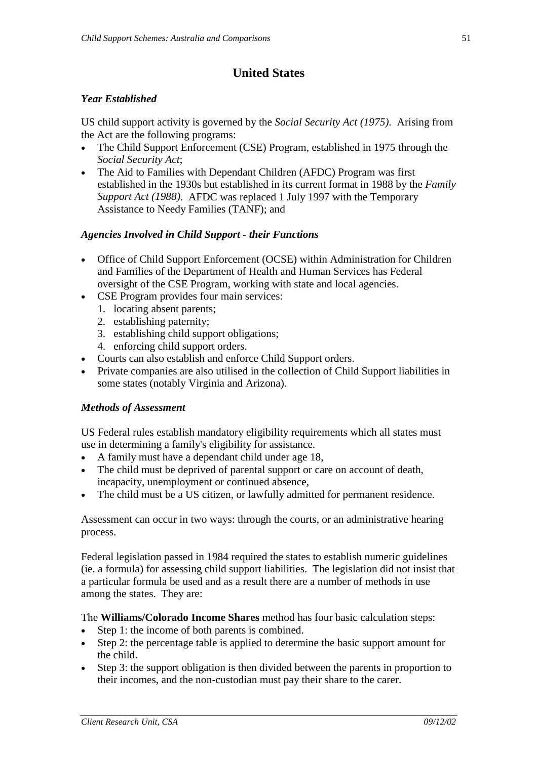# **United States**

## *Year Established*

US child support activity is governed by the *Social Security Act (1975)*. Arising from the Act are the following programs:

- The Child Support Enforcement (CSE) Program, established in 1975 through the *Social Security Act*;
- The Aid to Families with Dependant Children (AFDC) Program was first established in the 1930s but established in its current format in 1988 by the *Family Support Act (1988)*. AFDC was replaced 1 July 1997 with the Temporary Assistance to Needy Families (TANF); and

## *Agencies Involved in Child Support - their Functions*

- Office of Child Support Enforcement (OCSE) within Administration for Children and Families of the Department of Health and Human Services has Federal oversight of the CSE Program, working with state and local agencies.
- CSE Program provides four main services:
	- 1. locating absent parents;
	- 2. establishing paternity;
	- 3. establishing child support obligations;
	- 4. enforcing child support orders.
- Courts can also establish and enforce Child Support orders.
- Private companies are also utilised in the collection of Child Support liabilities in some states (notably Virginia and Arizona).

#### *Methods of Assessment*

US Federal rules establish mandatory eligibility requirements which all states must use in determining a family's eligibility for assistance.

- A family must have a dependant child under age 18,
- The child must be deprived of parental support or care on account of death, incapacity, unemployment or continued absence,
- The child must be a US citizen, or lawfully admitted for permanent residence.

Assessment can occur in two ways: through the courts, or an administrative hearing process.

Federal legislation passed in 1984 required the states to establish numeric guidelines (ie. a formula) for assessing child support liabilities. The legislation did not insist that a particular formula be used and as a result there are a number of methods in use among the states. They are:

The **Williams/Colorado Income Shares** method has four basic calculation steps:

- Step 1: the income of both parents is combined.
- Step 2: the percentage table is applied to determine the basic support amount for the child.
- Step 3: the support obligation is then divided between the parents in proportion to their incomes, and the non-custodian must pay their share to the carer.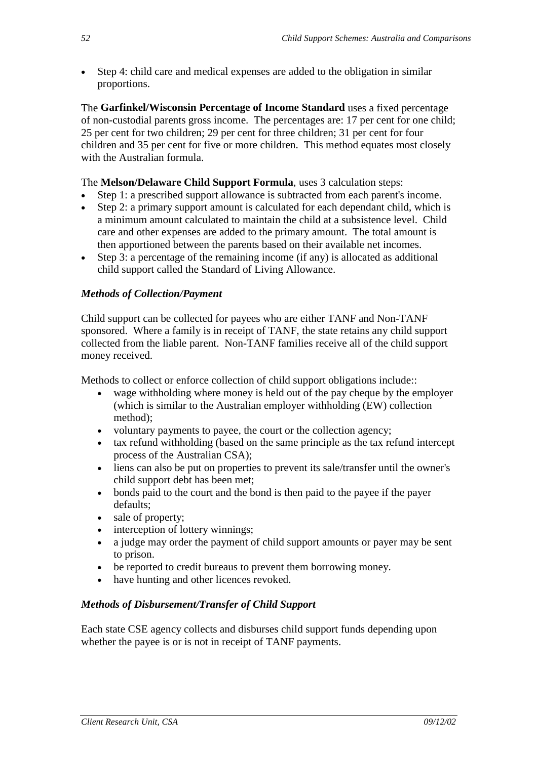• Step 4: child care and medical expenses are added to the obligation in similar proportions.

The **Garfinkel/Wisconsin Percentage of Income Standard** uses a fixed percentage of non-custodial parents gross income. The percentages are: 17 per cent for one child; 25 per cent for two children; 29 per cent for three children; 31 per cent for four children and 35 per cent for five or more children. This method equates most closely with the Australian formula.

The **Melson/Delaware Child Support Formula**, uses 3 calculation steps:

- Step 1: a prescribed support allowance is subtracted from each parent's income.
- Step 2: a primary support amount is calculated for each dependant child, which is a minimum amount calculated to maintain the child at a subsistence level. Child care and other expenses are added to the primary amount. The total amount is then apportioned between the parents based on their available net incomes.
- Step 3: a percentage of the remaining income (if any) is allocated as additional child support called the Standard of Living Allowance.

# *Methods of Collection/Payment*

Child support can be collected for payees who are either TANF and Non-TANF sponsored. Where a family is in receipt of TANF, the state retains any child support collected from the liable parent. Non-TANF families receive all of the child support money received.

Methods to collect or enforce collection of child support obligations include::

- wage withholding where money is held out of the pay cheque by the employer (which is similar to the Australian employer withholding (EW) collection method);
- voluntary payments to payee, the court or the collection agency;
- tax refund withholding (based on the same principle as the tax refund intercept process of the Australian CSA);
- liens can also be put on properties to prevent its sale/transfer until the owner's child support debt has been met;
- bonds paid to the court and the bond is then paid to the payee if the payer defaults;
- sale of property;
- interception of lottery winnings;
- a judge may order the payment of child support amounts or payer may be sent to prison.
- be reported to credit bureaus to prevent them borrowing money.
- have hunting and other licences revoked.

#### *Methods of Disbursement/Transfer of Child Support*

Each state CSE agency collects and disburses child support funds depending upon whether the payee is or is not in receipt of TANF payments.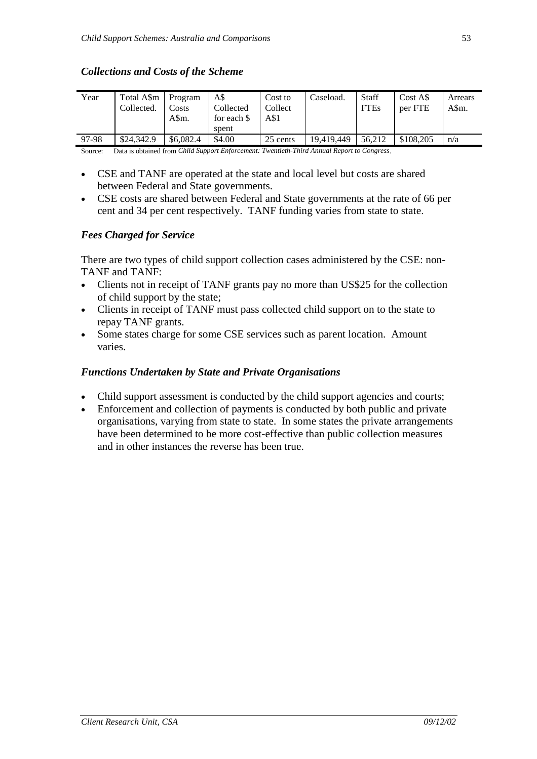#### *Collections and Costs of the Scheme*

| Year  | Total A\$m<br>Collected. | Program<br>Costs<br>A\$m. | A\$<br>Collected<br>for each \$<br>spent | Cost to<br>Collect<br>A\$1 | Caseload.  | <b>Staff</b><br><b>FTEs</b> | Cost A\$<br>per FTE | Arrears<br>A\$m. |
|-------|--------------------------|---------------------------|------------------------------------------|----------------------------|------------|-----------------------------|---------------------|------------------|
| 97-98 | \$24,342.9               | \$6,082.4                 | \$4.00                                   | 25 cents                   | 19.419.449 | 56.212                      | \$108,205           | n/a              |

Source: Data is obtained from *Child Support Enforcement: Twentieth-Third Annual Report to Congress*.

- CSE and TANF are operated at the state and local level but costs are shared between Federal and State governments.
- CSE costs are shared between Federal and State governments at the rate of 66 per cent and 34 per cent respectively. TANF funding varies from state to state.

#### *Fees Charged for Service*

There are two types of child support collection cases administered by the CSE: non-TANF and TANF:

- Clients not in receipt of TANF grants pay no more than US\$25 for the collection of child support by the state;
- Clients in receipt of TANF must pass collected child support on to the state to repay TANF grants.
- Some states charge for some CSE services such as parent location. Amount varies.

#### *Functions Undertaken by State and Private Organisations*

- Child support assessment is conducted by the child support agencies and courts;
- Enforcement and collection of payments is conducted by both public and private organisations, varying from state to state. In some states the private arrangements have been determined to be more cost-effective than public collection measures and in other instances the reverse has been true.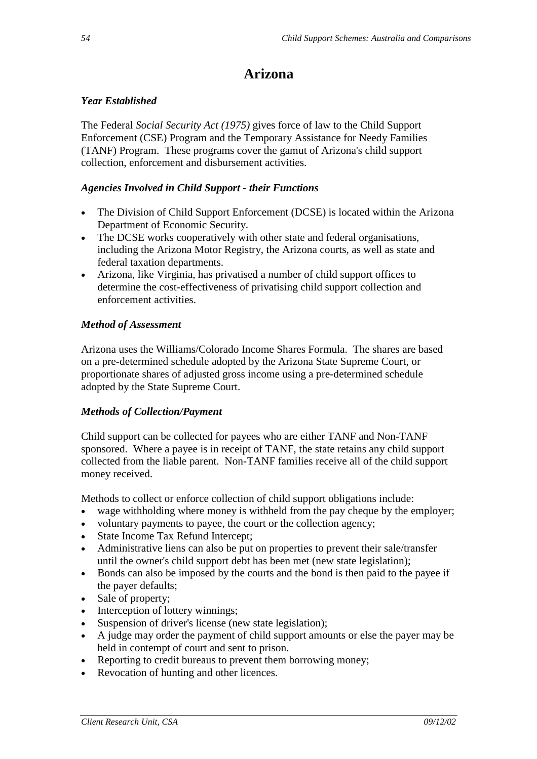# **Arizona**

## *Year Established*

The Federal *Social Security Act (1975)* gives force of law to the Child Support Enforcement (CSE) Program and the Temporary Assistance for Needy Families (TANF) Program. These programs cover the gamut of Arizona's child support collection, enforcement and disbursement activities.

### *Agencies Involved in Child Support - their Functions*

- The Division of Child Support Enforcement (DCSE) is located within the Arizona Department of Economic Security.
- The DCSE works cooperatively with other state and federal organisations, including the Arizona Motor Registry, the Arizona courts, as well as state and federal taxation departments.
- Arizona, like Virginia, has privatised a number of child support offices to determine the cost-effectiveness of privatising child support collection and enforcement activities.

## *Method of Assessment*

Arizona uses the Williams/Colorado Income Shares Formula. The shares are based on a pre-determined schedule adopted by the Arizona State Supreme Court, or proportionate shares of adjusted gross income using a pre-determined schedule adopted by the State Supreme Court.

#### *Methods of Collection/Payment*

Child support can be collected for payees who are either TANF and Non-TANF sponsored. Where a payee is in receipt of TANF, the state retains any child support collected from the liable parent. Non-TANF families receive all of the child support money received.

Methods to collect or enforce collection of child support obligations include:

- wage withholding where money is withheld from the pay cheque by the employer;
- voluntary payments to payee, the court or the collection agency;
- State Income Tax Refund Intercept;
- Administrative liens can also be put on properties to prevent their sale/transfer until the owner's child support debt has been met (new state legislation);
- Bonds can also be imposed by the courts and the bond is then paid to the payee if the payer defaults;
- Sale of property;
- Interception of lottery winnings;
- Suspension of driver's license (new state legislation);
- A judge may order the payment of child support amounts or else the payer may be held in contempt of court and sent to prison.
- Reporting to credit bureaus to prevent them borrowing money;
- Revocation of hunting and other licences.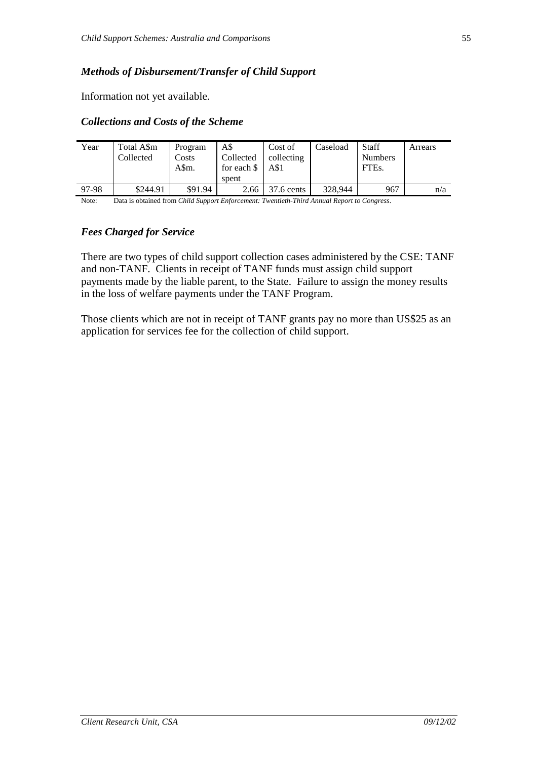### *Methods of Disbursement/Transfer of Child Support*

Information not yet available.

#### *Collections and Costs of the Scheme*

| Year  | Total A\$m<br>Collected                                                                     | Program<br>Costs<br>A\$m. | A\$<br>Collected<br>for each \$<br>spent | Cost of<br>collecting<br>A\$1 | Caseload | <b>Staff</b><br><b>Numbers</b><br>FTE <sub>s</sub> . | Arrears |  |  |
|-------|---------------------------------------------------------------------------------------------|---------------------------|------------------------------------------|-------------------------------|----------|------------------------------------------------------|---------|--|--|
| 97-98 | \$244.91                                                                                    | \$91.94                   | 2.66                                     | $37.6$ cents                  | 328,944  | 967                                                  | n/a     |  |  |
| Note: | Data is obtained from Child Support Enforcement: Twentieth-Third Annual Report to Congress. |                           |                                          |                               |          |                                                      |         |  |  |

## *Fees Charged for Service*

There are two types of child support collection cases administered by the CSE: TANF and non-TANF. Clients in receipt of TANF funds must assign child support payments made by the liable parent, to the State. Failure to assign the money results in the loss of welfare payments under the TANF Program.

Those clients which are not in receipt of TANF grants pay no more than US\$25 as an application for services fee for the collection of child support.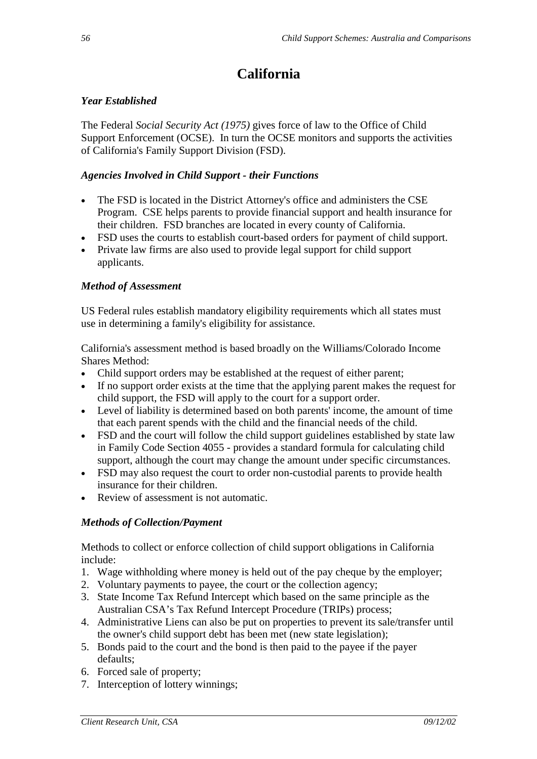# **California**

## *Year Established*

The Federal *Social Security Act (1975)* gives force of law to the Office of Child Support Enforcement (OCSE). In turn the OCSE monitors and supports the activities of California's Family Support Division (FSD).

## *Agencies Involved in Child Support - their Functions*

- The FSD is located in the District Attorney's office and administers the CSE Program. CSE helps parents to provide financial support and health insurance for their children. FSD branches are located in every county of California.
- FSD uses the courts to establish court-based orders for payment of child support.
- Private law firms are also used to provide legal support for child support applicants.

## *Method of Assessment*

US Federal rules establish mandatory eligibility requirements which all states must use in determining a family's eligibility for assistance.

California's assessment method is based broadly on the Williams/Colorado Income Shares Method:

- Child support orders may be established at the request of either parent;
- If no support order exists at the time that the applying parent makes the request for child support, the FSD will apply to the court for a support order.
- Level of liability is determined based on both parents' income, the amount of time that each parent spends with the child and the financial needs of the child.
- FSD and the court will follow the child support guidelines established by state law in Family Code Section 4055 - provides a standard formula for calculating child support, although the court may change the amount under specific circumstances.
- FSD may also request the court to order non-custodial parents to provide health insurance for their children.
- Review of assessment is not automatic.

# *Methods of Collection/Payment*

Methods to collect or enforce collection of child support obligations in California include:

- 1. Wage withholding where money is held out of the pay cheque by the employer;
- 2. Voluntary payments to payee, the court or the collection agency;
- 3. State Income Tax Refund Intercept which based on the same principle as the Australian CSA's Tax Refund Intercept Procedure (TRIPs) process;
- 4. Administrative Liens can also be put on properties to prevent its sale/transfer until the owner's child support debt has been met (new state legislation);
- 5. Bonds paid to the court and the bond is then paid to the payee if the payer defaults;
- 6. Forced sale of property;
- 7. Interception of lottery winnings;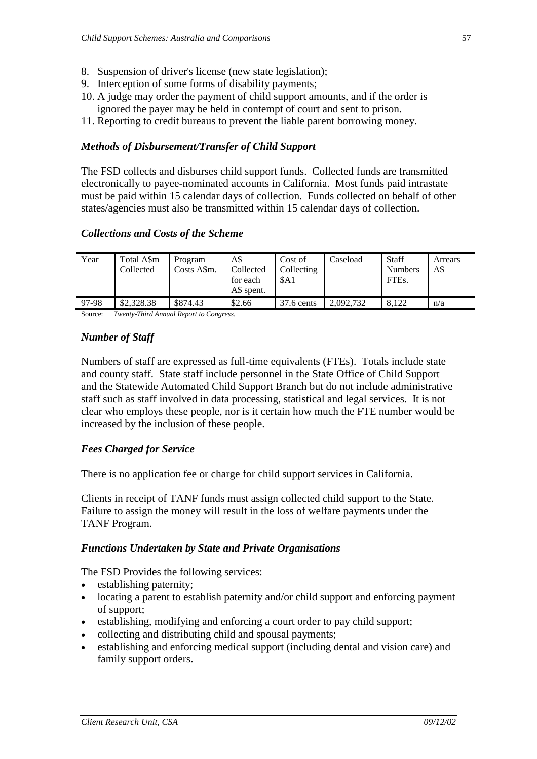- 8. Suspension of driver's license (new state legislation);
- 9. Interception of some forms of disability payments;
- 10. A judge may order the payment of child support amounts, and if the order is ignored the payer may be held in contempt of court and sent to prison.
- 11. Reporting to credit bureaus to prevent the liable parent borrowing money.

#### *Methods of Disbursement/Transfer of Child Support*

The FSD collects and disburses child support funds. Collected funds are transmitted electronically to payee-nominated accounts in California. Most funds paid intrastate must be paid within 15 calendar days of collection. Funds collected on behalf of other states/agencies must also be transmitted within 15 calendar days of collection.

#### *Collections and Costs of the Scheme*

| Year  | Total A\$m<br>Collected | Program<br>Costs A\$m. | A\$<br>Collected<br>for each<br>AS spent. | Cost of<br>Collecting<br>\$A1 | Caseload  | <b>Staff</b><br><b>Numbers</b><br>FTE <sub>s</sub> . | Arrears<br>A\$ |
|-------|-------------------------|------------------------|-------------------------------------------|-------------------------------|-----------|------------------------------------------------------|----------------|
| 97-98 | \$2,328.38              | \$874.43               | \$2.66                                    | 37.6 cents                    | 2.092.732 | 8.122                                                | n/a            |

Source: *Twenty-Third Annual Report to Congress*.

#### *Number of Staff*

Numbers of staff are expressed as full-time equivalents (FTEs). Totals include state and county staff. State staff include personnel in the State Office of Child Support and the Statewide Automated Child Support Branch but do not include administrative staff such as staff involved in data processing, statistical and legal services. It is not clear who employs these people, nor is it certain how much the FTE number would be increased by the inclusion of these people.

#### *Fees Charged for Service*

There is no application fee or charge for child support services in California.

Clients in receipt of TANF funds must assign collected child support to the State. Failure to assign the money will result in the loss of welfare payments under the TANF Program.

#### *Functions Undertaken by State and Private Organisations*

The FSD Provides the following services:

- establishing paternity;
- locating a parent to establish paternity and/or child support and enforcing payment of support;
- establishing, modifying and enforcing a court order to pay child support;
- collecting and distributing child and spousal payments;
- establishing and enforcing medical support (including dental and vision care) and family support orders.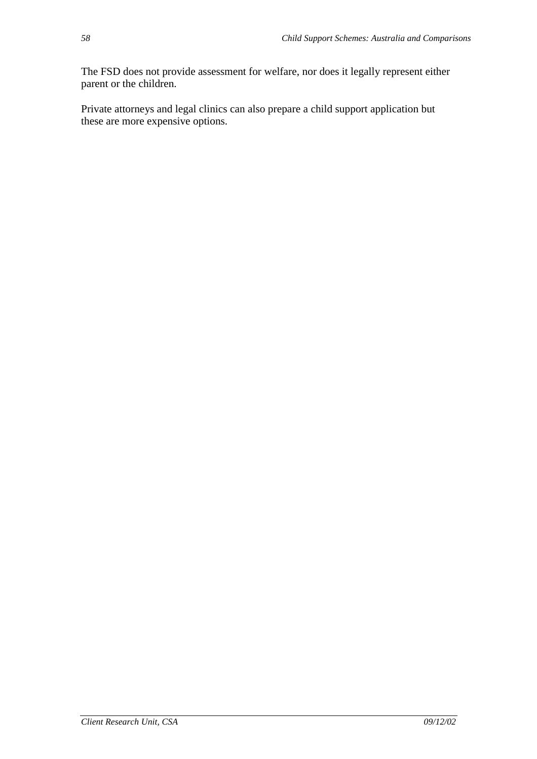The FSD does not provide assessment for welfare, nor does it legally represent either parent or the children.

Private attorneys and legal clinics can also prepare a child support application but these are more expensive options.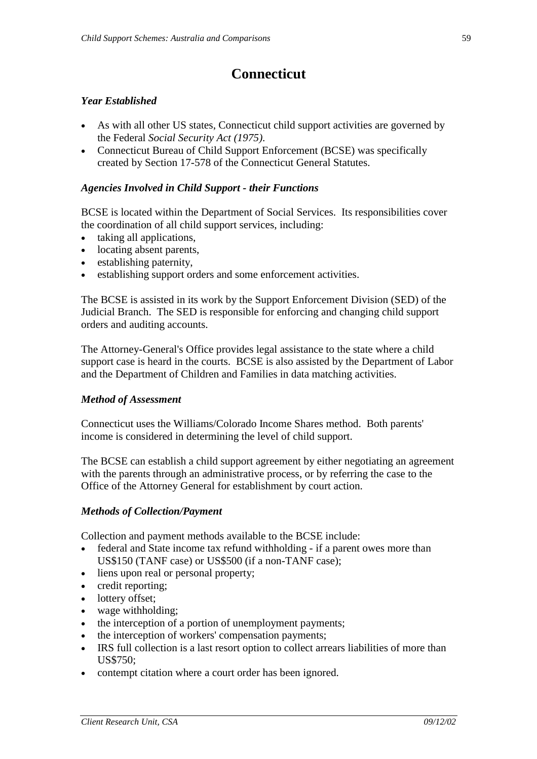# **Connecticut**

### *Year Established*

- As with all other US states, Connecticut child support activities are governed by the Federal *Social Security Act (1975)*.
- Connecticut Bureau of Child Support Enforcement (BCSE) was specifically created by Section 17-578 of the Connecticut General Statutes.

### *Agencies Involved in Child Support - their Functions*

BCSE is located within the Department of Social Services. Its responsibilities cover the coordination of all child support services, including:

- taking all applications,
- locating absent parents,
- establishing paternity,
- establishing support orders and some enforcement activities.

The BCSE is assisted in its work by the Support Enforcement Division (SED) of the Judicial Branch. The SED is responsible for enforcing and changing child support orders and auditing accounts.

The Attorney-General's Office provides legal assistance to the state where a child support case is heard in the courts. BCSE is also assisted by the Department of Labor and the Department of Children and Families in data matching activities.

#### *Method of Assessment*

Connecticut uses the Williams/Colorado Income Shares method. Both parents' income is considered in determining the level of child support.

The BCSE can establish a child support agreement by either negotiating an agreement with the parents through an administrative process, or by referring the case to the Office of the Attorney General for establishment by court action.

#### *Methods of Collection/Payment*

Collection and payment methods available to the BCSE include:

- federal and State income tax refund withholding if a parent owes more than US\$150 (TANF case) or US\$500 (if a non-TANF case);
- liens upon real or personal property;
- credit reporting;
- lottery offset;
- wage withholding;
- the interception of a portion of unemployment payments;
- the interception of workers' compensation payments;
- IRS full collection is a last resort option to collect arrears liabilities of more than US\$750;
- contempt citation where a court order has been ignored.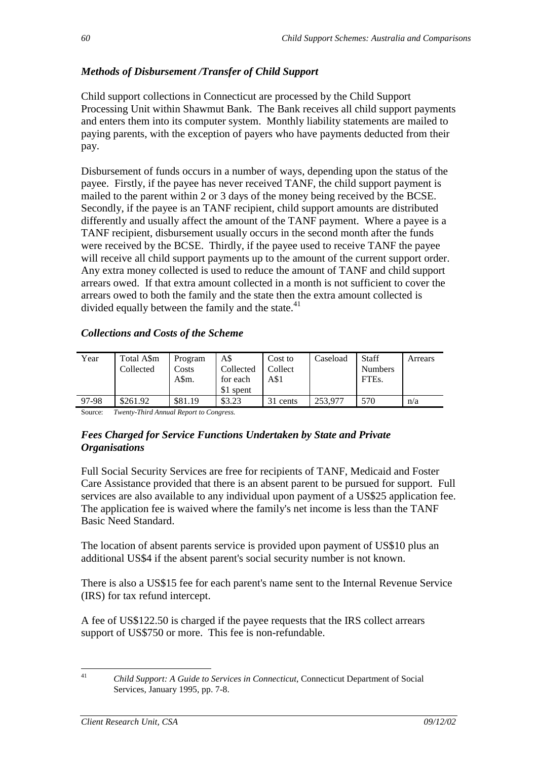# *Methods of Disbursement /Transfer of Child Support*

Child support collections in Connecticut are processed by the Child Support Processing Unit within Shawmut Bank. The Bank receives all child support payments and enters them into its computer system. Monthly liability statements are mailed to paying parents, with the exception of payers who have payments deducted from their pay.

Disbursement of funds occurs in a number of ways, depending upon the status of the payee. Firstly, if the payee has never received TANF, the child support payment is mailed to the parent within 2 or 3 days of the money being received by the BCSE. Secondly, if the payee is an TANF recipient, child support amounts are distributed differently and usually affect the amount of the TANF payment. Where a payee is a TANF recipient, disbursement usually occurs in the second month after the funds were received by the BCSE. Thirdly, if the payee used to receive TANF the payee will receive all child support payments up to the amount of the current support order. Any extra money collected is used to reduce the amount of TANF and child support arrears owed. If that extra amount collected in a month is not sufficient to cover the arrears owed to both the family and the state then the extra amount collected is divided equally between the family and the state. $41$ 

# *Collections and Costs of the Scheme*

| Year<br>Collected | Total A\$m<br>Program<br>Costs<br>A\$m. | A\$<br>Collected<br>for each<br>\$1 spent | Cost to<br>Collect<br>A\$1 | Caseload | <b>Staff</b><br><b>Numbers</b><br>FTE <sub>s</sub> . | Arrears |
|-------------------|-----------------------------------------|-------------------------------------------|----------------------------|----------|------------------------------------------------------|---------|
| 97-98<br>\$261.92 | \$81.19                                 | \$3.23                                    | 31 cents                   | 253,977  | 570                                                  | n/a     |

Source: *Twenty-Third Annual Report to Congress.* 

## *Fees Charged for Service Functions Undertaken by State and Private Organisations*

Full Social Security Services are free for recipients of TANF, Medicaid and Foster Care Assistance provided that there is an absent parent to be pursued for support. Full services are also available to any individual upon payment of a US\$25 application fee. The application fee is waived where the family's net income is less than the TANF Basic Need Standard.

The location of absent parents service is provided upon payment of US\$10 plus an additional US\$4 if the absent parent's social security number is not known.

There is also a US\$15 fee for each parent's name sent to the Internal Revenue Service (IRS) for tax refund intercept.

A fee of US\$122.50 is charged if the payee requests that the IRS collect arrears support of US\$750 or more. This fee is non-refundable.

<sup>41</sup> *Child Support: A Guide to Services in Connecticut*, Connecticut Department of Social Services, January 1995, pp. 7-8.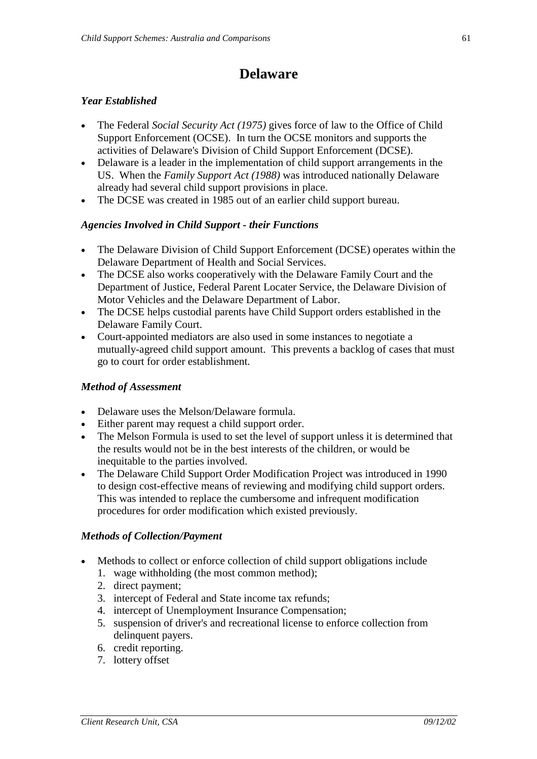# **Delaware**

### *Year Established*

- The Federal *Social Security Act (1975)* gives force of law to the Office of Child Support Enforcement (OCSE). In turn the OCSE monitors and supports the activities of Delaware's Division of Child Support Enforcement (DCSE).
- Delaware is a leader in the implementation of child support arrangements in the US. When the *Family Support Act (1988)* was introduced nationally Delaware already had several child support provisions in place.
- The DCSE was created in 1985 out of an earlier child support bureau.

## *Agencies Involved in Child Support - their Functions*

- The Delaware Division of Child Support Enforcement (DCSE) operates within the Delaware Department of Health and Social Services.
- The DCSE also works cooperatively with the Delaware Family Court and the Department of Justice, Federal Parent Locater Service, the Delaware Division of Motor Vehicles and the Delaware Department of Labor.
- The DCSE helps custodial parents have Child Support orders established in the Delaware Family Court.
- Court-appointed mediators are also used in some instances to negotiate a mutually-agreed child support amount. This prevents a backlog of cases that must go to court for order establishment.

#### *Method of Assessment*

- Delaware uses the Melson/Delaware formula.
- Either parent may request a child support order.
- The Melson Formula is used to set the level of support unless it is determined that the results would not be in the best interests of the children, or would be inequitable to the parties involved.
- The Delaware Child Support Order Modification Project was introduced in 1990 to design cost-effective means of reviewing and modifying child support orders. This was intended to replace the cumbersome and infrequent modification procedures for order modification which existed previously.

#### *Methods of Collection/Payment*

- Methods to collect or enforce collection of child support obligations include
	- 1. wage withholding (the most common method);
	- 2. direct payment;
	- 3. intercept of Federal and State income tax refunds;
	- 4. intercept of Unemployment Insurance Compensation;
	- 5. suspension of driver's and recreational license to enforce collection from delinquent payers.
	- 6. credit reporting.
	- 7. lottery offset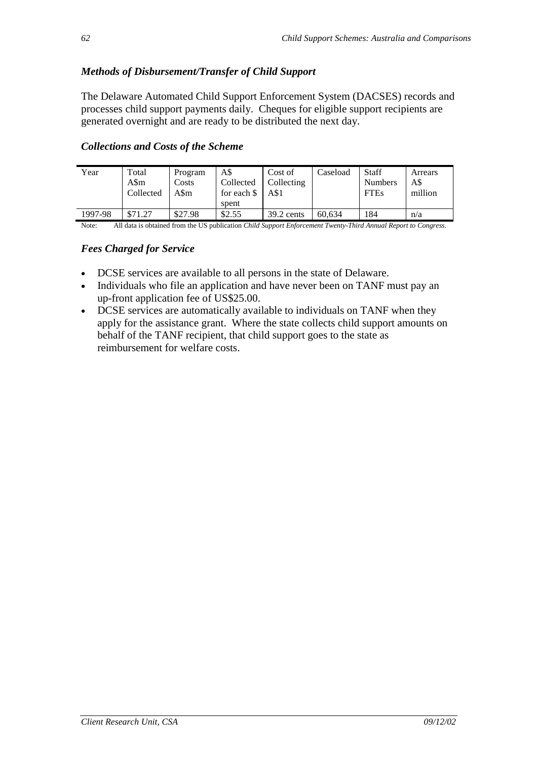# *Methods of Disbursement/Transfer of Child Support*

The Delaware Automated Child Support Enforcement System (DACSES) records and processes child support payments daily. Cheques for eligible support recipients are generated overnight and are ready to be distributed the next day.

## *Collections and Costs of the Scheme*

| Year    | Total<br>A\$m<br>Collected | Program<br>Costs<br>A\$m- | A\$<br>Collected<br>for each $\$<br>spent | Cost of<br>Collecting<br>A\$1 | Caseload | <b>Staff</b><br><b>Numbers</b><br><b>FTEs</b> | Arrears<br>A\$<br>million |
|---------|----------------------------|---------------------------|-------------------------------------------|-------------------------------|----------|-----------------------------------------------|---------------------------|
| 1997-98 | \$71.27                    | \$27.98                   | \$2.55                                    | $39.2$ cents                  | 60.634   | 184                                           | n/a                       |

Note: All data is obtained from the US publication *Child Support Enforcement Twenty-Third Annual Report to Congress*.

#### *Fees Charged for Service*

- DCSE services are available to all persons in the state of Delaware.
- Individuals who file an application and have never been on TANF must pay an up-front application fee of US\$25.00.
- DCSE services are automatically available to individuals on TANF when they apply for the assistance grant. Where the state collects child support amounts on behalf of the TANF recipient, that child support goes to the state as reimbursement for welfare costs.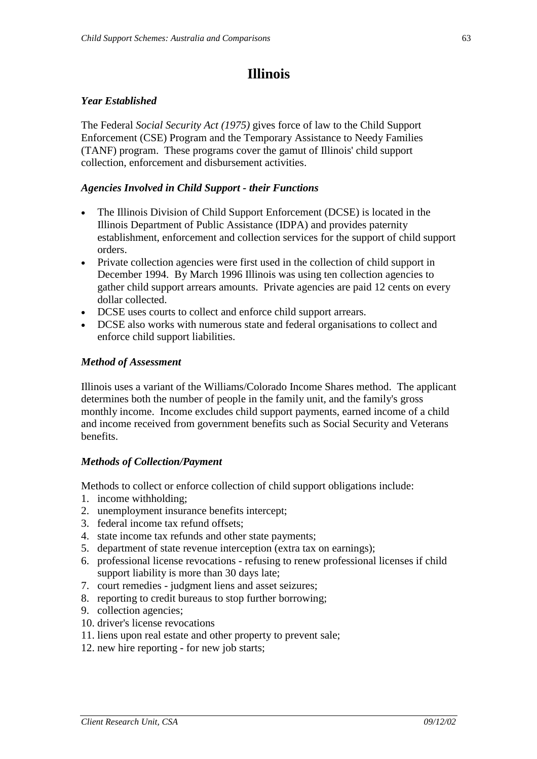# **Illinois**

#### *Year Established*

The Federal *Social Security Act (1975)* gives force of law to the Child Support Enforcement (CSE) Program and the Temporary Assistance to Needy Families (TANF) program. These programs cover the gamut of Illinois' child support collection, enforcement and disbursement activities.

### *Agencies Involved in Child Support - their Functions*

- The Illinois Division of Child Support Enforcement (DCSE) is located in the Illinois Department of Public Assistance (IDPA) and provides paternity establishment, enforcement and collection services for the support of child support orders.
- Private collection agencies were first used in the collection of child support in December 1994. By March 1996 Illinois was using ten collection agencies to gather child support arrears amounts. Private agencies are paid 12 cents on every dollar collected.
- DCSE uses courts to collect and enforce child support arrears.
- DCSE also works with numerous state and federal organisations to collect and enforce child support liabilities.

#### *Method of Assessment*

Illinois uses a variant of the Williams/Colorado Income Shares method. The applicant determines both the number of people in the family unit, and the family's gross monthly income. Income excludes child support payments, earned income of a child and income received from government benefits such as Social Security and Veterans benefits.

#### *Methods of Collection/Payment*

Methods to collect or enforce collection of child support obligations include:

- 1. income withholding;
- 2. unemployment insurance benefits intercept;
- 3. federal income tax refund offsets;
- 4. state income tax refunds and other state payments;
- 5. department of state revenue interception (extra tax on earnings);
- 6. professional license revocations refusing to renew professional licenses if child support liability is more than 30 days late;
- 7. court remedies judgment liens and asset seizures;
- 8. reporting to credit bureaus to stop further borrowing;
- 9. collection agencies;
- 10. driver's license revocations
- 11. liens upon real estate and other property to prevent sale;
- 12. new hire reporting for new job starts;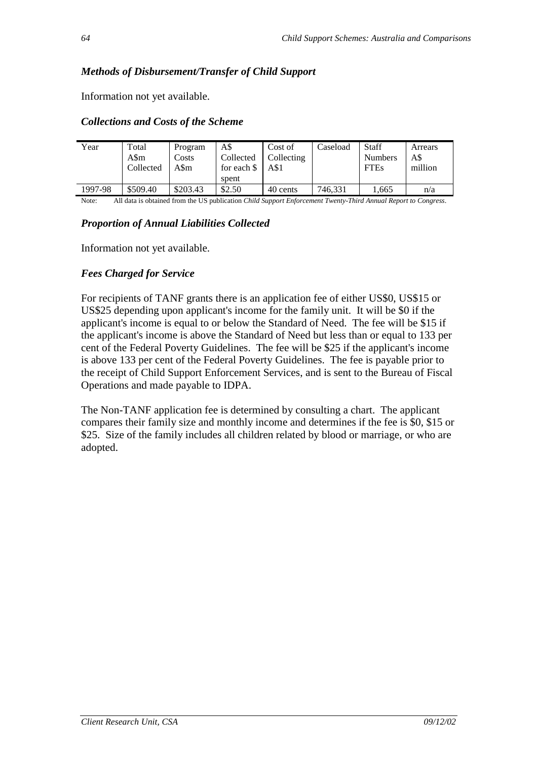## *Methods of Disbursement/Transfer of Child Support*

Information not yet available.

#### *Collections and Costs of the Scheme*

| Year    | Total<br>A\$m<br>Collected | Program<br>Costs<br>A\$m | A\$<br>Collected<br>for each \$<br>spent | Cost of<br>Collecting<br>A\$1 | Caseload | <b>Staff</b><br><b>Numbers</b><br><b>FTEs</b> | Arrears<br>A\$<br>million |
|---------|----------------------------|--------------------------|------------------------------------------|-------------------------------|----------|-----------------------------------------------|---------------------------|
| 1997-98 | \$509.40                   | \$203.43                 | \$2.50                                   | 40 cents                      | 746,331  | 1.665                                         | n/a                       |

Note: All data is obtained from the US publication *Child Support Enforcement Twenty-Third Annual Report to Congress*.

#### *Proportion of Annual Liabilities Collected*

Information not yet available.

## *Fees Charged for Service*

For recipients of TANF grants there is an application fee of either US\$0, US\$15 or US\$25 depending upon applicant's income for the family unit. It will be \$0 if the applicant's income is equal to or below the Standard of Need. The fee will be \$15 if the applicant's income is above the Standard of Need but less than or equal to 133 per cent of the Federal Poverty Guidelines. The fee will be \$25 if the applicant's income is above 133 per cent of the Federal Poverty Guidelines. The fee is payable prior to the receipt of Child Support Enforcement Services, and is sent to the Bureau of Fiscal Operations and made payable to IDPA.

The Non-TANF application fee is determined by consulting a chart. The applicant compares their family size and monthly income and determines if the fee is \$0, \$15 or \$25. Size of the family includes all children related by blood or marriage, or who are adopted.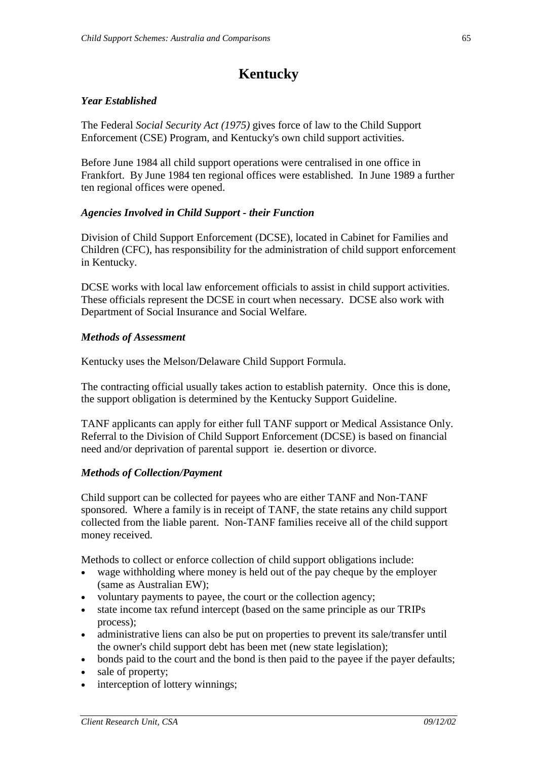# **Kentucky**

#### *Year Established*

The Federal *Social Security Act (1975)* gives force of law to the Child Support Enforcement (CSE) Program, and Kentucky's own child support activities.

Before June 1984 all child support operations were centralised in one office in Frankfort. By June 1984 ten regional offices were established. In June 1989 a further ten regional offices were opened.

#### *Agencies Involved in Child Support - their Function*

Division of Child Support Enforcement (DCSE), located in Cabinet for Families and Children (CFC), has responsibility for the administration of child support enforcement in Kentucky.

DCSE works with local law enforcement officials to assist in child support activities. These officials represent the DCSE in court when necessary. DCSE also work with Department of Social Insurance and Social Welfare.

#### *Methods of Assessment*

Kentucky uses the Melson/Delaware Child Support Formula.

The contracting official usually takes action to establish paternity. Once this is done, the support obligation is determined by the Kentucky Support Guideline.

TANF applicants can apply for either full TANF support or Medical Assistance Only. Referral to the Division of Child Support Enforcement (DCSE) is based on financial need and/or deprivation of parental support ie. desertion or divorce.

#### *Methods of Collection/Payment*

Child support can be collected for payees who are either TANF and Non-TANF sponsored. Where a family is in receipt of TANF, the state retains any child support collected from the liable parent. Non-TANF families receive all of the child support money received.

Methods to collect or enforce collection of child support obligations include:

- wage withholding where money is held out of the pay cheque by the employer (same as Australian EW);
- voluntary payments to payee, the court or the collection agency;
- state income tax refund intercept (based on the same principle as our TRIPs process);
- administrative liens can also be put on properties to prevent its sale/transfer until the owner's child support debt has been met (new state legislation);
- bonds paid to the court and the bond is then paid to the payee if the payer defaults;
- sale of property;
- interception of lottery winnings;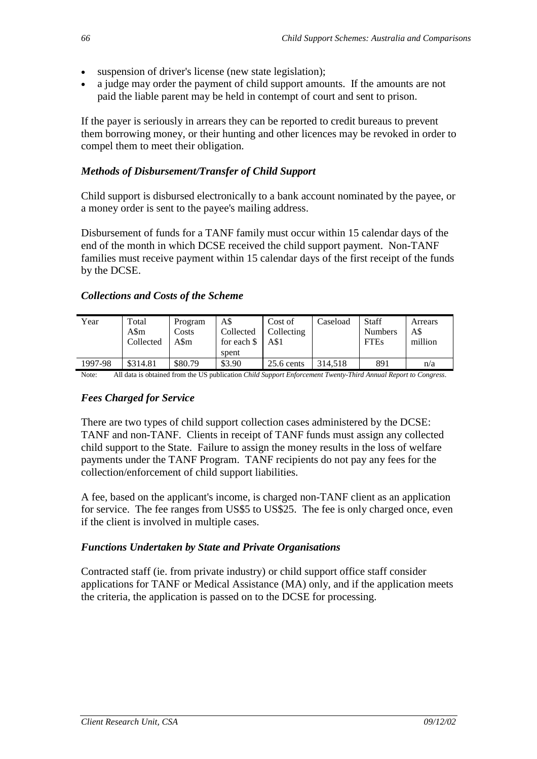- suspension of driver's license (new state legislation);
- a judge may order the payment of child support amounts. If the amounts are not paid the liable parent may be held in contempt of court and sent to prison.

If the payer is seriously in arrears they can be reported to credit bureaus to prevent them borrowing money, or their hunting and other licences may be revoked in order to compel them to meet their obligation.

# *Methods of Disbursement/Transfer of Child Support*

Child support is disbursed electronically to a bank account nominated by the payee, or a money order is sent to the payee's mailing address.

Disbursement of funds for a TANF family must occur within 15 calendar days of the end of the month in which DCSE received the child support payment. Non-TANF families must receive payment within 15 calendar days of the first receipt of the funds by the DCSE.

| Year    | Total<br>A\$m<br>Collected | Program<br>Costs<br>A\$m | A\$<br>Collected<br>for each $\$<br>spent | Cost of<br>Collecting<br>A\$1 | Caseload | Staff<br><b>Numbers</b><br><b>FTEs</b> | Arrears<br>A\$<br>million |
|---------|----------------------------|--------------------------|-------------------------------------------|-------------------------------|----------|----------------------------------------|---------------------------|
| 1997-98 | \$314.81                   | \$80.79                  | \$3.90                                    | $25.6$ cents                  | 314,518  | 891                                    | n/a                       |

#### *Collections and Costs of the Scheme*

Note: All data is obtained from the US publication *Child Support Enforcement Twenty-Third Annual Report to Congress*.

#### *Fees Charged for Service*

There are two types of child support collection cases administered by the DCSE: TANF and non-TANF. Clients in receipt of TANF funds must assign any collected child support to the State. Failure to assign the money results in the loss of welfare payments under the TANF Program. TANF recipients do not pay any fees for the collection/enforcement of child support liabilities.

A fee, based on the applicant's income, is charged non-TANF client as an application for service. The fee ranges from US\$5 to US\$25. The fee is only charged once, even if the client is involved in multiple cases.

#### *Functions Undertaken by State and Private Organisations*

Contracted staff (ie. from private industry) or child support office staff consider applications for TANF or Medical Assistance (MA) only, and if the application meets the criteria, the application is passed on to the DCSE for processing.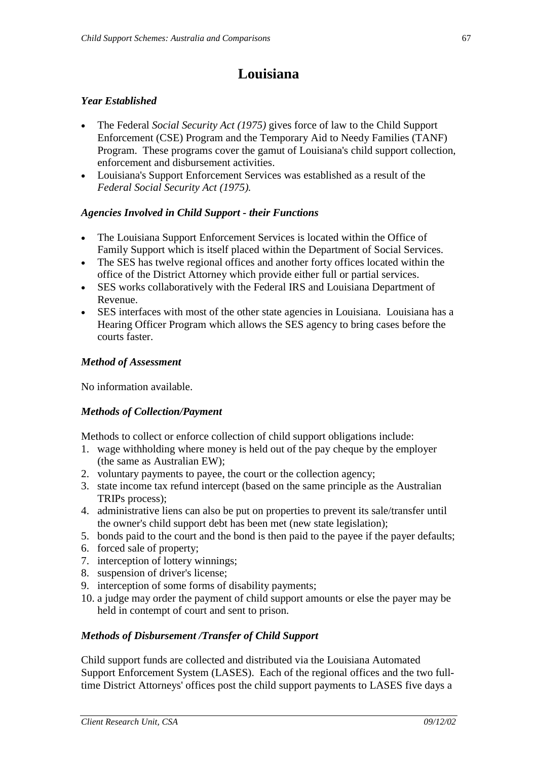# **Louisiana**

## *Year Established*

- The Federal *Social Security Act (1975)* gives force of law to the Child Support Enforcement (CSE) Program and the Temporary Aid to Needy Families (TANF) Program. These programs cover the gamut of Louisiana's child support collection, enforcement and disbursement activities.
- Louisiana's Support Enforcement Services was established as a result of the *Federal Social Security Act (1975).*

## *Agencies Involved in Child Support - their Functions*

- The Louisiana Support Enforcement Services is located within the Office of Family Support which is itself placed within the Department of Social Services.
- The SES has twelve regional offices and another forty offices located within the office of the District Attorney which provide either full or partial services.
- SES works collaboratively with the Federal IRS and Louisiana Department of Revenue.
- SES interfaces with most of the other state agencies in Louisiana. Louisiana has a Hearing Officer Program which allows the SES agency to bring cases before the courts faster.

#### *Method of Assessment*

No information available.

#### *Methods of Collection/Payment*

Methods to collect or enforce collection of child support obligations include:

- 1. wage withholding where money is held out of the pay cheque by the employer (the same as Australian EW);
- 2. voluntary payments to payee, the court or the collection agency;
- 3. state income tax refund intercept (based on the same principle as the Australian TRIPs process);
- 4. administrative liens can also be put on properties to prevent its sale/transfer until the owner's child support debt has been met (new state legislation);
- 5. bonds paid to the court and the bond is then paid to the payee if the payer defaults;
- 6. forced sale of property;
- 7. interception of lottery winnings;
- 8. suspension of driver's license;
- 9. interception of some forms of disability payments;
- 10. a judge may order the payment of child support amounts or else the payer may be held in contempt of court and sent to prison.

#### *Methods of Disbursement /Transfer of Child Support*

Child support funds are collected and distributed via the Louisiana Automated Support Enforcement System (LASES). Each of the regional offices and the two fulltime District Attorneys' offices post the child support payments to LASES five days a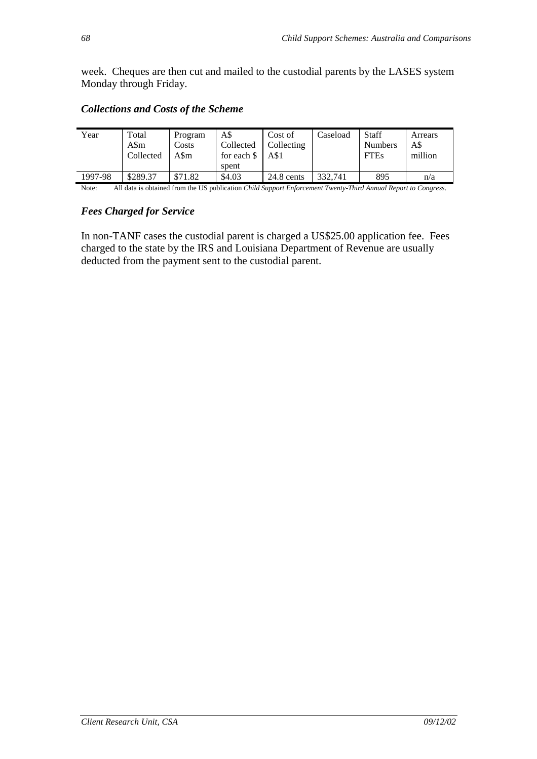week. Cheques are then cut and mailed to the custodial parents by the LASES system Monday through Friday.

| Year                                                                                                                    | Total<br>A\$m<br>Collected | Program<br>Costs<br>A\$m | A\$<br>Collected<br>for each $\$<br>spent | Cost of<br>Collecting<br>A\$1 | Caseload | <b>Staff</b><br><b>Numbers</b><br><b>FTEs</b> | Arrears<br>A\$<br>million |
|-------------------------------------------------------------------------------------------------------------------------|----------------------------|--------------------------|-------------------------------------------|-------------------------------|----------|-----------------------------------------------|---------------------------|
| 1997-98                                                                                                                 | \$289.37                   | \$71.82                  | \$4.03                                    | $24.8$ cents                  | 332.741  | 895                                           | n/a                       |
| All data is obtained from the US publication Child Support Enforcement Twenty-Third Annual Report to Congress.<br>Note: |                            |                          |                                           |                               |          |                                               |                           |

#### *Collections and Costs of the Scheme*

#### *Fees Charged for Service*

In non-TANF cases the custodial parent is charged a US\$25.00 application fee. Fees charged to the state by the IRS and Louisiana Department of Revenue are usually deducted from the payment sent to the custodial parent.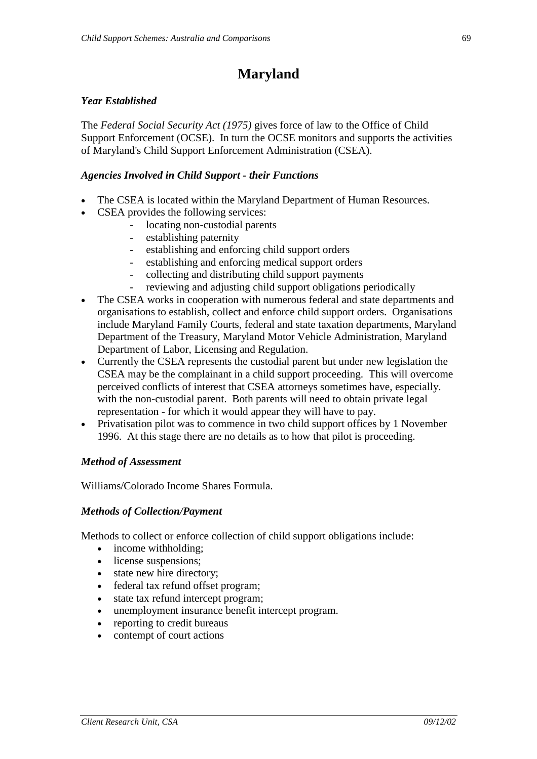# **Maryland**

### *Year Established*

The *Federal Social Security Act (1975)* gives force of law to the Office of Child Support Enforcement (OCSE). In turn the OCSE monitors and supports the activities of Maryland's Child Support Enforcement Administration (CSEA).

#### *Agencies Involved in Child Support - their Functions*

- The CSEA is located within the Maryland Department of Human Resources.
- CSEA provides the following services:
	- locating non-custodial parents
	- establishing paternity
	- establishing and enforcing child support orders
	- establishing and enforcing medical support orders
	- collecting and distributing child support payments
	- reviewing and adjusting child support obligations periodically
- The CSEA works in cooperation with numerous federal and state departments and organisations to establish, collect and enforce child support orders. Organisations include Maryland Family Courts, federal and state taxation departments, Maryland Department of the Treasury, Maryland Motor Vehicle Administration, Maryland Department of Labor, Licensing and Regulation.
- Currently the CSEA represents the custodial parent but under new legislation the CSEA may be the complainant in a child support proceeding. This will overcome perceived conflicts of interest that CSEA attorneys sometimes have, especially. with the non-custodial parent. Both parents will need to obtain private legal representation - for which it would appear they will have to pay.
- Privatisation pilot was to commence in two child support offices by 1 November 1996. At this stage there are no details as to how that pilot is proceeding.

#### *Method of Assessment*

Williams/Colorado Income Shares Formula.

#### *Methods of Collection/Payment*

Methods to collect or enforce collection of child support obligations include:

- income withholding:
- license suspensions;
- state new hire directory;
- federal tax refund offset program;
- state tax refund intercept program;
- unemployment insurance benefit intercept program.
- reporting to credit bureaus
- contempt of court actions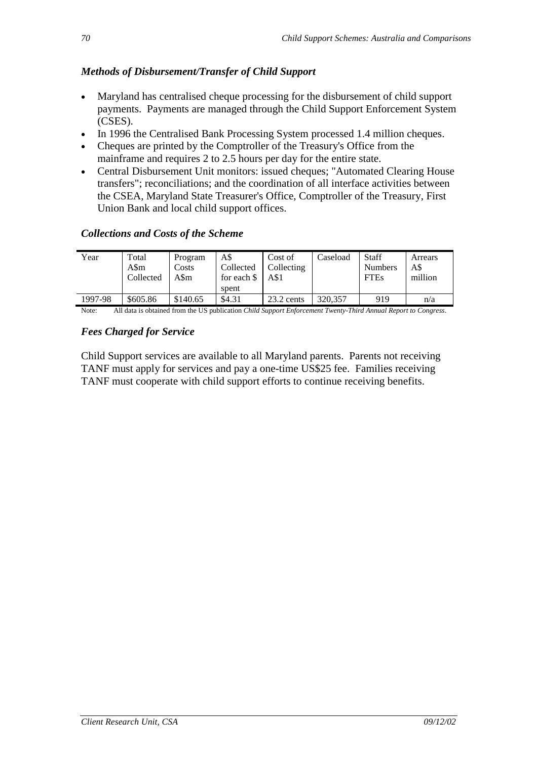# *Methods of Disbursement/Transfer of Child Support*

- Maryland has centralised cheque processing for the disbursement of child support payments. Payments are managed through the Child Support Enforcement System (CSES).
- In 1996 the Centralised Bank Processing System processed 1.4 million cheques.
- Cheques are printed by the Comptroller of the Treasury's Office from the mainframe and requires 2 to 2.5 hours per day for the entire state.
- Central Disbursement Unit monitors: issued cheques; "Automated Clearing House transfers"; reconciliations; and the coordination of all interface activities between the CSEA, Maryland State Treasurer's Office, Comptroller of the Treasury, First Union Bank and local child support offices.

## *Collections and Costs of the Scheme*

| Year    | Total<br>A\$m<br>Collected | Program<br>Costs<br>A\$m | A\$<br>Collected<br>for each \$<br>spent | Cost of<br>Collecting<br>A\$1 | Caseload | Staff<br><b>Numbers</b><br><b>FTEs</b> | Arrears<br>A\$<br>million |
|---------|----------------------------|--------------------------|------------------------------------------|-------------------------------|----------|----------------------------------------|---------------------------|
| 1997-98 | \$605.86                   | \$140.65                 | \$4.31                                   | 23.2 cents                    | 320,357  | 919                                    | n/a                       |

Note: All data is obtained from the US publication *Child Support Enforcement Twenty-Third Annual Report to Congress*.

## *Fees Charged for Service*

Child Support services are available to all Maryland parents. Parents not receiving TANF must apply for services and pay a one-time US\$25 fee. Families receiving TANF must cooperate with child support efforts to continue receiving benefits.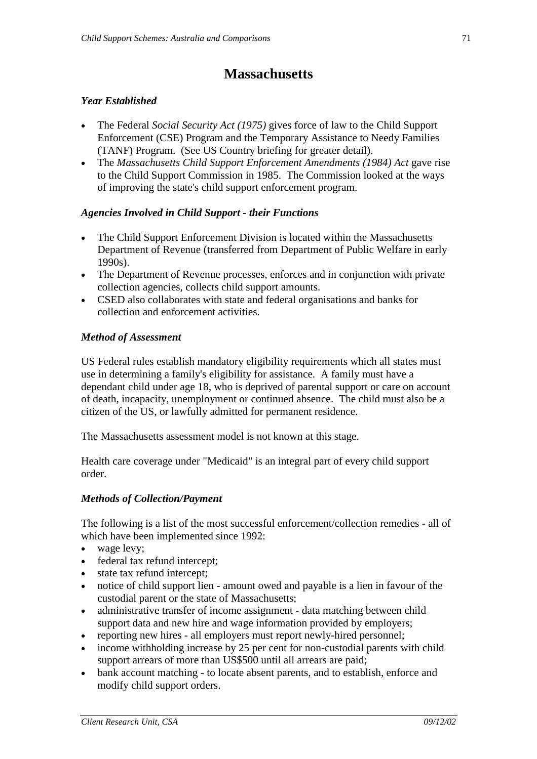# **Massachusetts**

#### *Year Established*

- The Federal *Social Security Act (1975)* gives force of law to the Child Support Enforcement (CSE) Program and the Temporary Assistance to Needy Families (TANF) Program. (See US Country briefing for greater detail).
- The *Massachusetts Child Support Enforcement Amendments (1984) Act* gave rise to the Child Support Commission in 1985. The Commission looked at the ways of improving the state's child support enforcement program.

#### *Agencies Involved in Child Support - their Functions*

- The Child Support Enforcement Division is located within the Massachusetts Department of Revenue (transferred from Department of Public Welfare in early 1990s).
- The Department of Revenue processes, enforces and in conjunction with private collection agencies, collects child support amounts.
- CSED also collaborates with state and federal organisations and banks for collection and enforcement activities.

#### *Method of Assessment*

US Federal rules establish mandatory eligibility requirements which all states must use in determining a family's eligibility for assistance. A family must have a dependant child under age 18, who is deprived of parental support or care on account of death, incapacity, unemployment or continued absence. The child must also be a citizen of the US, or lawfully admitted for permanent residence.

The Massachusetts assessment model is not known at this stage.

Health care coverage under "Medicaid" is an integral part of every child support order.

#### *Methods of Collection/Payment*

The following is a list of the most successful enforcement/collection remedies - all of which have been implemented since 1992:

- wage levy:
- federal tax refund intercept;
- state tax refund intercept;
- notice of child support lien amount owed and payable is a lien in favour of the custodial parent or the state of Massachusetts;
- administrative transfer of income assignment data matching between child support data and new hire and wage information provided by employers;
- reporting new hires all employers must report newly-hired personnel;
- income withholding increase by 25 per cent for non-custodial parents with child support arrears of more than US\$500 until all arrears are paid;
- bank account matching to locate absent parents, and to establish, enforce and modify child support orders.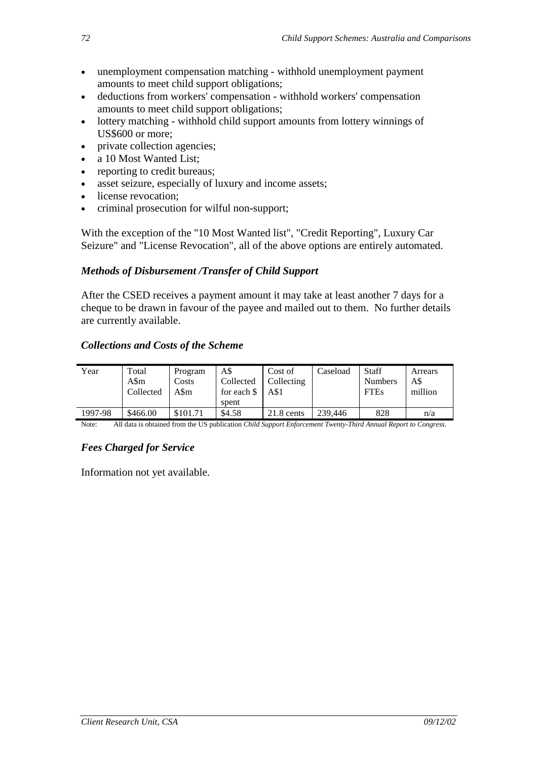- unemployment compensation matching withhold unemployment payment amounts to meet child support obligations;
- deductions from workers' compensation withhold workers' compensation amounts to meet child support obligations;
- lottery matching withhold child support amounts from lottery winnings of US\$600 or more;
- private collection agencies:
- a 10 Most Wanted List;
- reporting to credit bureaus;
- asset seizure, especially of luxury and income assets;
- license revocation;
- criminal prosecution for wilful non-support;

With the exception of the "10 Most Wanted list", "Credit Reporting", Luxury Car Seizure" and "License Revocation", all of the above options are entirely automated.

# *Methods of Disbursement /Transfer of Child Support*

After the CSED receives a payment amount it may take at least another 7 days for a cheque to be drawn in favour of the payee and mailed out to them. No further details are currently available.

# *Collections and Costs of the Scheme*

| Year    | Total<br>A\$m<br>Collected | Program<br>Costs<br>A\$m | A\$<br>Collected<br>for each \$<br>spent | Cost of<br>Collecting<br>A\$1 | Caseload | Staff<br><b>Numbers</b><br><b>FTEs</b> | Arrears<br>A\$<br>million |
|---------|----------------------------|--------------------------|------------------------------------------|-------------------------------|----------|----------------------------------------|---------------------------|
| 1997-98 | \$466.00                   | \$101.71                 | \$4.58                                   | $21.8$ cents                  | 239,446  | 828                                    | n/a                       |

Note: All data is obtained from the US publication *Child Support Enforcement Twenty-Third Annual Report to Congress*.

# *Fees Charged for Service*

Information not yet available.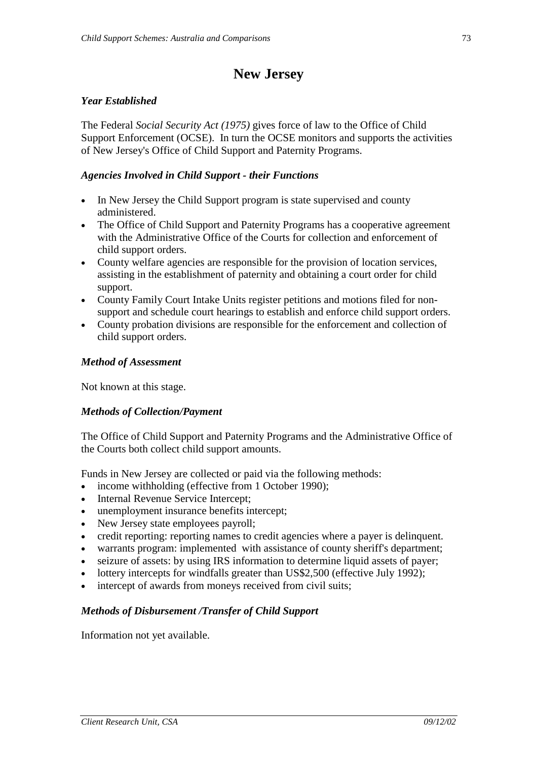# **New Jersey**

#### *Year Established*

The Federal *Social Security Act (1975)* gives force of law to the Office of Child Support Enforcement (OCSE). In turn the OCSE monitors and supports the activities of New Jersey's Office of Child Support and Paternity Programs.

#### *Agencies Involved in Child Support - their Functions*

- In New Jersey the Child Support program is state supervised and county administered.
- The Office of Child Support and Paternity Programs has a cooperative agreement with the Administrative Office of the Courts for collection and enforcement of child support orders.
- County welfare agencies are responsible for the provision of location services, assisting in the establishment of paternity and obtaining a court order for child support.
- County Family Court Intake Units register petitions and motions filed for nonsupport and schedule court hearings to establish and enforce child support orders.
- County probation divisions are responsible for the enforcement and collection of child support orders.

#### *Method of Assessment*

Not known at this stage.

#### *Methods of Collection/Payment*

The Office of Child Support and Paternity Programs and the Administrative Office of the Courts both collect child support amounts.

Funds in New Jersey are collected or paid via the following methods:

- income withholding (effective from 1 October 1990);
- Internal Revenue Service Intercept;
- unemployment insurance benefits intercept:
- New Jersey state employees payroll;
- credit reporting: reporting names to credit agencies where a payer is delinquent.
- warrants program: implemented with assistance of county sheriff's department;
- seizure of assets: by using IRS information to determine liquid assets of payer;
- lottery intercepts for windfalls greater than US\$2,500 (effective July 1992);
- intercept of awards from moneys received from civil suits;

#### *Methods of Disbursement /Transfer of Child Support*

Information not yet available.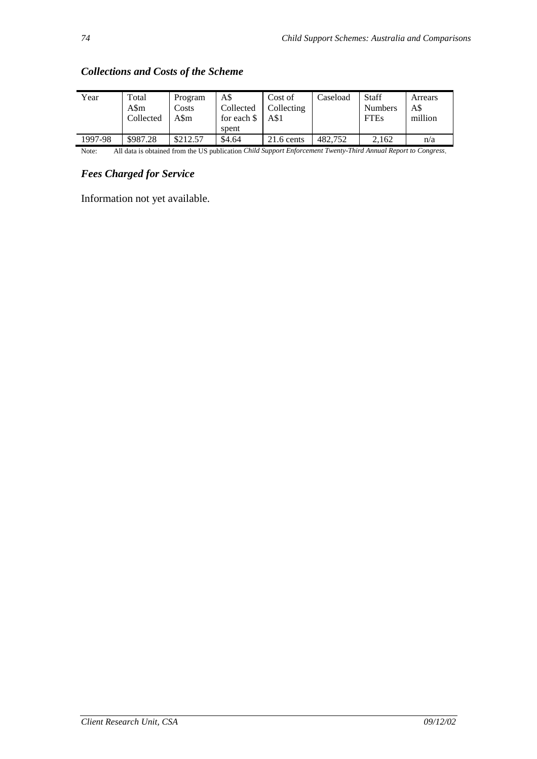| Year    | Total<br>A\$m<br>Collected | Program<br>Costs<br>A\$m | A\$<br>Collected<br>for each \$<br>spent | Cost of<br>Collecting<br>A\$1 | Caseload | Staff<br><b>Numbers</b><br><b>FTEs</b> | Arrears<br>A\$<br>million |
|---------|----------------------------|--------------------------|------------------------------------------|-------------------------------|----------|----------------------------------------|---------------------------|
| 1997-98 | \$987.28                   | \$212.57                 | \$4.64                                   | $21.6$ cents                  | 482.752  | 2.162                                  | n/a                       |

#### *Collections and Costs of the Scheme*

Note: All data is obtained from the US publication *Child Support Enforcement Twenty-Third Annual Report to Congress*.

#### *Fees Charged for Service*

Information not yet available.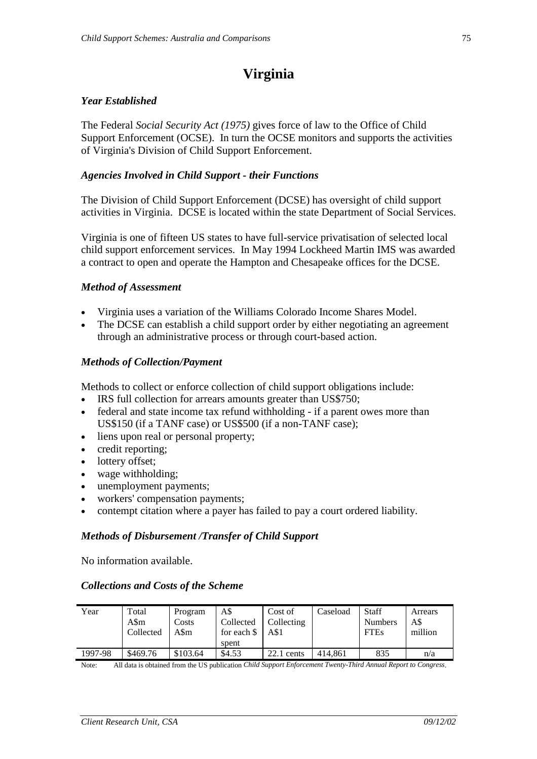# **Virginia**

#### *Year Established*

The Federal *Social Security Act (1975)* gives force of law to the Office of Child Support Enforcement (OCSE). In turn the OCSE monitors and supports the activities of Virginia's Division of Child Support Enforcement.

#### *Agencies Involved in Child Support - their Functions*

The Division of Child Support Enforcement (DCSE) has oversight of child support activities in Virginia. DCSE is located within the state Department of Social Services.

Virginia is one of fifteen US states to have full-service privatisation of selected local child support enforcement services. In May 1994 Lockheed Martin IMS was awarded a contract to open and operate the Hampton and Chesapeake offices for the DCSE.

#### *Method of Assessment*

- Virginia uses a variation of the Williams Colorado Income Shares Model.
- The DCSE can establish a child support order by either negotiating an agreement through an administrative process or through court-based action.

#### *Methods of Collection/Payment*

Methods to collect or enforce collection of child support obligations include:

- IRS full collection for arrears amounts greater than US\$750;
- federal and state income tax refund withholding if a parent owes more than US\$150 (if a TANF case) or US\$500 (if a non-TANF case);
- liens upon real or personal property;
- credit reporting;
- lottery offset;
- wage withholding;
- unemployment payments;
- workers' compensation payments;
- contempt citation where a payer has failed to pay a court ordered liability.

#### *Methods of Disbursement /Transfer of Child Support*

No information available.

#### *Collections and Costs of the Scheme*

| Year    | Total<br>A\$m<br>Collected | Program<br>Costs<br>A\$m | A\$<br>Collected<br>for each \$<br>spent | Cost of<br>Collecting<br>A\$1 | Caseload | <b>Staff</b><br><b>Numbers</b><br><b>FTEs</b> | Arrears<br>A\$<br>million |
|---------|----------------------------|--------------------------|------------------------------------------|-------------------------------|----------|-----------------------------------------------|---------------------------|
| 1997-98 | \$469.76                   | \$103.64                 | \$4.53                                   | $22.1$ cents                  | 414.861  | 835                                           | n/a                       |

Note: All data is obtained from the US publication *Child Support Enforcement Twenty-Third Annual Report to Congress*.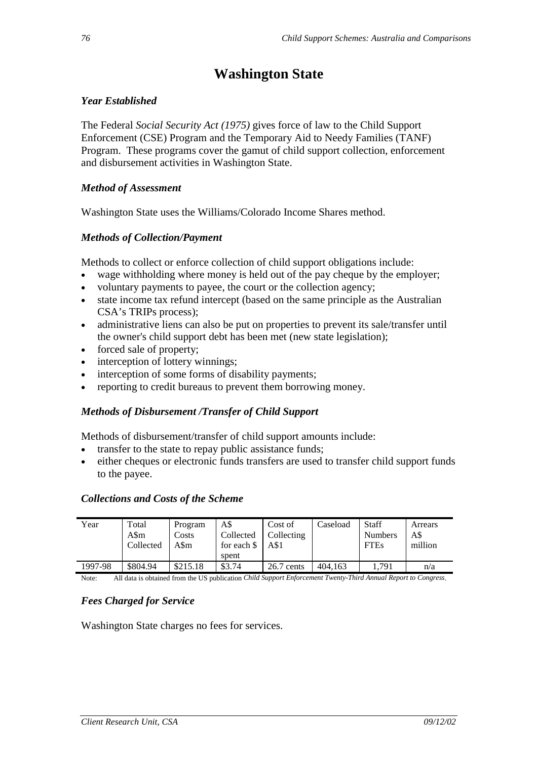# **Washington State**

#### *Year Established*

The Federal *Social Security Act (1975)* gives force of law to the Child Support Enforcement (CSE) Program and the Temporary Aid to Needy Families (TANF) Program. These programs cover the gamut of child support collection, enforcement and disbursement activities in Washington State.

#### *Method of Assessment*

Washington State uses the Williams/Colorado Income Shares method.

#### *Methods of Collection/Payment*

Methods to collect or enforce collection of child support obligations include:

- wage withholding where money is held out of the pay cheque by the employer;
- voluntary payments to payee, the court or the collection agency;
- state income tax refund intercept (based on the same principle as the Australian CSA's TRIPs process);
- administrative liens can also be put on properties to prevent its sale/transfer until the owner's child support debt has been met (new state legislation);
- forced sale of property;
- interception of lottery winnings;
- interception of some forms of disability payments;
- reporting to credit bureaus to prevent them borrowing money.

#### *Methods of Disbursement /Transfer of Child Support*

Methods of disbursement/transfer of child support amounts include:

- transfer to the state to repay public assistance funds;
- either cheques or electronic funds transfers are used to transfer child support funds to the payee.

#### *Collections and Costs of the Scheme*

| Year    | Total<br>A\$m<br>Collected | Program<br>Costs<br>A\$m | A\$<br>Collected<br>for each $\$<br>spent | Cost of<br>Collecting<br>A\$1 | Caseload | Staff<br><b>Numbers</b><br><b>FTEs</b> | Arrears<br>A\$<br>million |
|---------|----------------------------|--------------------------|-------------------------------------------|-------------------------------|----------|----------------------------------------|---------------------------|
| 1997-98 | \$804.94                   | \$215.18                 | \$3.74                                    | $26.7$ cents                  | 404.163  | .791                                   | n/a                       |

Note: All data is obtained from the US publication *Child Support Enforcement Twenty-Third Annual Report to Congress*.

#### *Fees Charged for Service*

Washington State charges no fees for services.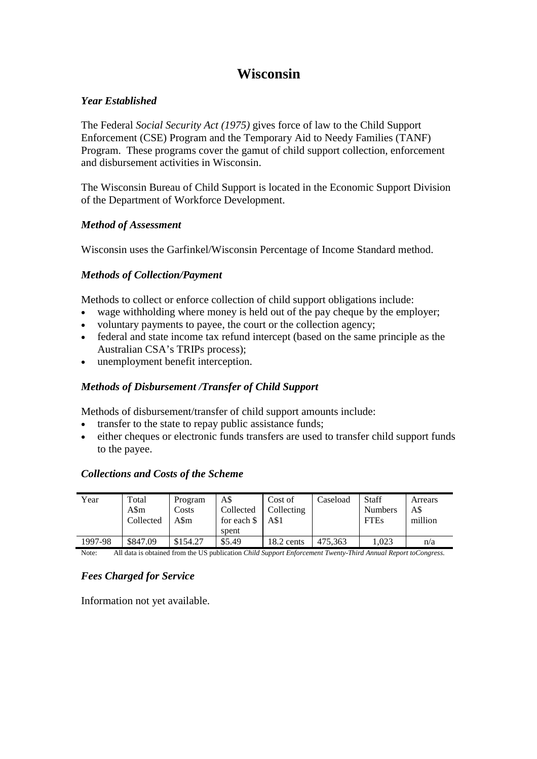## **Wisconsin**

#### *Year Established*

The Federal *Social Security Act (1975)* gives force of law to the Child Support Enforcement (CSE) Program and the Temporary Aid to Needy Families (TANF) Program. These programs cover the gamut of child support collection, enforcement and disbursement activities in Wisconsin.

The Wisconsin Bureau of Child Support is located in the Economic Support Division of the Department of Workforce Development.

#### *Method of Assessment*

Wisconsin uses the Garfinkel/Wisconsin Percentage of Income Standard method.

#### *Methods of Collection/Payment*

Methods to collect or enforce collection of child support obligations include:

- wage withholding where money is held out of the pay cheque by the employer;
- voluntary payments to payee, the court or the collection agency;
- federal and state income tax refund intercept (based on the same principle as the Australian CSA's TRIPs process);
- unemployment benefit interception.

#### *Methods of Disbursement /Transfer of Child Support*

Methods of disbursement/transfer of child support amounts include:

- transfer to the state to repay public assistance funds;
- either cheques or electronic funds transfers are used to transfer child support funds to the payee.

#### *Collections and Costs of the Scheme*

| Year    | Total<br>A\$m<br>Collected | Program<br>Costs<br>A\$m | A\$<br>Collected<br>for each \$<br>spent | Cost of<br>Collecting<br>A\$1 | Caseload | Staff<br><b>Numbers</b><br><b>FTEs</b> | Arrears<br>A\$<br>million |
|---------|----------------------------|--------------------------|------------------------------------------|-------------------------------|----------|----------------------------------------|---------------------------|
| 1997-98 | \$847.09                   | \$154.27                 | \$5.49                                   | 18.2 cents                    | 475.363  | 1.023                                  | n/a                       |

Note: All data is obtained from the US publication *Child Support Enforcement Twenty-Third Annual Report toCongress*.

#### *Fees Charged for Service*

Information not yet available.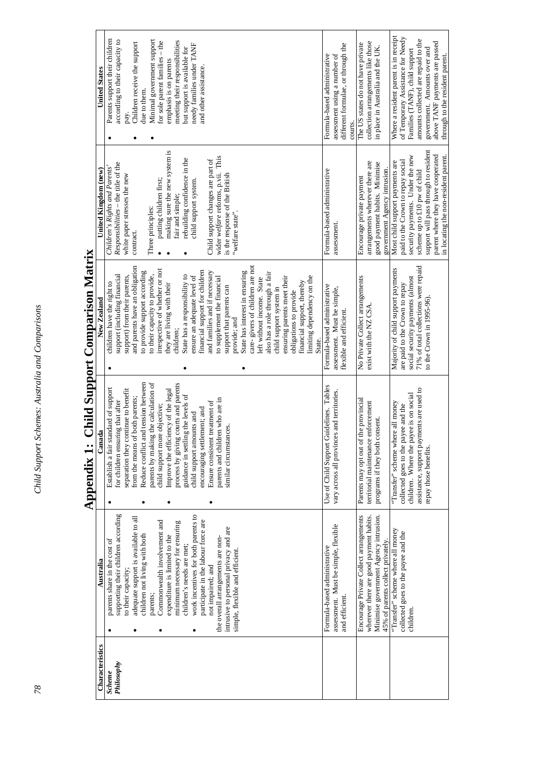Where a resident parent is in receipt of Temporary Assistance for Needy Where a resident parent is in receipt of Temporary Assistance for Needy Parents support their children Minimal government support amounts collected are repaid to the Parents support their children according to their capacity to according to their capacity to meeting their responsibilities amounts collected are repaid to the Minimal government support for sole parent families – the meeting their responsibilities collection arrangements like those collection arrangements like those above TANF payments are passed above TANF payments are passed pay.<br>Children receive the support Children receive the support needy families under TANF The US states do not have private for sole parent families – the needy families under TANF different formulae, or through the different formulae, or through the The US states do not have private in place in Australia and the UK. but support is available for but support is available for n place in Australia and the UK. government. Amounts over and government. Amounts over and Families (TANF), child support Families (TANF), child support Formula-based administrative Formula-based administrative assessment using a number of assessment using a number of emphasis is on parents emphasis is on parents and other assistance. and other assistance. Characteristics Nustralia Australia Canada New Zealand New Zealand New Zealand Ditted Kingdom (new) New Munited States **Inited States** due to them. due to them. courts. •••making sure the new system is support will pass through to resident making sure the new system is support will pass through to resident security payments. Under the new parent where they have cooperated parent where they have cooperated wider welfare reforms, p.vii. This wider *welfare* reforms, p.vii. This security payments. Under the new rebuilding confidence in the rebuilding confidence in the Child support changes are part of Child support changes are part of paid to the Crown to repay social paid to the Crown to repay social arrangements wherever there are Most child support payments are Most child support payments are *Responsibilities* – the title of the good payment habits. Minimise good payment habits. Minimise Responsibilities - the title of the arrangements wherever there are *Children's Rights and Parents'*  Children's Rights and Parents' government Agency intrusion. Jnited Kingdom (new) Formula-based administrative Formula-based administrative government Agency intrusion. scheme up to £10 pw of child scheme up to £10 pw of child white paper stresses the new is the response of the British is the response of the British white paper stresses the new Encourage private payment child support system. putting children first; • putting children first; child support system. Encourage private payment fair and simple; fair and simple; Three principles: Three principles: "welfare state". 'welfare state''. assessment. assessment. contract. contract. •**Appendix 1: Child Support Comparison Matrix**  Appendix 1: Child Support Comparison Matrix ••and parents have an obligation care- givers of children are not 71% of total collections were repaid 71% of total collections were repaid and parents have an obligation State has interest in ensuring<br>care-givers of children are not Majority of child support payments irrespective of whether or not Majority of child support payments irrespective of whether or not financial support for children and families and if necessary to provide support according to provide support according financial support for children and families and if necessary State has interest in ensuring also has a role through a fair support (including financial also has a role through a fair support) from their parents, to their capacity to provide, State has a responsibility to State has a responsibility to ensure an adequate level of ensure an adequate level of to supplement the financial ensuring parents meet their ensuring parents meet their limiting dependency on the No Private Collect arrangements<br>exist with the NZ CSA. No Private Collect arrangements social security payments (almost support (including financial support) from their parents, to their capacity to provide, to supplement the financial limiting dependency on the social security payments (almost left without income. State left without income. State financial support, thereby children have the right to children have the right to financial support, thereby are paid to the Crown to repay they are living with their are paid to the Crown to repay they are living with their Formula-based administrative support that parents can Formula-based administrative support that parents can child support system in child support system in assessment. Must be simple, assessment. Must be simple, obligations to provide obligations to provide to the Crown in 1995-96). to the Crown in 1995-96). exist with the NZ CSA. lexible and efficient. flexible and efficient. provide; and provide; and children; State. •••• Reduce conflict and tension between Reduce conflict and tension between parents by making the calculation of parents by making the calculation of process by giving courts and parents process by giving courts and parents Use of Child Support Guidelines. Tables Use of Child Support Guidelines. Tables Establish a fair standard of support Improve the efficiency of the legal assistance, support payments are used to separation they continue to benefit Improve the efficiency of the  $\log_{10}$ assistance, support payments are used to Establish a fair standard of support vary across all provinces and territories. separation they continue to benefit vary across all provinces and territories. children. Where the payee is on social guidance in settling the levels of children. Where the payee is on social guidance in settling the levels of from the means of both parents; from the means of both parents; parents and children who are in parents and children who are in Parents may opt out of the provincial for children ensuring that after for children ensuring that after Parents may opt out of the provincial Ensure consistent treatment of Ensure consistent treatment of territorial maintenance enforcement territorial maintenance enforcement Transfer" scheme where all money "Transfer" scheme where all money child support more objective; child support more objective; collected goes to the payee and the collected goes to the payee and the encouraging settlement; and encouraging settlement; and child support amounts and child support amounts and programs if they both consent. programs if they both consent. similar circumstances. similar circumstances. repay those benefits. repay those benefits. ••••supporting their children according supporting their children according work incentives for both parents to work incentives for both parents to Encourage Private Collect arrangements wherever there are good payment habits. Minimise government Agency intrusion. adequate support is available to all Encourage Private Collect arrangements wherever there are good payment habits. Minimise government Agency intrusion. adequate support is available to all Commonwealth involvement and Commonwealth involvement and participate in the labour force are participate in the labour force are minimum necessary for ensuring minimum necessary for ensuring assessment. Must be simple, flexible assessment. Must be simple, flexible intrusive to personal privacy and are intrusive to personal privacy and are "Transfer" scheme where all money "Transfer" scheme where all money collected goes to the payee and the collected goes to the payee and the children not living with both children not living with both expenditure is limited to the expenditure is limited to the the overall arrangements are nonthe overall arrangements are non-45% of parents collect privately. parents share in the cost of parents share in the cost of 45% of parents collect privately. children's needs are met; children's needs are met; Formula-based administrative Formula-based administrative simple, flexible and efficient. simple, flexible and efficient. Australia not impaired; and not impaired; and to their capacity; to their capacity; parents; and efficient. and efficient. children. children. ••••Characteristics *Philosophy*  Philosophy *Scheme* 

in locating the non-resident parent.

in locating the non-resident parent.

through to the resident parent.

through to the resident parent.

*78 Child Support Schemes: Australia and Comparisons*  Child Support Schemes: Australia and Comparisons

78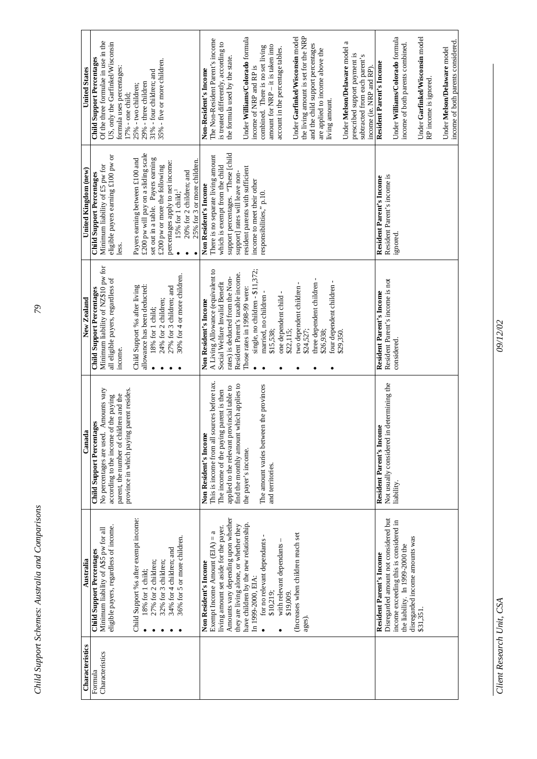| <b>United States</b> | Of the three formulae in use in the<br>US, only the Garfinkel/Wisconsin<br><b>Child Support Percentages</b><br>35% - five or more children.<br>formula uses percentages:<br>31% - four children; and<br>29% - three children<br>25% - two children;<br>17% - one child;                                                                                                                     | the living amount is set for the NRP<br>Under Williams/Colorado formula<br>Under Garfinkel/Wisconsin model<br>Non-Resident's Income<br>The Non-Resident Parent's income<br>Under Melson/Delaware model a<br>is treated differently, according to<br>and the child support percentages<br>amount for NRP - it is taken into<br>combined. There is no set living<br>account in the percentage tables.<br>are applied to income above the<br>prescribed support payment is<br>subtracted from each parent's<br>the formula used by the state.<br>income of NRP and RP is<br>income (ie. NRP and RP)<br>living amount. | Under Williams/Colorado formula<br>Under Garfinkel/Wisconsin model<br>income of both parents considered.<br>income of both parents combined.<br>Under Melson/Delaware model<br>Resident Parent's Income<br>RP income is ignored. |
|----------------------|---------------------------------------------------------------------------------------------------------------------------------------------------------------------------------------------------------------------------------------------------------------------------------------------------------------------------------------------------------------------------------------------|--------------------------------------------------------------------------------------------------------------------------------------------------------------------------------------------------------------------------------------------------------------------------------------------------------------------------------------------------------------------------------------------------------------------------------------------------------------------------------------------------------------------------------------------------------------------------------------------------------------------|----------------------------------------------------------------------------------------------------------------------------------------------------------------------------------------------------------------------------------|
| United Kingdom (new) | £200 pw will pay on a sliding scale<br>eligible payers earning £100 pw or<br>set out in a table. Payers earning<br>Payers earning between £100 and<br>25% for 3 or more children<br>percentages apply to net income:<br>£200 pw or more the following<br>Minimum liability of £5 pw for<br>20% for 2 children; and<br><b>Child Support Percentages</b><br>$15\%$ for 1 child; $^1$<br>less. | support percentages. "These [child<br>There is no separate living amount<br>which is exempt from the child<br>resident parents with sufficient<br>support] rates will leave non-<br>income to meet their other<br>Non Resident's Income<br>responsibilities," p.10.                                                                                                                                                                                                                                                                                                                                                | Resident Parent's income is<br>Resident Parent's Income<br>ignored                                                                                                                                                               |
| New Zealand          | Minimum liability of NZ\$10 pw for<br>30% for 4 or more children.<br>all eligible payers, regardless of<br>Child Support % safter living<br>allowance has been deducted:<br>27% for 3 children; and<br><b>Child Support Percentages</b><br>24% for 2 children;<br>18% for 1 child;<br>income.                                                                                               | A Living Allowance (equivalent to<br>single, no children - \$11,372;<br>Resident Parent's taxable income.<br>rates) is deducted from the Non-<br>three dependent children -<br>four dependent children -<br>Social Welfare Invalid Benefit<br>two dependent children -<br>Those rates in 1998-99 were:<br>one dependent child -<br>married, no children<br>Non Resident's Income<br>\$15,538;<br>\$24,527;<br>\$22,115;<br>\$26,938;<br>\$29,350.                                                                                                                                                                  | Resident Parent's income is not<br>Resident Parent's Income<br>considered.                                                                                                                                                       |
| Canada               | No percentages are used. Amounts vary<br>ng parent resides.<br>parent, the number of children and the<br>according to the income of the paying<br><b>Child Support Percentages</b><br>province in which payir                                                                                                                                                                               | sources before tax.<br>find the monthly amount which applies to<br>The amount varies between the provinces<br>applied to the relevant provincial table to<br>The income of the paying parent is then<br>Non Resident's Income<br>This is income from all<br>the payer's income.<br>and territories                                                                                                                                                                                                                                                                                                                 | in determining the<br>Resident Parent's Income<br>Not usually considered<br>liability.                                                                                                                                           |
| Australia            | Child Support %s after exempt income:<br>eligible payers, regardless of income.<br>Minimum liability of A\$5 pw for all<br>36% for 5 or more children.<br>34% for 4 children; and<br><b>Child Support Percentages</b><br>32% for 3 children;<br>27% for 2 children;<br>18% for 1 child;                                                                                                     | Amounts vary depending upon whether<br>have children by the new relationship<br>they are living alone, or whether they<br>living amount set aside for the payer.<br>Exempt Income Amount $(EIA) = a$<br>(Increases when children reach set<br>for no relevant dependants<br>with relevant dependants<br>Non Resident's Income<br>In 1999-2000, EIA:<br>\$19,009.<br>\$10,219;<br>ages).                                                                                                                                                                                                                            | Disregarded amount not considered but<br>income exceeding this is considered in<br>disregarded income amounts was<br>the liability. In 1999-2000 the<br>Resident Parent's Income<br>\$31,351                                     |
| Characteristics      | Characteristics<br>Formula                                                                                                                                                                                                                                                                                                                                                                  |                                                                                                                                                                                                                                                                                                                                                                                                                                                                                                                                                                                                                    |                                                                                                                                                                                                                                  |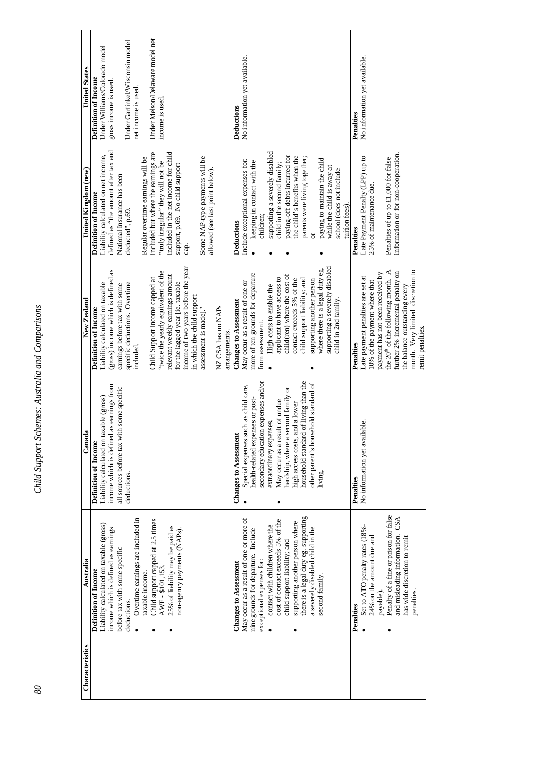| Characteristics | Australia                               | Canada                                    | New Zealand                                    | United Kingdom (new)                 | <b>United States</b>            |
|-----------------|-----------------------------------------|-------------------------------------------|------------------------------------------------|--------------------------------------|---------------------------------|
|                 |                                         |                                           |                                                |                                      |                                 |
|                 | Definition of Income                    | Definition of Income                      | <b>Definition of Income</b>                    | Definition of Income                 | <b>Definition of Income</b>     |
|                 | Liability calculated on taxable (gross) | Liability calculated on taxable (gross)   | Liability calculated on taxable                | Liability calculated on net income,  | Under Williams/Colorado model   |
|                 | income which is defined as earnings     | income which is defined as earnings from  | (gross) income which is defined as             | defined as "the amount after tax and | gross income is used.           |
|                 | before tax with some specific           | all sources before tax with some specific | earnings before tax with some                  | National Insurance has been          |                                 |
|                 | deductions.                             | deductions.                               | specific deductions. Overtime                  | deducted", p.69.                     | Under Garfinkel/Wisconsin model |
|                 | Overtime earnings are included in       |                                           | included.                                      |                                      | net income is used              |
|                 | taxable income.                         |                                           |                                                | Regular overtime earnings will be    |                                 |
|                 | Child support capped at 2.5 times       |                                           | Child Support income capped at                 | included but where the earnings are  | Under Melson/Delaware model net |
|                 | AWE-\$101,153.                          |                                           | "twice the yearly equivalent of the            | "truly irregular" they will not be   | income is used                  |
|                 |                                         |                                           |                                                |                                      |                                 |
|                 | 25% of liability may be paid as         |                                           | relevant weekly earnings amount                | included in the net income for child |                                 |
|                 | non-agency payments (NAPs).             |                                           | for the lagged year [ie. taxable               | support, p.69. No child support      |                                 |
|                 |                                         |                                           | income of two years before the year            | cap.                                 |                                 |
|                 |                                         |                                           | in which the child support                     |                                      |                                 |
|                 |                                         |                                           | assessment is made]."                          | Some NAP-type payments will be       |                                 |
|                 |                                         |                                           |                                                | allowed (see last point below).      |                                 |
|                 |                                         |                                           | NZ CSA has no NAPs                             |                                      |                                 |
|                 |                                         |                                           | arrangements.                                  |                                      |                                 |
|                 | <b>Changes to Assessment</b>            | Changes to Assessment                     | Changes to Assessment                          | Deductions                           | <b>Deductions</b>               |
|                 |                                         |                                           |                                                |                                      |                                 |
|                 | May occur as a result of one or more of | Special expenses such as child care,      | May occur as a result of one or                | Include exceptional expenses for:    | No information yet available.   |
|                 | nine grounds for departure. Include     | health-related expenses or post-          | more of ten grounds for departure              | keeping in contact with the          |                                 |
|                 | exceptional expenses for:               | secondary education expenses and/or       | from assessment.                               | children:                            |                                 |
|                 | contact with children where the         | extraordinary expenses.                   | High costs to enable the                       | supporting a severely disabled       |                                 |
|                 |                                         |                                           |                                                |                                      |                                 |
|                 | cost of contact exceeds 5% of the       | May occur as a result of undue            | applicant to have access to                    | child in the second family;          |                                 |
|                 | child support liability; and            | hardship, where a second family or        | child(ren) where the cost of                   | paying-off debts incurred for        |                                 |
|                 | supporting another person where         | and a lower<br>high access costs,         | contact exceeds 5% of the                      | the child's benefits when the        |                                 |
|                 | there is a legal duty eg. supporting    | household standard of living than the     | child support liability; and                   | parents were living together;        |                                 |
|                 | a severely disabled child in the        | other parent's household standard of      | supporting another person                      | ð                                    |                                 |
|                 | second family.                          | living.                                   | where there is a legal duty eg.                |                                      |                                 |
|                 |                                         |                                           |                                                | paying to maintain the child         |                                 |
|                 |                                         |                                           | supporting a severely disabled                 | while the child is away at           |                                 |
|                 |                                         |                                           | child in 2nd family.                           | school (does not include             |                                 |
|                 |                                         |                                           |                                                | tuition fees).                       |                                 |
|                 | Penalties                               | Penalties                                 | Penalties                                      | Penalties                            | Penalties                       |
|                 | Set to ATO penalty rates (18%-          | No information yet available.             | Late payment penalties are set at              | Late Payment Penalty (LPP) up to     | No information yet available.   |
|                 | 24% on the amount due and               |                                           | 10% of the payment where that                  | 25% of maintenance due.              |                                 |
|                 | payable).                               |                                           | payment has not been received by               |                                      |                                 |
|                 | Penalty of a fine or prison for false   |                                           | the $20^{\text{th}}$ of the following month. A | Penalties of up to £1,000 for false  |                                 |
|                 | and misleading information. CSA         |                                           | further 2% incremental penalty on              | information or for non-cooperation.  |                                 |
|                 | has wide discretion to remit            |                                           | the balance outstanding every                  |                                      |                                 |
|                 | penalties.                              |                                           | month. Very limited discretion to              |                                      |                                 |
|                 |                                         |                                           | remit penalties.                               |                                      |                                 |

Child Support Schemes: Australia and Comparisons *80 Child Support Schemes: Australia and Comparisons*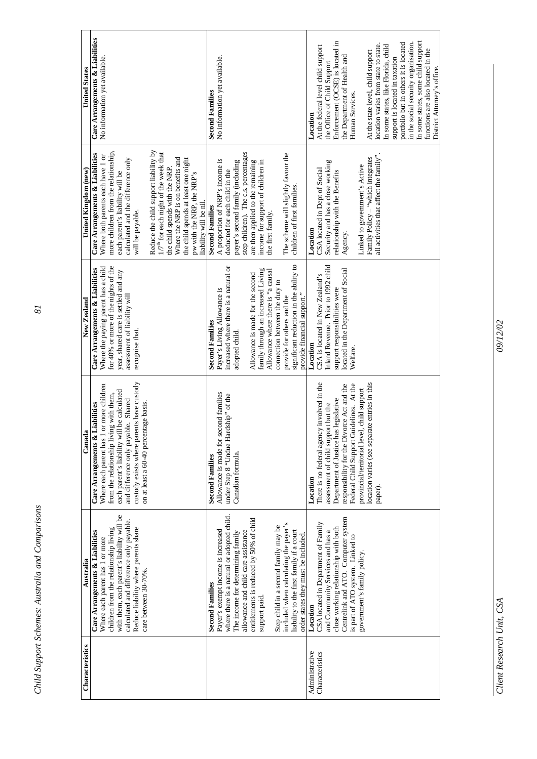| Characteristics | Australia                                                                                                                                                                                            | Canada                                                                                                                                                                                                         | New Zealand                                                                                                                                                                            | United Kingdom (new)                                                                                                                                                                  | <b>United States</b>                                             |
|-----------------|------------------------------------------------------------------------------------------------------------------------------------------------------------------------------------------------------|----------------------------------------------------------------------------------------------------------------------------------------------------------------------------------------------------------------|----------------------------------------------------------------------------------------------------------------------------------------------------------------------------------------|---------------------------------------------------------------------------------------------------------------------------------------------------------------------------------------|------------------------------------------------------------------|
|                 | with them, each parent's liability will be<br>calculated and difference only payable.<br>children from the relationship living<br>Care Arrangements & Liabilities<br>Where each parent has 1 or more | 1 or more children<br>each parent's liability will be calculated<br>from the relationship living with them,<br>and difference only payable. Shared<br>Care Arrangements & Liabilities<br>Where each parent has | for 40% or more of the nights of the<br>Where the paying parent has a child<br>Care Arrangements & Liabilities<br>year, shared care is settled and any<br>assessment of liability will | more children from the relationship,<br>Care Arrangements & Liabilities<br>Where both parents each have 1 or<br>calculated and the difference only<br>each parent's liability will be | Care Arrangements & Liabilities<br>No information yet available. |
|                 | Reduce liability where parents share<br>care between 30-70%.                                                                                                                                         | custody exists where parents have custody<br>on at least a 60-40 percentage basis.                                                                                                                             | recognise that.                                                                                                                                                                        | will be payable.                                                                                                                                                                      |                                                                  |
|                 |                                                                                                                                                                                                      |                                                                                                                                                                                                                |                                                                                                                                                                                        | Reduce the child support liability by<br>$1/7^{\text{th}}$ for each night of the week that<br>the child spends with the NRP.                                                          |                                                                  |
|                 |                                                                                                                                                                                                      |                                                                                                                                                                                                                |                                                                                                                                                                                        | Where the NRP is on benefits and<br>the child spends at least one night<br>pw with the NRP, the NRP's                                                                                 |                                                                  |
|                 | <b>Second Families</b>                                                                                                                                                                               | <b>Second Families</b>                                                                                                                                                                                         | <b>Second Families</b>                                                                                                                                                                 | liability will be nil.<br><b>Second Families</b>                                                                                                                                      | <b>Second Families</b>                                           |
|                 | Payer's exempt income is increased                                                                                                                                                                   | Allowance is made for second families                                                                                                                                                                          | Payer's Living Allowance is                                                                                                                                                            | A proportion of NRP's income is                                                                                                                                                       | No information yet available.                                    |
|                 | where there is a natural or adopted child.                                                                                                                                                           | under Step 8 "Undue Hardship" of the                                                                                                                                                                           | increased where there is a natural or                                                                                                                                                  | deducted for each child in the                                                                                                                                                        |                                                                  |
|                 | The income for determining family                                                                                                                                                                    | Canadian formula.                                                                                                                                                                                              | adopted child.                                                                                                                                                                         | payer's second family (including                                                                                                                                                      |                                                                  |
|                 | allowance and child care assistance                                                                                                                                                                  |                                                                                                                                                                                                                |                                                                                                                                                                                        | step children). The c.s. percentages                                                                                                                                                  |                                                                  |
|                 | entitlements is reduced by 50% of child                                                                                                                                                              |                                                                                                                                                                                                                | Allowance is made for the second                                                                                                                                                       | are then applied to the remaining                                                                                                                                                     |                                                                  |
|                 | support paid.                                                                                                                                                                                        |                                                                                                                                                                                                                | family through an increased Living<br>Allowance where there is "a causal                                                                                                               | income for support of children in<br>the first family.                                                                                                                                |                                                                  |
|                 | Step child in a second family may be                                                                                                                                                                 |                                                                                                                                                                                                                | connection between the duty to                                                                                                                                                         |                                                                                                                                                                                       |                                                                  |
|                 | included when calculating the payer's                                                                                                                                                                |                                                                                                                                                                                                                | provide for others and the                                                                                                                                                             | The scheme will slightly favour the                                                                                                                                                   |                                                                  |
|                 | liability to the first family if a court                                                                                                                                                             |                                                                                                                                                                                                                | significant reduction in the ability to                                                                                                                                                | children of first families.                                                                                                                                                           |                                                                  |
|                 | order states they must be included                                                                                                                                                                   |                                                                                                                                                                                                                | provide financial support."                                                                                                                                                            |                                                                                                                                                                                       |                                                                  |
| Administrative  | Location                                                                                                                                                                                             | Location                                                                                                                                                                                                       | Location                                                                                                                                                                               | Location                                                                                                                                                                              | Location                                                         |
| Characteristics | CSA located in Department of Family                                                                                                                                                                  | There is no federal agency involved in the                                                                                                                                                                     | CSA is located in New Zealand's                                                                                                                                                        | CSA located in Dept of Social                                                                                                                                                         | At the federal level child support                               |
|                 | and Community Services and has a                                                                                                                                                                     | assessment of child support but the                                                                                                                                                                            | Inland Revenue. Prior to 1992 child                                                                                                                                                    | Security and has a close working                                                                                                                                                      | the Office of Child Support                                      |
|                 | close working relationship with both                                                                                                                                                                 | Department of Justice has legislative                                                                                                                                                                          | support responsibilities were                                                                                                                                                          | relationship with the Benefits                                                                                                                                                        | Enforcement (OCSE) is located in                                 |
|                 | Centrelink and ATO. Computer system                                                                                                                                                                  | responsibility for the Divorce Act and the                                                                                                                                                                     | located in the Department of Social                                                                                                                                                    | Agency.                                                                                                                                                                               | the Department of Health and                                     |
|                 | is part of ATO system. Linked to                                                                                                                                                                     | Federal Child Support Guidelines. At the                                                                                                                                                                       | Welfare.                                                                                                                                                                               |                                                                                                                                                                                       | Human Services.                                                  |
|                 | government's family policy.                                                                                                                                                                          | location varies (see separate entries in this<br>provincial/territorial level, child support                                                                                                                   |                                                                                                                                                                                        | Family Policy - "which integrates<br>Linked to government's Active                                                                                                                    | At the state level, child support                                |
|                 |                                                                                                                                                                                                      | paper).                                                                                                                                                                                                        |                                                                                                                                                                                        | all activities that affect the family".                                                                                                                                               | location varies from state to state.                             |
|                 |                                                                                                                                                                                                      |                                                                                                                                                                                                                |                                                                                                                                                                                        |                                                                                                                                                                                       | In some states, like Florida, child                              |
|                 |                                                                                                                                                                                                      |                                                                                                                                                                                                                |                                                                                                                                                                                        |                                                                                                                                                                                       | support is located in taxation                                   |
|                 |                                                                                                                                                                                                      |                                                                                                                                                                                                                |                                                                                                                                                                                        |                                                                                                                                                                                       | portfolio but in others it is located                            |
|                 |                                                                                                                                                                                                      |                                                                                                                                                                                                                |                                                                                                                                                                                        |                                                                                                                                                                                       | in the social security organisation.                             |
|                 |                                                                                                                                                                                                      |                                                                                                                                                                                                                |                                                                                                                                                                                        |                                                                                                                                                                                       | In some states, some child support                               |
|                 |                                                                                                                                                                                                      |                                                                                                                                                                                                                |                                                                                                                                                                                        |                                                                                                                                                                                       | functions are also located in the<br>District Attorney's office. |

*Child Support Schemes: Australia and Comparisons 81*  Child Support Schemes: Australia and Comparisons

09/12/02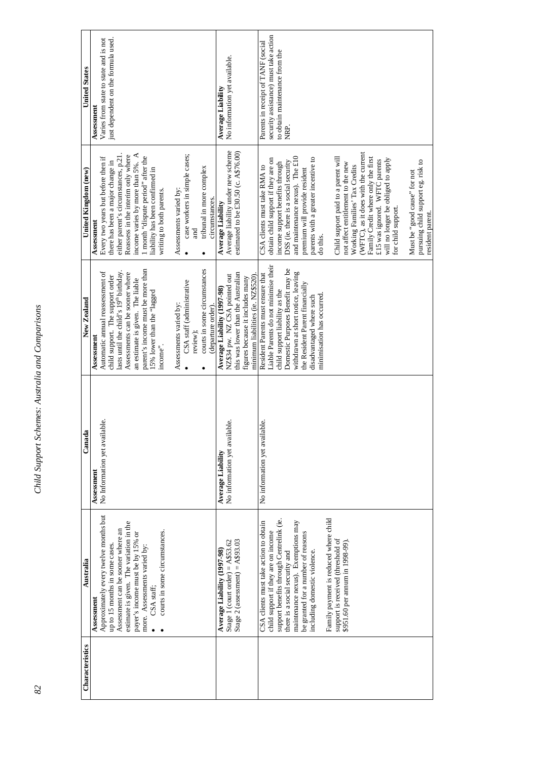| Characteristics | Australia                                | 눸<br>$C$ anad                     | New Zealand                                        | United Kingdom (new)                       | <b>United States</b>                  |
|-----------------|------------------------------------------|-----------------------------------|----------------------------------------------------|--------------------------------------------|---------------------------------------|
|                 | Assessment                               | Assessment                        | Assessment                                         | Assessment                                 | Assessment                            |
|                 | Approximately every twelve months but    | No Information yet available.     | Automatic annual reassessment of                   | Every two years but before then if         | Varies from state to state and is not |
|                 | up to 15 months in some cases            |                                   | child support. The support order                   | there has been a major change in           | just dependent on the formula used.   |
|                 | Assessment can be sooner where an        |                                   | lasts until the child's 19 <sup>th</sup> birthday. | either parent's circumstances, p.21.       |                                       |
|                 | estimate is given. The variation in the  |                                   | Assessments can be sooner where                    | Reassess in the interim only where         |                                       |
|                 | payer's income must be by 15% or         |                                   | an estimate is given. The liable                   | income varies by more than 5%. A           |                                       |
|                 | more. Assessments varied by:             |                                   | parent's income must be more than                  | 1 month "dispute period" after the         |                                       |
|                 |                                          |                                   | 15% lower than the "lagged                         | liability has been confirmed in            |                                       |
|                 | CSA staff;                               |                                   |                                                    |                                            |                                       |
|                 | courts in some circumstances.            |                                   | income".                                           | writing to both parents.                   |                                       |
|                 |                                          |                                   |                                                    |                                            |                                       |
|                 |                                          |                                   | Assessments varied by:                             | Assessments varied by:                     |                                       |
|                 |                                          |                                   | CSA staff (administrative                          | case workers in simple cases;<br>$\bullet$ |                                       |
|                 |                                          |                                   | review);                                           | <b>Rure</b>                                |                                       |
|                 |                                          |                                   |                                                    |                                            |                                       |
|                 |                                          |                                   | courts in some circumstances<br>(departure order)  | tribunal in more complex<br>circumstances  |                                       |
|                 | Average Liability (1997-98)              | <b>Average Liability</b>          | Average Liability (1997-98)                        | <b>Average Liability</b>                   | Average Liability                     |
|                 |                                          |                                   |                                                    |                                            |                                       |
|                 | Stage 1 (court order) = $A$53.62$        | No information yet available.     | NZ\$34 pw. NZ CSA pointed out                      | Average liability under new scheme         | No information yet available.         |
|                 | Stage 2 (assessment) = $A$93.03$         |                                   | this was lower than the Australian                 | estimated to be £30.50 (c. A\$76.00)       |                                       |
|                 |                                          |                                   | figures because it includes many                   |                                            |                                       |
|                 |                                          |                                   | minimum liabilities (ie. NZ\$520).                 |                                            |                                       |
|                 | CSA clients must take action to obtain   | lable.<br>No information yet avai | Resident Parents must ensure that                  | CSA clients must take RMA to               | Parents in receipt of TANF (social    |
|                 | child support if they are on income      |                                   | Liable Parents do not minimise their               | obtain child support if they are on        | security assistance) must take action |
|                 | support benefits through Centrelink (ie. |                                   | child support liability as the                     | income support benefits through            | to obtain maintenance from the        |
|                 |                                          |                                   |                                                    |                                            | NRP.                                  |
|                 | there is a social security and           |                                   | Domestic Purposes Benefit may be                   | DSS (i.e. there is a social security       |                                       |
|                 | maintenance nexus). Exemptions may       |                                   | withdrawn at short notice, leaving                 | and maintenance nexus). The £10            |                                       |
|                 | be granted for a number of reasons       |                                   | the Resident Parent financially                    | premium will provide resident              |                                       |
|                 | including domestic violence.             |                                   | disadvantaged where such                           | parents with a greater incentive to        |                                       |
|                 |                                          |                                   | minimisation has occurred                          | do this.                                   |                                       |
|                 | Family payment is reduced where child    |                                   |                                                    |                                            |                                       |
|                 | support is received (threshold of        |                                   |                                                    | Child support paid to a parent will        |                                       |
|                 | \$951.60 per annum in 1998-99).          |                                   |                                                    | not affect entitlement to the new          |                                       |
|                 |                                          |                                   |                                                    | Working Families' Tax Credits              |                                       |
|                 |                                          |                                   |                                                    | (WFTC), as it does with the current        |                                       |
|                 |                                          |                                   |                                                    | Family Credit where only the first         |                                       |
|                 |                                          |                                   |                                                    | £15 was ignored. WFTC parents              |                                       |
|                 |                                          |                                   |                                                    |                                            |                                       |
|                 |                                          |                                   |                                                    | will no longer be obliged to apply         |                                       |
|                 |                                          |                                   |                                                    | for child support.                         |                                       |
|                 |                                          |                                   |                                                    | Must be "good cause" for not               |                                       |
|                 |                                          |                                   |                                                    | pursuing child support eg. risk to         |                                       |
|                 |                                          |                                   |                                                    | resident parent.                           |                                       |

Child Support Schemes: Australia and Comparisons *82 Child Support Schemes: Australia and Comparisons*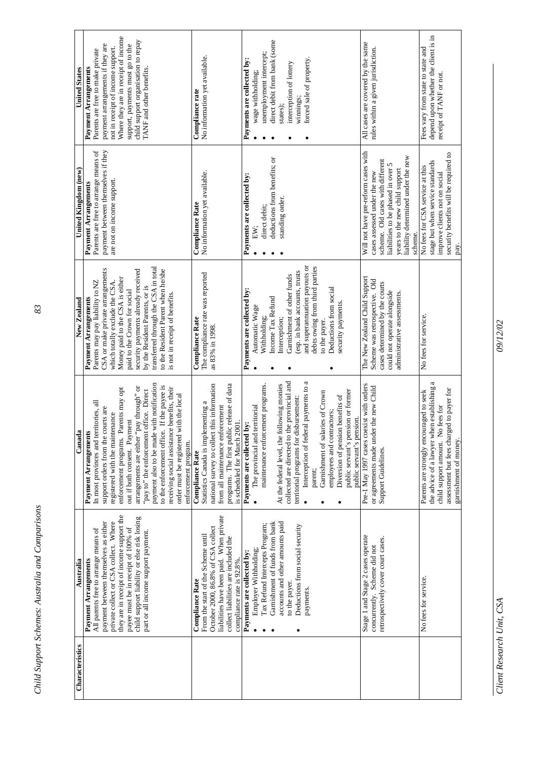| Characteristics | Australia                                                                                                                                                                                                                                                                                                               | Canada                                                                                                                                                                                                                                                                                                                                                                                                                                                                                                                     | New Zealand                                                                                                                                                                                                                                                                                                                                                                              | United Kingdom (new)                                                                                                                                                                                                             | <b>United States</b>                                                                                                                                                                                                                                                            |
|-----------------|-------------------------------------------------------------------------------------------------------------------------------------------------------------------------------------------------------------------------------------------------------------------------------------------------------------------------|----------------------------------------------------------------------------------------------------------------------------------------------------------------------------------------------------------------------------------------------------------------------------------------------------------------------------------------------------------------------------------------------------------------------------------------------------------------------------------------------------------------------------|------------------------------------------------------------------------------------------------------------------------------------------------------------------------------------------------------------------------------------------------------------------------------------------------------------------------------------------------------------------------------------------|----------------------------------------------------------------------------------------------------------------------------------------------------------------------------------------------------------------------------------|---------------------------------------------------------------------------------------------------------------------------------------------------------------------------------------------------------------------------------------------------------------------------------|
|                 | they are in receipt of income support the<br>child support liability or else risk losing<br>payment between themselves as either<br>private collect or CSA collect. Where<br>payee must be in receipt of 100% of<br>All parents free to arrange means of<br>part or all income support payment.<br>Payment Arrangements | payment also to be made with notification<br>to the enforcement office. If the payee is<br>arrangements are either "pay through" or<br>receiving social assistance benefits, their<br>Parents may opt<br>"pay to" the enforcement office. Direct<br>with the local<br>In most provinces and territories, all<br>support orders from the courts are<br>registered with the maintenance<br>out if both consent. Payment<br>Payment Arrangements<br>order must be registered<br>enforcement programs.<br>enforcement program. | transferred through the CSA in total<br>CSA or make private arrangements<br>security payments already received<br>to the Resident Parent when he/she<br>Money paid to the CSA is either<br>Parents may pay liability to NZ<br>which totally exclude the CSA.<br>by the Resident Parents, or is<br>paid to the Crown for social<br>is not in receipt of benefits.<br>Payment Arrangements | payment between themselves if they<br>Parents are free to arrange means of<br>are not on income support.<br>Payment Arrangements                                                                                                 | Where they are in receipt of income<br>child support organisation to repay<br>support, payments must go to the<br>payment arrangements if they are<br>not in receipt of income support.<br>Parents are free to make private<br>Payment Arrangements<br>TANF and other benefits. |
|                 | liabilities have been paid. When private<br>October 2000, 86.8% of CSA collect<br>From the start of the Scheme until<br>collect liabilities are included the<br>compliance rate is 92.8%.<br><b>Compliance Rate</b>                                                                                                     | national survey to collect this information<br>programs. The first public release of data<br>Statistics Canada is implementing a<br>from all maintenance enforcement<br>is scheduled for March 2001.<br>Compliance Rate                                                                                                                                                                                                                                                                                                    | The compliance rate was reported<br><b>Compliance Rate</b><br>as 83% in 1998.                                                                                                                                                                                                                                                                                                            | No information yet available.<br><b>Compliance Rate</b>                                                                                                                                                                          | No information yet available.<br>Compliance rate                                                                                                                                                                                                                                |
|                 | Garnishment of funds from bank<br>accounts and other amounts paid<br>Tax Refund Intercepts Program;<br>Deductions from social security<br>Employer Withholding;<br>Payments are collected by:<br>to the payer.<br>payments.                                                                                             | collected are directed to the provincial and<br>Interception of federal payments to a<br>At the federal level, the following monies<br>maintenance enforcement programs.<br>public servant's pension or former<br>Garnishment of salaries of Crown<br>Diversion of pension benefits of<br>territorial programs for disbursement:<br>The provincial and territorial<br>employees and contractors;<br>public servant's pension.<br>Payments are collected by:<br>parent;                                                     | and superannuation payouts or<br>debts owing from third parties<br>(esp. in bank accounts, trusts<br>Garnishment of other funds<br>Deductions from social<br>Payments are collected by:<br>Income Tax Refund<br>security payments.<br>Automatic Wage<br>Withholding;<br>Interception;<br>to the payer.                                                                                   | deductions from benefits; or<br>Payments are collected by:<br>standing order.<br>direct debit:<br>EW:                                                                                                                            | direct debit from bank (some<br>unemployment intercept;<br>forced sale of property.<br>Payments are collected by:<br>interception of lottery<br>wage withholding;<br>winnings;<br>states);                                                                                      |
|                 | Stage 1 and Stage 2 cases operate<br>retrospectively cover court cases.<br>concurrently. Scheme did not                                                                                                                                                                                                                 | Pre-1 May 1997 cases coexist with orders<br>or agreements made under the new Child<br>Support Guidelines.                                                                                                                                                                                                                                                                                                                                                                                                                  | The New Zealand Child Support<br>Scheme was retrospective. Old<br>cases determined by the courts<br>could not operate alongside<br>administrative assessments.                                                                                                                                                                                                                           | Will not have pre-reform cases with<br>liability determined under the new<br>scheme. Old cases with different<br>liabilities to be phased in over 5<br>years to the new child support<br>cases assessed under the new<br>scheme. | All cases are covered by the same<br>rules within a given jurisdiction.                                                                                                                                                                                                         |
|                 | No fees for service.                                                                                                                                                                                                                                                                                                    | the advice of a lawyer when establishing a<br>rged to payer for<br>Parents are strongly encouraged to seek<br>child support amount. No fees for<br>assessment but fees chai<br>garnishment of money.                                                                                                                                                                                                                                                                                                                       | No fees for service.                                                                                                                                                                                                                                                                                                                                                                     | security benefits will be required to<br>stage but when service standards<br>No fees for CSA service at this<br>improve clients not on social<br>pay.                                                                            | depend upon whether the client is in<br>Fees vary from state to state and<br>receipt of TANF or not.                                                                                                                                                                            |

Child Support Schemes: Australia and Comparisons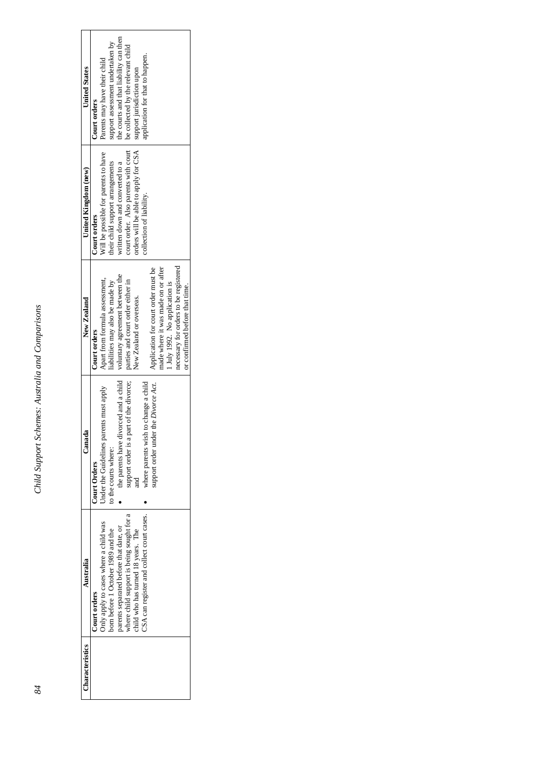| Characteristics | Australia                                 | $_{\rm Canad}$                          | New Zealand                           | United Kingdom (new)                 | <b>United States</b>                   |
|-----------------|-------------------------------------------|-----------------------------------------|---------------------------------------|--------------------------------------|----------------------------------------|
|                 | Court orders                              | Court Orders                            | Court orders                          | Court orders                         | Court orders                           |
|                 | Only apply to cases where a child was     | Under the Guidelines parents must apply | Apart from formula assessment,        | Will be possible for parents to have | Parents may have their child           |
|                 | born before 1 October 1989 and the        | to the courts where:                    | liabilities may also be made by       | their child support arrangements     | support assessment undertaken by       |
|                 | parents separated before that date, or    | the parents have divorced and a child   | voluntary agreement between the       | written down and converted to a      | the courts and that liability can then |
|                 | where child support is being sought for a | support order is a part of the divorce; | parties and court order either in     | court order. Also parents with court | be collected by the relevant child     |
|                 | child who has turned 18 years. The        |                                         | New Zealand or overseas.              | orders will be able to apply for CSA | support jurisdiction upon              |
|                 | CSA can register and collect court cases. | where parents wish to change a child    |                                       | collection of liability.             | application for that to happen.        |
|                 |                                           | support order under the Divorce Act.    | Application for court order must be   |                                      |                                        |
|                 |                                           |                                         | made where it was made on or after    |                                      |                                        |
|                 |                                           |                                         | 1 July 1992. No application is        |                                      |                                        |
|                 |                                           |                                         | necessary for orders to be registered |                                      |                                        |
|                 |                                           |                                         | or confirmed before that time.        |                                      |                                        |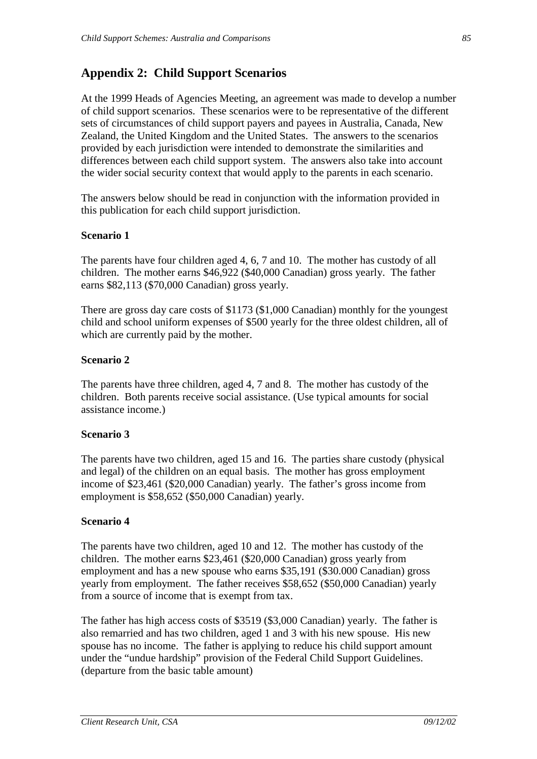### **Appendix 2: Child Support Scenarios**

At the 1999 Heads of Agencies Meeting, an agreement was made to develop a number of child support scenarios. These scenarios were to be representative of the different sets of circumstances of child support payers and payees in Australia, Canada, New Zealand, the United Kingdom and the United States. The answers to the scenarios provided by each jurisdiction were intended to demonstrate the similarities and differences between each child support system. The answers also take into account the wider social security context that would apply to the parents in each scenario.

The answers below should be read in conjunction with the information provided in this publication for each child support jurisdiction.

#### **Scenario 1**

The parents have four children aged 4, 6, 7 and 10. The mother has custody of all children. The mother earns \$46,922 (\$40,000 Canadian) gross yearly. The father earns \$82,113 (\$70,000 Canadian) gross yearly.

There are gross day care costs of \$1173 (\$1,000 Canadian) monthly for the youngest child and school uniform expenses of \$500 yearly for the three oldest children, all of which are currently paid by the mother.

#### **Scenario 2**

The parents have three children, aged 4, 7 and 8. The mother has custody of the children. Both parents receive social assistance. (Use typical amounts for social assistance income.)

#### **Scenario 3**

The parents have two children, aged 15 and 16. The parties share custody (physical and legal) of the children on an equal basis. The mother has gross employment income of \$23,461 (\$20,000 Canadian) yearly. The father's gross income from employment is \$58,652 (\$50,000 Canadian) yearly.

#### **Scenario 4**

The parents have two children, aged 10 and 12. The mother has custody of the children. The mother earns \$23,461 (\$20,000 Canadian) gross yearly from employment and has a new spouse who earns \$35,191 (\$30.000 Canadian) gross yearly from employment. The father receives \$58,652 (\$50,000 Canadian) yearly from a source of income that is exempt from tax.

The father has high access costs of \$3519 (\$3,000 Canadian) yearly. The father is also remarried and has two children, aged 1 and 3 with his new spouse. His new spouse has no income. The father is applying to reduce his child support amount under the "undue hardship" provision of the Federal Child Support Guidelines. (departure from the basic table amount)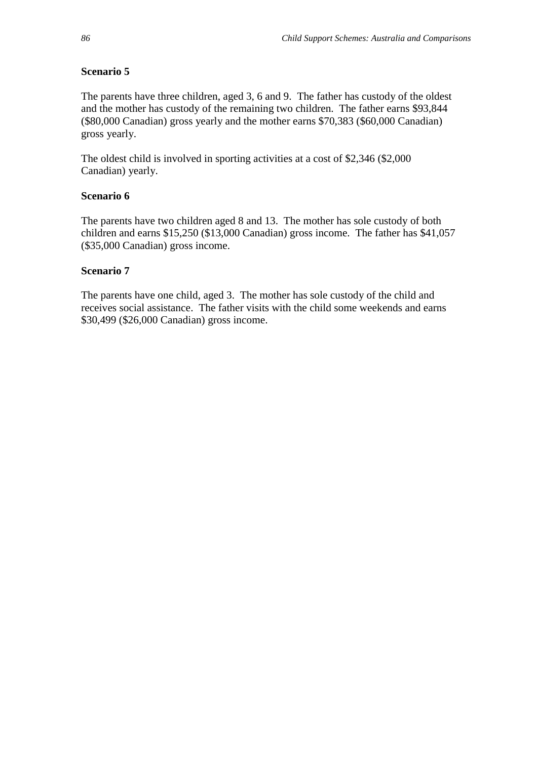#### **Scenario 5**

The parents have three children, aged 3, 6 and 9. The father has custody of the oldest and the mother has custody of the remaining two children. The father earns \$93,844 (\$80,000 Canadian) gross yearly and the mother earns \$70,383 (\$60,000 Canadian) gross yearly.

The oldest child is involved in sporting activities at a cost of \$2,346 (\$2,000 Canadian) yearly.

#### **Scenario 6**

The parents have two children aged 8 and 13. The mother has sole custody of both children and earns \$15,250 (\$13,000 Canadian) gross income. The father has \$41,057 (\$35,000 Canadian) gross income.

#### **Scenario 7**

The parents have one child, aged 3. The mother has sole custody of the child and receives social assistance. The father visits with the child some weekends and earns \$30,499 (\$26,000 Canadian) gross income.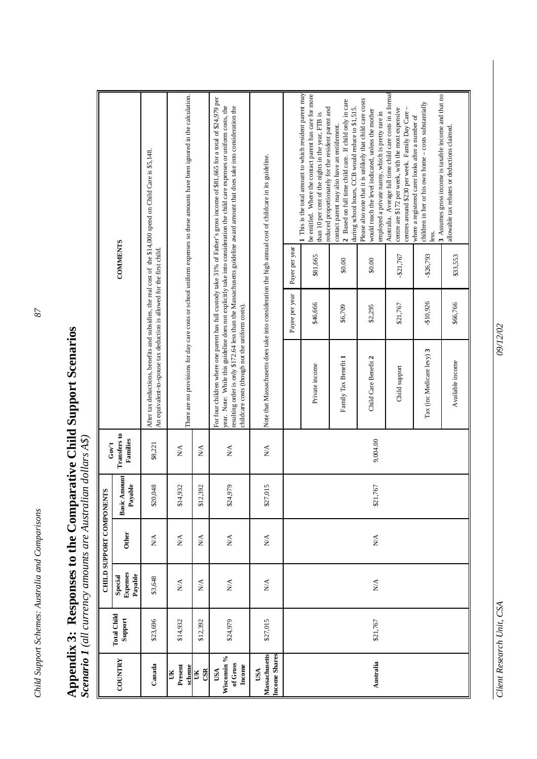# Appendix 3: Responses to the Comparative Child Support Scenarios<br>Scenario 1 (all currency amounts are Australian dollars  $A\$ ) **Appendix 3: Responses to the Comparative Child Support Scenarios**

*Scenario 1 (all currency amounts are Australian dollars A\$)*

|                                              |                               |                                       | <b>CHILD SUPPORT COMPONENT</b> | S                              | Gov't                           |                                                                       |                |                 |                                                                                                                                                                                                                                                                                                                                                                                          |
|----------------------------------------------|-------------------------------|---------------------------------------|--------------------------------|--------------------------------|---------------------------------|-----------------------------------------------------------------------|----------------|-----------------|------------------------------------------------------------------------------------------------------------------------------------------------------------------------------------------------------------------------------------------------------------------------------------------------------------------------------------------------------------------------------------------|
| <b>COUNTRY</b>                               | <b>Total Child</b><br>Support | <b>Expenses</b><br>Payable<br>Special | Other                          | <b>Basic Amount</b><br>Payable | <b>Transfers to</b><br>Families |                                                                       |                | <b>COMMENTS</b> |                                                                                                                                                                                                                                                                                                                                                                                          |
| Canada                                       | \$23,696                      | \$3,648                               | $\stackrel{\triangle}{\geq}$   | \$20,048                       | \$8,221                         | An equivalent-to-spouse tax deduction is allowed for the first child. |                |                 | After tax deductions, benefits and subsidies, the real cost of the \$14,000 spend on Child Care is \$5,148.                                                                                                                                                                                                                                                                              |
| Present<br>scheme<br>ÜК                      | \$14,932                      | $\stackrel{\triangle}{\geq}$          | $N\mathbf{A}$                  | 932<br>\$14,                   | $\stackrel{\triangle}{\geq}$    |                                                                       |                |                 | There are no provisions for day care costs or school uniform expenses so these amounts have been ignored in the calculation.                                                                                                                                                                                                                                                             |
| CSR<br>Ж                                     | \$12,392                      | $\mathbb{N}^{\mathbb{A}}$             | $\sum_{i=1}^{n}$               | 392<br>\$12,                   | $\mathbb{N}^{\mathbb{A}}$       |                                                                       |                |                 |                                                                                                                                                                                                                                                                                                                                                                                          |
| Wisconsin %<br>of Gross<br>Income<br>USA     | \$24,979                      | $\mathbf{N}\mathbf{A}$                | N/A                            | 979<br>\$24;                   | $\stackrel{\triangle}{\approx}$ | childcare costs (though not the uniform costs).                       |                |                 | For four children where one parent has full custody take 31% of Father's gross income of \$81,665 for a total of \$24,979 per<br>year. Note: While this guideline does not explicitly take into consideration the child care expenses or uniform costs, the<br>resulting order is only \$172.64 less than the Massachusetts guideline award amount that does take into consideration the |
| Massachusetts<br><b>Income Shares</b><br>USA | \$27,015                      | $\stackrel{\triangle}{\geq}$          | $\stackrel{\triangle}{\geq}$   | \$27,015                       | $\stackrel{\triangle}{\approx}$ |                                                                       |                |                 | Note that Massachusetts does take into consideration the high annual cost of childcare in its guideline.                                                                                                                                                                                                                                                                                 |
|                                              |                               |                                       |                                |                                |                                 |                                                                       | Payee per year | Payer per year  |                                                                                                                                                                                                                                                                                                                                                                                          |
|                                              |                               |                                       |                                |                                |                                 | Private income                                                        | \$46,666       | \$81,665        | 1 This is the total amount to which resident parent may<br>be entitled. Where the contact parent has care for more<br>reduced proportionately for the resident parent and<br>than 10 per cent of the nights in the year, FTB is                                                                                                                                                          |
|                                              |                               |                                       |                                |                                |                                 | Family Tax Benefit 1                                                  | \$6,709        | \$0.00          | 2 Based on full time child care. If child only in care<br>during school hours, CCB would reduce to \$1,515.<br>contact parent may also have an entitlement.                                                                                                                                                                                                                              |
| Australia                                    | \$21,767                      | $\stackrel{\triangle}{\geq}$          | $\stackrel{\triangle}{\geq}$   | \$21,767                       | 9,004.00                        | Child Care Benefit 2                                                  | \$2,295        | \$0.00          | Please also note that it is unlikely that child care costs<br>would reach the level indicated, unless the mother<br>employed a private nanny, which is pretty rare in                                                                                                                                                                                                                    |
|                                              |                               |                                       |                                |                                |                                 | Child support                                                         | \$21,767       | $-$21,767$      | Australia. Average full time child care costs in a formal<br>centre are \$172 per week, with the most expensive<br>centres around \$230 per week. Family Day Care-                                                                                                                                                                                                                       |
|                                              |                               |                                       |                                |                                |                                 | Tax (inc Medicare levy) 3                                             | -\$10,926      | $-$26,793$      | 3 Assumes gross income is taxable income and that no<br>children in her or his own home - costs substantially<br>where a registered carer looks after a number of<br>less.                                                                                                                                                                                                               |
|                                              |                               |                                       |                                |                                |                                 | Available income                                                      | \$66,766       | \$33,553        | allowable tax rebates or deductions claimed.                                                                                                                                                                                                                                                                                                                                             |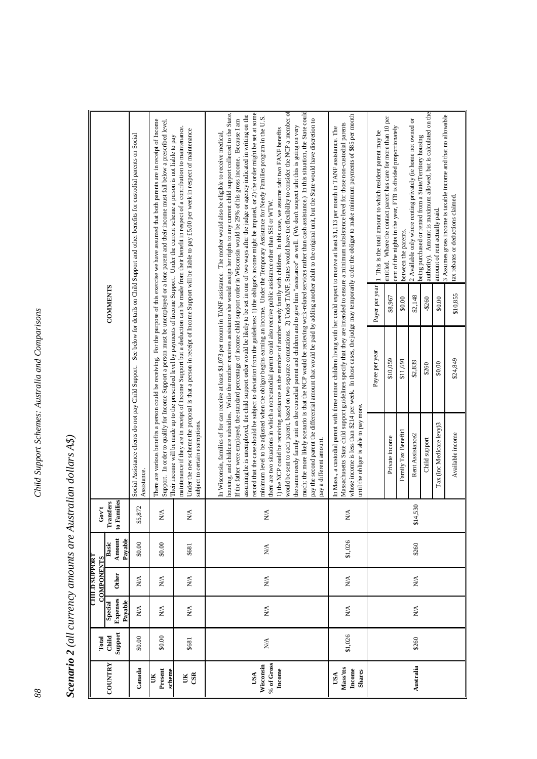| $\sim$ 1.2 $\sim$ 1.2 $\sim$ 1.2 $\sim$ 1.2 $\sim$ 1.2 $\sim$ 1.2 $\sim$ 1.2 $\sim$ 1.2 $\sim$ 1.2 $\sim$ 1.2 $\sim$ 1.2 $\sim$ 1.2 $\sim$ 1.2 $\sim$ 1.2 $\sim$ 1.2 $\sim$ 1.2 $\sim$ 1.2 $\sim$ 1.2 $\sim$ 1.2 $\sim$ 1.2 $\sim$ 1.2 $\sim$ 1.2 $\sim$ 1.2 $\sim$ 1.2 $\sim$ |
|--------------------------------------------------------------------------------------------------------------------------------------------------------------------------------------------------------------------------------------------------------------------------------|
| V ulludlutta va dan van dinationalistic lic                                                                                                                                                                                                                                    |
|                                                                                                                                                                                                                                                                                |
|                                                                                                                                                                                                                                                                                |
|                                                                                                                                                                                                                                                                                |
|                                                                                                                                                                                                                                                                                |
|                                                                                                                                                                                                                                                                                |
| ĭ                                                                                                                                                                                                                                                                              |

|                                            | Total                             |                                      | <b>CHILD SUPPORT</b>         |                                 |                            |                                                                    |                            |                                                                                                                                                                                                                                                                                                                                                                                                                                                                                                                                                                             |                                                                                                                                                                                                                                                                                                                                                                                                                                                                                                                                                                                                                                                                                                                                                                                                                                                                                                                                                                                                                                                                                                                                                                                                                                                          |
|--------------------------------------------|-----------------------------------|--------------------------------------|------------------------------|---------------------------------|----------------------------|--------------------------------------------------------------------|----------------------------|-----------------------------------------------------------------------------------------------------------------------------------------------------------------------------------------------------------------------------------------------------------------------------------------------------------------------------------------------------------------------------------------------------------------------------------------------------------------------------------------------------------------------------------------------------------------------------|----------------------------------------------------------------------------------------------------------------------------------------------------------------------------------------------------------------------------------------------------------------------------------------------------------------------------------------------------------------------------------------------------------------------------------------------------------------------------------------------------------------------------------------------------------------------------------------------------------------------------------------------------------------------------------------------------------------------------------------------------------------------------------------------------------------------------------------------------------------------------------------------------------------------------------------------------------------------------------------------------------------------------------------------------------------------------------------------------------------------------------------------------------------------------------------------------------------------------------------------------------|
|                                            |                                   |                                      | <b>COMPONENTS</b>            |                                 | Gov'                       |                                                                    |                            |                                                                                                                                                                                                                                                                                                                                                                                                                                                                                                                                                                             |                                                                                                                                                                                                                                                                                                                                                                                                                                                                                                                                                                                                                                                                                                                                                                                                                                                                                                                                                                                                                                                                                                                                                                                                                                                          |
| COUNTRY                                    | Support<br>Child                  | Expenses<br>Special                  | Other                        | Amount<br>Basic                 | to Families<br>Transfers   |                                                                    |                            | <b>COMMENTS</b>                                                                                                                                                                                                                                                                                                                                                                                                                                                                                                                                                             |                                                                                                                                                                                                                                                                                                                                                                                                                                                                                                                                                                                                                                                                                                                                                                                                                                                                                                                                                                                                                                                                                                                                                                                                                                                          |
| Canada                                     | \$0.00                            | Payable<br>$\mathop{\rm N}\nolimits$ | $\mathbf{N}/\mathbf{A}$      | Payable<br>\$0.00               | $\mathcal{L}$<br>\$5,87    | Social Assistance clients do not pay Child Support.<br>Assistance. |                            | See below for details on Child Support and other benefits for custodial parents on Social                                                                                                                                                                                                                                                                                                                                                                                                                                                                                   |                                                                                                                                                                                                                                                                                                                                                                                                                                                                                                                                                                                                                                                                                                                                                                                                                                                                                                                                                                                                                                                                                                                                                                                                                                                          |
| Present<br>scheme                          | \$0.00                            | $\stackrel{\triangle}{\geq}$         | $\stackrel{\triangle}{\geq}$ | \$0.00                          | $\sum_{i=1}^{n}$           |                                                                    |                            | Their income will be made up to the prescribed level by payments of Income Support. Under the current scheme a person is not liable to pay                                                                                                                                                                                                                                                                                                                                                                                                                                  | There are various benefits a person could be receiving. For the purpose of this exercise we have assumed that both parents are in receipt of Income<br>Support. In order to qualify for Income Support a person must be unemployed or a lone parent and their income must fall below a prescribed level.                                                                                                                                                                                                                                                                                                                                                                                                                                                                                                                                                                                                                                                                                                                                                                                                                                                                                                                                                 |
| CSR<br>UK                                  | \$681                             | $\sum_{i=1}^{n}$                     | $\mathbb{N}\mathbb{A}$       | \$681                           | $\sum_{i=1}^{n}$           | subject to certain exemptions.                                     |                            | maintenance if they are in receipt of Income Support but a deduction can be made from their benefit in respect of a contribution to maintenance.<br>Under the new scheme the proposal is that a person in receipt of Income Support will be liable to pay £5.00 per week in respect of maintenance                                                                                                                                                                                                                                                                          |                                                                                                                                                                                                                                                                                                                                                                                                                                                                                                                                                                                                                                                                                                                                                                                                                                                                                                                                                                                                                                                                                                                                                                                                                                                          |
| % of Gross<br>Wisconsin<br>Income<br>USA   | $\frac{\triangleleft}{\triangle}$ | $\mathbb{N}\mathbb{A}$               | $\mathbb{N}\mathbb{A}$       | $\stackrel{\triangle}{\approx}$ | $\mathbb{N}^{\mathcal{A}}$ | pay a different amount.                                            |                            | the same needy family unit as the custodial parent and children and to give him "assistance" as well. (We don't suspect taht this is going on very<br>1) the NCP could be receiving assistance as the member of another needy family with children. In this case, we assume taht two FANF benefits<br>In Wisconsin, families of for can receive at least \$1,073 per mount in TANF assistance. The mother would also be eligible to receive medical,<br>there are two situations in which a noncustodial parent could also receive public assistance other than SSI or WTW. | much; the more likely scenario is that the NCP would be recieving work-related services rather than cash assistance.) In this situation, the State could<br>would be sent to each parent, based on two separate comutations. 2) Under TANF, States would have the flexibility to consider the NCP a member of<br>record that the case should be subject to deviation from the guidelines: 1) the obligor's income might be imputed, or 2) the order might be set at some<br>housing, and childcare subsidies. While the mother receives assistance she would assign her rights to any current child support collected to the State.<br>assuming he is unemployed, the child support order would be likely to be set in one of two ways after the judge or agency indicated in writing on the<br>minimum level to be adjusted when the obligor begins earning an income. Under the Temporary Assistance for Needy Families program in the U.S.<br>If the father were employed, the standard percentage of income child support order in Wisconsin would be 29% of his gross income. Because I am<br>pay the second parent the differential amount that would be paid by adding another adult to the original unit, but the State would have discretion to |
| Mass'tts<br>Income<br><b>Shares</b><br>USA | \$1,026                           | $\sum_{i=1}^{n}$                     | $\sum_{i=1}^{n}$             | \$1,026                         | ΧÁ                         | until the obligor is able to pay more.                             |                            | In Mass., a custodial parent with three minor children living with her could expect to receive at least \$1,113 per month in TANF assistance. The                                                                                                                                                                                                                                                                                                                                                                                                                           | whose income is less than \$214 per week. In those cases, the judge may temporarily order the obligor to make minimum payments of \$85 per month<br>Massachusetts State child support guidelines specify that they are intended to ensure a minimum subsistence level for those non-custodial parents                                                                                                                                                                                                                                                                                                                                                                                                                                                                                                                                                                                                                                                                                                                                                                                                                                                                                                                                                    |
|                                            |                                   |                                      |                              |                                 |                            | Private income                                                     | Payee per year<br>\$10,059 | Payer per year<br>\$8,967                                                                                                                                                                                                                                                                                                                                                                                                                                                                                                                                                   | entitled. Where the contact parent has care for more than 10 per<br>1 This is the total amount to which resident parent may be                                                                                                                                                                                                                                                                                                                                                                                                                                                                                                                                                                                                                                                                                                                                                                                                                                                                                                                                                                                                                                                                                                                           |
|                                            |                                   |                                      |                              |                                 |                            | Family Tax Benefit1                                                | \$11,691                   | between the parents.<br>\$0.00                                                                                                                                                                                                                                                                                                                                                                                                                                                                                                                                              | cent of the nights in the year, FTB is divided proportionately                                                                                                                                                                                                                                                                                                                                                                                                                                                                                                                                                                                                                                                                                                                                                                                                                                                                                                                                                                                                                                                                                                                                                                                           |
| Australia                                  | \$260                             | $\sum_{i=1}^{n}$                     | N/A                          | \$260                           | \$14,530                   | Rent Assistance2                                                   | \$2,839                    | \$2,148                                                                                                                                                                                                                                                                                                                                                                                                                                                                                                                                                                     | 2 Available only where renting privately (ie home not owned or<br>being purchased or rented from a State/Territory housing                                                                                                                                                                                                                                                                                                                                                                                                                                                                                                                                                                                                                                                                                                                                                                                                                                                                                                                                                                                                                                                                                                                               |
|                                            |                                   |                                      |                              |                                 |                            | Child support                                                      | \$260                      | $-$260$                                                                                                                                                                                                                                                                                                                                                                                                                                                                                                                                                                     | authority). Amount is maximum allowed, but is calculated on the                                                                                                                                                                                                                                                                                                                                                                                                                                                                                                                                                                                                                                                                                                                                                                                                                                                                                                                                                                                                                                                                                                                                                                                          |
|                                            |                                   |                                      |                              |                                 |                            | Tax (inc Medicare levy)3                                           | \$0.00                     | amount of rent actually paid.<br>\$0.00                                                                                                                                                                                                                                                                                                                                                                                                                                                                                                                                     | 3 Assumes gross income is taxable income and that no allowable                                                                                                                                                                                                                                                                                                                                                                                                                                                                                                                                                                                                                                                                                                                                                                                                                                                                                                                                                                                                                                                                                                                                                                                           |
|                                            |                                   |                                      |                              |                                 |                            | Available income                                                   | \$24,849                   | tax rebates or deductions claimed.<br>\$10,855                                                                                                                                                                                                                                                                                                                                                                                                                                                                                                                              |                                                                                                                                                                                                                                                                                                                                                                                                                                                                                                                                                                                                                                                                                                                                                                                                                                                                                                                                                                                                                                                                                                                                                                                                                                                          |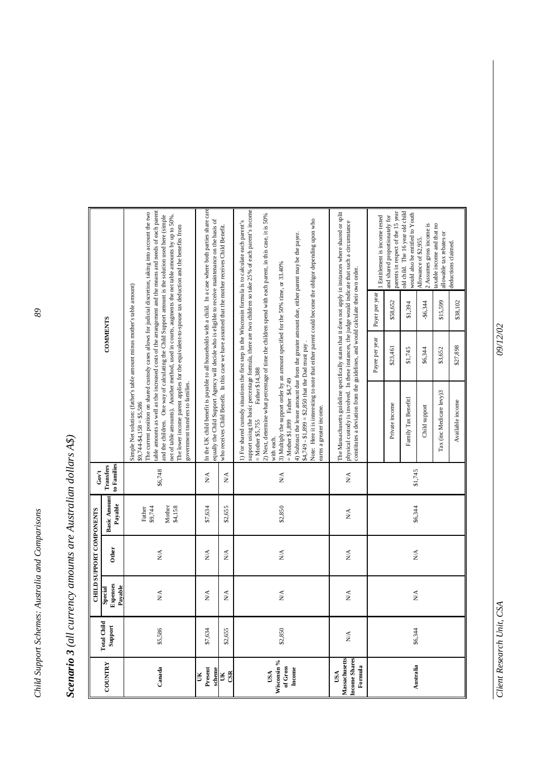| conario 3 (all currency amounts are Australian dollars |
|--------------------------------------------------------|
| .<br>3                                                 |
|                                                        |
|                                                        |
|                                                        |
|                                                        |
|                                                        |
| Ì                                                      |

|                                                         |                               |                                 | CHILD SUPPORT COMPONENTS        |                                        | Gov't                           |                                                                                                                                                                                                                                                                                                                                                                                                                                                                                                                                                                                                                                                                                                                                                                                                    |                 |                |                                                                                                            |
|---------------------------------------------------------|-------------------------------|---------------------------------|---------------------------------|----------------------------------------|---------------------------------|----------------------------------------------------------------------------------------------------------------------------------------------------------------------------------------------------------------------------------------------------------------------------------------------------------------------------------------------------------------------------------------------------------------------------------------------------------------------------------------------------------------------------------------------------------------------------------------------------------------------------------------------------------------------------------------------------------------------------------------------------------------------------------------------------|-----------------|----------------|------------------------------------------------------------------------------------------------------------|
| COUNTRY                                                 | <b>Total Child</b><br>Support | Expenses<br>Payable<br>Special  | Other                           | <b>Basic Amount</b><br>Payable         | to Families<br><b>Transfers</b> |                                                                                                                                                                                                                                                                                                                                                                                                                                                                                                                                                                                                                                                                                                                                                                                                    | <b>COMMENTS</b> |                |                                                                                                            |
| Canada                                                  | \$5,586                       | $\mathbf{N}/\mathbf{A}$         | $\stackrel{\triangle}{\approx}$ | Mother<br>\$4,158<br>\$9,744<br>Father | \$6,748                         | table amounts as well as the increased costs of the arrangement and the means and needs of each parent<br>The current position on shared custody cases allows for judicial discretion, taking into account the two<br>net of table amounts). Another method, used in courts, augments the net table amounts by up to 50%.<br>and the children. One way of calculating the Child Support amount is the solution used here (simple<br>The lower income parent applies for the equivalent-to-spouse tax deduction and the benefits from<br>Simple Net solution: (father's table amount minus mother's table amount)<br>government transfers to families.<br>$$9,744-$4,158 = $5,586$                                                                                                                  |                 |                |                                                                                                            |
| Present<br>scheme<br>Ĕ                                  | \$7,634                       | $\stackrel{\triangle}{\approx}$ | $\stackrel{\triangle}{\geq}$    | \$7,634                                | $\stackrel{\triangle}{\geq}$    | equally the Child Support Agency will decide who is eligible to receive maintenance on the basis of                                                                                                                                                                                                                                                                                                                                                                                                                                                                                                                                                                                                                                                                                                |                 |                | In the UK child benefit is payable to all households with a child. In a case where both parties share care |
| $\mathbb{S}$<br>ě                                       | \$2,655                       | $_{\rm N/A}$                    | $N\!$                           | \$2,655                                | N/A                             | who receives Child Benefit. In this case we have assumed that the mother receives Child Benefit.                                                                                                                                                                                                                                                                                                                                                                                                                                                                                                                                                                                                                                                                                                   |                 |                |                                                                                                            |
| Wisconsin %<br>of Gross<br>Income<br>USA                | \$2,850                       | $\stackrel{\triangle}{\approx}$ | $\stackrel{\triangle}{\approx}$ | \$2,850                                | $\mathbf{N}\mathbf{A}$          | support using the basic percentage formula, there are two children so take 25% of each parent's income<br>2) Next, determine what percentage of time the children spend with each parent, in this case, it is 50%<br>Note: Here it is interesting to note that either parent could become the obligor depending upon who<br>1) For shared custody situations the first step in the Wisconsin formula is to calculate each parent's<br>4) Subtract the lesser amount due from the greater amount due, either parent may be the payer.<br>3) Multiply the support order by an amount specified for the 50% time, or 33.40%<br>$$4,749 - $1,899 = $2,850$ that the Dad must pay.<br>Father \$14,388<br>= Mother \$1,899 Father \$4,749<br>earns a greater income.<br>$=$ Mother \$5.755<br>with each. |                 |                |                                                                                                            |
| Massachusetts<br><b>Income Shares</b><br>Formula<br>USA | NA.                           | $\frac{\lambda}{\lambda}$       | N/A                             | N/A                                    | $\sum_{i=1}^{n}$                | The Massachusetts guideline specifically states that it does not apply in instances where shared or split<br>physical custody is involved. In these instances, the judge would indicate that such a circumstance<br>constitutes a deviation from the guidelines, and would calculate their own order.                                                                                                                                                                                                                                                                                                                                                                                                                                                                                              |                 |                |                                                                                                            |
|                                                         |                               |                                 |                                 |                                        |                                 |                                                                                                                                                                                                                                                                                                                                                                                                                                                                                                                                                                                                                                                                                                                                                                                                    | Payee per year  | Payer per year | 1 Entitlement is income tested                                                                             |
|                                                         |                               |                                 |                                 |                                        |                                 | Private income                                                                                                                                                                                                                                                                                                                                                                                                                                                                                                                                                                                                                                                                                                                                                                                     | \$23,461        | \$58,652       | parents in respect of the 15 year<br>and shared proportionately for                                        |
| Australia                                               | \$6,344                       | $\frac{\lambda}{\lambda}$       | $\mathbb{N}\mathbb{A}$          | \$6,344                                | \$1,745                         | Family Tax Benefit1                                                                                                                                                                                                                                                                                                                                                                                                                                                                                                                                                                                                                                                                                                                                                                                | \$1,745         | \$1,394        | old child. The 16 year old child<br>would also be entitled to Youth                                        |
|                                                         |                               |                                 |                                 |                                        |                                 | Child support                                                                                                                                                                                                                                                                                                                                                                                                                                                                                                                                                                                                                                                                                                                                                                                      | \$6,344         | -\$6,344       | 2 Assumes gross income is<br>Allowance of \$2,955.                                                         |
|                                                         |                               |                                 |                                 |                                        |                                 | Tax (inc Medicare levy)3                                                                                                                                                                                                                                                                                                                                                                                                                                                                                                                                                                                                                                                                                                                                                                           | \$3,652         | \$15,599       | taxable income and that no<br>allowable tax rebates or                                                     |
|                                                         |                               |                                 |                                 |                                        |                                 | Available income                                                                                                                                                                                                                                                                                                                                                                                                                                                                                                                                                                                                                                                                                                                                                                                   | \$27,898        | \$38,102       | deductions claimed.                                                                                        |

*Client Research Unit, CSA*  $9/12/02$ Client Research Unit, CSA

09/12/02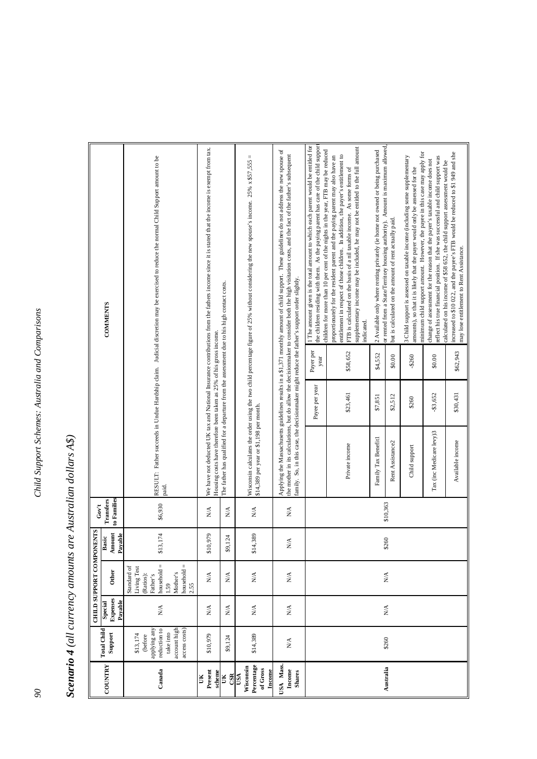| ś                     |
|-----------------------|
|                       |
|                       |
| こそうごつづつ なうこうえききこう クミク |
|                       |
|                       |
|                       |
|                       |
|                       |
|                       |
|                       |
|                       |
|                       |
|                       |
| ر<br>?                |
|                       |
|                       |
|                       |
|                       |
|                       |
|                       |
|                       |
|                       |
|                       |
|                       |
|                       |
|                       |
|                       |
|                       |
|                       |
|                       |
|                       |
| שווע ו עש             |
|                       |
|                       |
|                       |
|                       |
|                       |
|                       |
|                       |
|                       |
|                       |
|                       |
|                       |
|                       |
|                       |
|                       |
|                       |
| しゅうしょう アルフィン<br>Ì     |

|                                                      |                                                                                                   |                                                | CHILD SUPPORT COMPONENTS                                                                                                      |                                   | Gov't                           |                                                                                               |                |                   |                                                                                                                                                                                                                                                                                                                                                 |
|------------------------------------------------------|---------------------------------------------------------------------------------------------------|------------------------------------------------|-------------------------------------------------------------------------------------------------------------------------------|-----------------------------------|---------------------------------|-----------------------------------------------------------------------------------------------|----------------|-------------------|-------------------------------------------------------------------------------------------------------------------------------------------------------------------------------------------------------------------------------------------------------------------------------------------------------------------------------------------------|
| <b>COUNTRY</b>                                       | <b>Total Child</b><br>Support                                                                     | <b>Expenses</b><br>Payable<br>Special          | Other                                                                                                                         | <b>Amount</b><br>Payable<br>Basic | to Families<br><b>Transfers</b> |                                                                                               |                |                   | <b>COMMENTS</b>                                                                                                                                                                                                                                                                                                                                 |
| Canada                                               | applying any<br>account high<br>access costs)<br>reduction to<br>take into<br>\$13,174<br>(before | $\stackrel{\triangle}{\approx}$                | $household =$<br>$\vert\vert$<br>Standard of<br>Living Test<br>household<br>Mother's<br>(Ratios):<br>Father's<br>1.59<br>2.55 | \$13,174                          | \$6,930                         | paid.                                                                                         |                |                   | RESULT: Father succeeds in Undue Hardship claim. Judicial discretion may be exercised to reduce the normal Child Support amount to be                                                                                                                                                                                                           |
| Present<br>scheme<br>š                               | \$10,979                                                                                          | $\mathbb{N}\mathbb{A}$                         | $\mathbf{N}/\mathbf{A}$                                                                                                       | \$10,979                          | $\stackrel{\triangle}{\approx}$ | Housing costs have therefore been taken as 25% of his gross income.                           |                |                   | We have not deducted UK tax and National Insurance contributions from the fathers income since it is stated that the income is exempt from tax.                                                                                                                                                                                                 |
| CSR<br>ă                                             | \$9,124                                                                                           | ₹∕x                                            | ₹∕x                                                                                                                           | 124<br>\$9,                       | $\lessapprox$                   | The father has qualified for a departure from the assessment due to his high contact costs.   |                |                   |                                                                                                                                                                                                                                                                                                                                                 |
| Percentage<br>Wisconsin<br>of Gross<br>Income<br>USA | \$14,389                                                                                          | $\mathbb{N}\mathbb{A}$                         | $\mathbb{N}^{\mathbb{A}}$                                                                                                     | \$14,389                          | $\stackrel{\triangle}{\geq}$    | \$14,389 per year or \$1,198 per month.                                                       |                |                   | $\left\vert {}\right\vert$<br>Wisconsin calculates the order using the two child percentage figure of 25% without considering the new spouse's income. 25% x \$57,555                                                                                                                                                                           |
| USA Mass.<br>Income<br><b>Shares</b>                 | N/A                                                                                               | $\stackrel{\scriptstyle <}{\phantom{}_{\sim}}$ | $\stackrel{\scriptstyle <}{\phantom{}_{\sim}}$                                                                                | $\mathbf{N} \mathbf{A}$           | $\stackrel{\triangle}{\approx}$ | family. So, in this case, the decisionmaker might reduce the father's support order slightly. |                |                   | Applying the Massachusetts guidelines results in a \$1,371 monthly amount of child support. These guidelines do not address the new spouse of<br>the mother in its calculations, but do allow the decisionmaker to consider both the high visitation costs, and the fact of the father's subsequent                                             |
|                                                      |                                                                                                   |                                                |                                                                                                                               |                                   |                                 |                                                                                               | Payee per year | Payer per<br>year | the children residing with them. As the paying parent has care of the child suppor<br>I The amount given is the total amount to which each parent would be entitled for<br>children for more than 10 per cent of the nights in the year, FTB may be reduced                                                                                     |
|                                                      |                                                                                                   |                                                |                                                                                                                               |                                   |                                 | Private income                                                                                | \$23,461       | \$58,652          | supplementary income may be included, he may not be entitled to the full amount<br>entitlement in respect of those children. In addition, the payer's entitlement to<br>proportionately for the resident parent and the paying parent may also have an<br>FTB is calculated on the basis of a nil taxable income. As some forms of<br>ndicated. |
|                                                      |                                                                                                   |                                                |                                                                                                                               |                                   |                                 | Family Tax Benefitl                                                                           | \$7,851        | \$4,552           | or rented from a State/Territory housing authority). Amount is maximum allowed<br>2 Available only where renting privately (ie home not owned or being purchased                                                                                                                                                                                |
| Australia                                            | \$260                                                                                             | $\stackrel{\triangle}{\approx}$                | $\mathbb{N}^{\mathbb{A}}$                                                                                                     | \$260                             | \$10,363                        | Rent Assistance2                                                                              | \$2,512        | \$0.00            | but is calculated on the amount of rent actually paid.                                                                                                                                                                                                                                                                                          |
|                                                      |                                                                                                   |                                                |                                                                                                                               |                                   |                                 | Child support                                                                                 | \$260          | $-$260$           | minimum child support amount. However, the payee in this case may apply for<br>3 Child support is assessed on taxable income (including some supplementary<br>amounts), so that it is likely that the payer would only be assessed for the                                                                                                      |
|                                                      |                                                                                                   |                                                |                                                                                                                               |                                   |                                 | Tax (inc Medicare levy)3                                                                      | $-$3,652$      | \$0.00            | reflect his true financial position. If she was successful and child support was<br>change of assessment for the reason that the payer's taxable income does not<br>calculated on his income of \$58 652, the child support assessment would be                                                                                                 |
|                                                      |                                                                                                   |                                                |                                                                                                                               |                                   |                                 | Available income                                                                              | \$30,431       | \$62,943          | increased to \$10 022, and the payee's FTB would be reduced to \$1 949 and she<br>may lose entitlement to Rent Assistance.                                                                                                                                                                                                                      |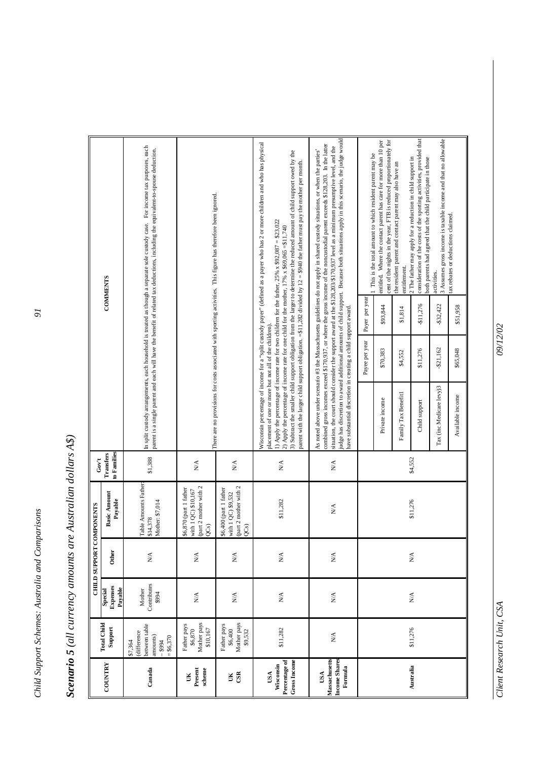| ļ                                                       |
|---------------------------------------------------------|
| call outproduced and alternative increased in the light |
|                                                         |
|                                                         |
|                                                         |
|                                                         |
| l                                                       |
|                                                         |
| Č                                                       |

|                                                          |                                                                                |                                       | CHILD SUPPORT COMPONENTS             |                                                                                             | Gov't                           |                                                                                                                                                                |                |                 |                                                                                                                                                                                                                                                                                                                                                                                                                                                                                                                                         |
|----------------------------------------------------------|--------------------------------------------------------------------------------|---------------------------------------|--------------------------------------|---------------------------------------------------------------------------------------------|---------------------------------|----------------------------------------------------------------------------------------------------------------------------------------------------------------|----------------|-----------------|-----------------------------------------------------------------------------------------------------------------------------------------------------------------------------------------------------------------------------------------------------------------------------------------------------------------------------------------------------------------------------------------------------------------------------------------------------------------------------------------------------------------------------------------|
| <b>COUNTRY</b>                                           | <b>Total Child</b><br>Support                                                  | <b>Expenses</b><br>Payable<br>Special | Other                                | <b>Basic Amount</b><br>Payable                                                              | to Families<br>Transfers        |                                                                                                                                                                |                | <b>COMMENTS</b> |                                                                                                                                                                                                                                                                                                                                                                                                                                                                                                                                         |
| Canada                                                   | between table<br>(difference<br>amounts)<br>$= $6,370$<br>\$7,364<br>$-$ \$994 | Contributes<br>Mother<br>\$994        | $\stackrel{\triangle}{\approx}$      | Table Amounts Father<br>Mother: \$7,014<br>\$14,378                                         | \$1,388                         |                                                                                                                                                                |                |                 | In split custody arrangements, each household is treated as though a separate sole custody case. For income tax purposes, each<br>parent is a single parent and each will have the benefit of related tax deductions, including the equivalent-to-spouse deduction.                                                                                                                                                                                                                                                                     |
| scheme<br>Present<br>š                                   | Mother pays<br>Father pays<br>\$6,870<br>\$10,167                              | $\mathbf{N} \mathbf{A}$               | $\mathbf{N} \mathbf{A}$              | (part 2 mother with 2<br>\$6,870 (part 1 father<br>with 1 QC) \$10,167<br>QC <sub>S</sub> ) | $\mathbf{N} \mathbf{A}$         |                                                                                                                                                                |                |                 | There are no provisions for costs associated with sporting activities. This figure has therefore been ignored.                                                                                                                                                                                                                                                                                                                                                                                                                          |
| <b>GSR</b><br>UK                                         | Mother pays<br>Father pays<br>\$6,400<br>\$9,532                               | $\stackrel{\triangle}{\approx}$       | $\stackrel{\triangle}{\geq}$         | (part 2 mother with 2<br>\$6,400 (part 1 father<br>with 1 QC) \$9,532<br>QC <sub>S</sub> )  | $\stackrel{\triangle}{\approx}$ |                                                                                                                                                                |                |                 |                                                                                                                                                                                                                                                                                                                                                                                                                                                                                                                                         |
| Percentage of<br><b>Gross Income</b><br>Wisconsin<br>USA | \$11,282                                                                       | $\stackrel{\triangle}{\approx}$       | $\mathbf{N}/\mathbf{A}$              | \$11,282                                                                                    | $\stackrel{\triangle}{\approx}$ | 2) Apply the percentage of income rate for one child for the mother, $17\% \times $69,065 = $11,740$<br>placement of one or more but not all of the children). |                |                 | Wisconsin percentage of income for a "split custody payer" (defined as a payer who has 2 or more children and who has physical<br>3) Subtract the smaller child support obligation from the larger to determine the reduced amount of child support owed by the<br>parent with the larger child support obligation. =\$11,282 divided by 12 = \$940 the father must pay the mother per month.<br>1) Apply the percentage of income rate for two children for the father, $25\% \times $92,087 = $23,022$                                |
| Massachusetts<br>Income Shares<br>Formula<br>USA         | $_{\rm N/A}$                                                                   | $\stackrel{\triangle}{\geq}$          | $\stackrel{\blacktriangle}{\approx}$ | ΝÁ                                                                                          | $\stackrel{\triangle}{\geq}$    | have substantial discretion in creating a child support award.                                                                                                 |                |                 | judge has discretion to award additional amounts of child support. Because both situations apply in this scenario, the judge would<br>combined gross incomes exceed \$170,937, or where the gross income of the noncustodial parent exceeds \$128,203. In the latter<br>situation, the court should consider the support award at the \$128,203/8170,937 level as a minimum presumptive level, and the<br>As noted above under scenario #3 the Massachusetts guidelines do not apply in shared custody situations, or when the parties' |
|                                                          |                                                                                |                                       |                                      |                                                                                             |                                 |                                                                                                                                                                | Payee per year | Payer per year  | 1 This is the total amount to which resident parent may be                                                                                                                                                                                                                                                                                                                                                                                                                                                                              |
|                                                          |                                                                                |                                       |                                      |                                                                                             |                                 | Private income                                                                                                                                                 | \$70,383       | \$93,844        | cent of the nights in the year, FTB is reduced proportionately for<br>entitled. Where the contact parent has care for more than 10 per                                                                                                                                                                                                                                                                                                                                                                                                  |
|                                                          |                                                                                | $\stackrel{\blacktriangle}{\approx}$  | $\mathbb{N}\mathbb{A}$               |                                                                                             |                                 | Family Tax Benefit1                                                                                                                                            | \$4,552        | \$1,814         | the resident parent and contact parent may also have an<br>entitlement.                                                                                                                                                                                                                                                                                                                                                                                                                                                                 |
| Australia                                                | \$11,276                                                                       |                                       |                                      | \$11,276                                                                                    | \$4,552                         | Child support                                                                                                                                                  | \$11,276       | \$11,276        | consideration of the costs of the sporting activities, provided that<br>2 The father may apply for a reduction in child support in<br>both parents had agreed that the child participate in those                                                                                                                                                                                                                                                                                                                                       |
|                                                          |                                                                                |                                       |                                      |                                                                                             |                                 | Tax (inc Medicare levy)3                                                                                                                                       | -\$21,162      | \$32,422        | 3 Assumes gross income is taxable income and that no allowable<br>activities.                                                                                                                                                                                                                                                                                                                                                                                                                                                           |
|                                                          |                                                                                |                                       |                                      |                                                                                             |                                 | Available income                                                                                                                                               | \$65,048       | \$51,958        | tax rebates or deductions claimed.                                                                                                                                                                                                                                                                                                                                                                                                                                                                                                      |

*Client Research Unit, CSA*  $9/12/02$ Client Research Unit, CSA

09/12/02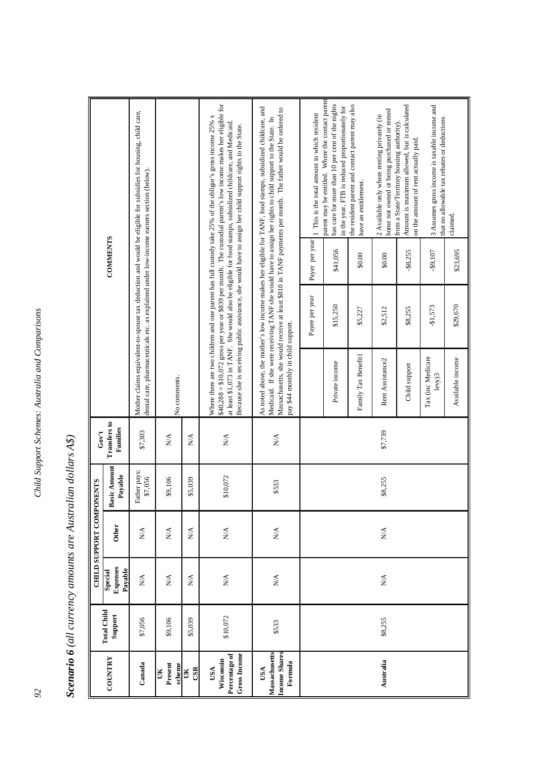|                                                          |                               |                                | CHILD SUPPORT COMPONENTS     |                                | Gov't                                    |                                    |                |                 |                                                                                                                                                                                                                                                                                                                                                                                                                                                          |
|----------------------------------------------------------|-------------------------------|--------------------------------|------------------------------|--------------------------------|------------------------------------------|------------------------------------|----------------|-----------------|----------------------------------------------------------------------------------------------------------------------------------------------------------------------------------------------------------------------------------------------------------------------------------------------------------------------------------------------------------------------------------------------------------------------------------------------------------|
| <b>COUNTRY</b>                                           | <b>Total Child</b><br>Support | Expenses<br>Payable<br>Special | Other                        | <b>Basic Amount</b><br>Payable | <b>Transfers to</b><br>Families          |                                    |                | <b>COMMENTS</b> |                                                                                                                                                                                                                                                                                                                                                                                                                                                          |
| Canada                                                   | \$7,056                       | N/A                            | $\stackrel{\triangle}{\geq}$ | Father pays:<br>\$7,056        | \$7,303                                  |                                    |                |                 | Mother claims equivalent-to-spouse tax deduction and would be eligible for subsidies for housing, child care,<br>dental care, pharmaceuticals etc. as explained under low-income earners section (below).                                                                                                                                                                                                                                                |
| Present<br>scheme<br>UК                                  | \$9,106                       | N/A                            | $\stackrel{\triangle}{\geq}$ | \$9,106                        | $\stackrel{\triangle}{\geq}$             | No comments.                       |                |                 |                                                                                                                                                                                                                                                                                                                                                                                                                                                          |
| CSR<br>UK                                                | \$5,039                       | $\mathbb{N}^{\mathbb{A}}$      | $\mathbb{N}^{\mathbb{A}}$    | \$5,039                        | $\stackrel{\triangle}{\scriptstyle\sim}$ |                                    |                |                 |                                                                                                                                                                                                                                                                                                                                                                                                                                                          |
| Percentage of<br><b>Gross Income</b><br>Wisconsin<br>USA | \$10,072                      | $\mathbb{N}\mathbb{A}$         | $\mathop{\rm N}\nolimits$    | \$10,072                       | $\mathop{\rm NA}\limits^\Delta$          |                                    |                |                 | \$40,288 = \$10,072 gross per year or \$839 per month. The custodial parent's low income makes her eligible for<br>Where there are two children and one parent has full custody take 25% of the obligor's gross income 25% x<br>at least \$1,073 in TANF. She would also be eligible for food stamps, subsidized childcare, and Medicaid.<br>Because she is receiving public assistance, she would have to assign her child support rights to the State. |
| <b>Income Shares</b><br>Massachusetts<br>Formula<br>USA  | \$533                         | $\mathbb{N}\mathbb{A}$         | $\mathbb{N}\mathbb{A}$       | \$533                          | $\mathbb{N}\mathbb{A}$                   | pay \$44 monthly in child support. |                |                 | As noted above, the mother's low income makes her eligible for TANF, food stamps, subsidized childcare, and<br>Massachusetts, she would receive at least \$810 in TANF payments per month. The father would be ordered to<br>Medicaid. If she were receiving TANF she would have to assign her rights to child support to the State. In                                                                                                                  |
|                                                          |                               |                                |                              |                                |                                          |                                    | Payee per year | Payer per year  | 1 This is the total amount to which resident                                                                                                                                                                                                                                                                                                                                                                                                             |
|                                                          |                               |                                |                              |                                |                                          | Private income                     | \$15,250       | \$41,056        | parent may be entitled. Where the contact parent<br>has care for more than 10 per cent of the nights<br>in the year, FTB is reduced proportionately for                                                                                                                                                                                                                                                                                                  |
|                                                          |                               |                                |                              |                                |                                          | Family Tax Benefit1                | \$5,227        | \$0.00          | the resident parent and contact parent may also<br>have an entitlement.                                                                                                                                                                                                                                                                                                                                                                                  |
| Australia                                                | \$8,255                       | N/A                            | $N\mathbf{A}$                | \$8,255                        | \$7,739                                  | Rent Assistance <sub>2</sub>       | \$2,512        | \$0.00          | home not owned or being purchased or rented<br>2 Available only where renting privately (ie                                                                                                                                                                                                                                                                                                                                                              |
|                                                          |                               |                                |                              |                                |                                          | Child support                      | \$8,255        | -\$8,255        | Amount is maximum allowed, but is calculated<br>from a State/Territory housing authority).<br>on the amount of rent actually paid.                                                                                                                                                                                                                                                                                                                       |
|                                                          |                               |                                |                              |                                |                                          | Tax (inc Medicare<br>$levy$ )3     | $-81,573$      | -\$9,107        | 3 Assumes gross income is taxable income and<br>that no allowable tax rebates or deductions                                                                                                                                                                                                                                                                                                                                                              |
|                                                          |                               |                                |                              |                                |                                          | Available income                   | \$29,670       | \$23,695        | claimed.                                                                                                                                                                                                                                                                                                                                                                                                                                                 |

Scenario 6 (all currency amounts are Australian dollars A\$) *Scenario 6 (all currency amounts are Australian dollars A\$)*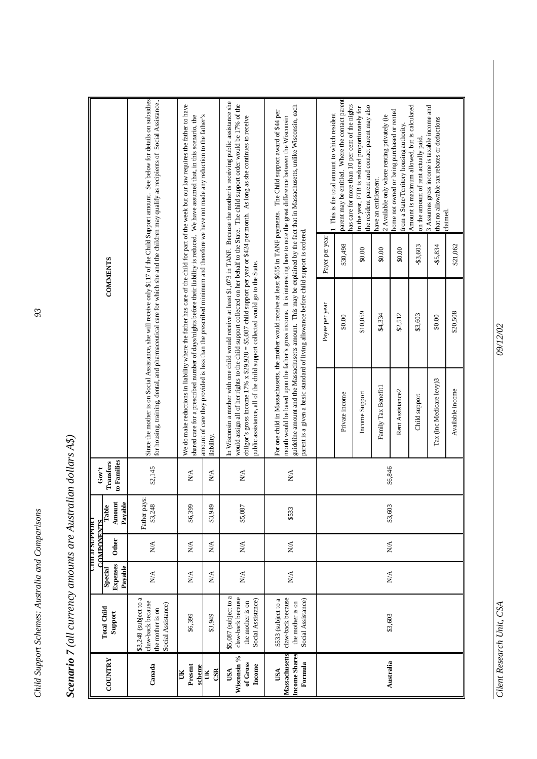| ï                                                                                                                                                                                                                                                                                             |  |
|-----------------------------------------------------------------------------------------------------------------------------------------------------------------------------------------------------------------------------------------------------------------------------------------------|--|
|                                                                                                                                                                                                                                                                                               |  |
| ていきこう                                                                                                                                                                                                                                                                                         |  |
|                                                                                                                                                                                                                                                                                               |  |
|                                                                                                                                                                                                                                                                                               |  |
| $\tau$ / $\tau$ / $\tau$ / $\tau$ / $\tau$ / $\tau$ / $\tau$ / $\tau$ / $\tau$ / $\tau$ / $\tau$ / $\tau$ / $\tau$ / $\tau$ / $\tau$ / $\tau$ / $\tau$ / $\tau$ / $\tau$ / $\tau$ / $\tau$ / $\tau$ / $\tau$ / $\tau$ / $\tau$ / $\tau$ / $\tau$ / $\tau$ / $\tau$ / $\tau$ / $\tau$ / $\tau$ |  |
|                                                                                                                                                                                                                                                                                               |  |
|                                                                                                                                                                                                                                                                                               |  |
|                                                                                                                                                                                                                                                                                               |  |
|                                                                                                                                                                                                                                                                                               |  |
|                                                                                                                                                                                                                                                                                               |  |
|                                                                                                                                                                                                                                                                                               |  |

|                                                  |                                                                                      |                                 | <b>UHILD SUPPORT</b>                     |                            |                                 |                          |                                                                                        |                |                                                                                                                                                                                                                                                                                                                                                                                                                 |
|--------------------------------------------------|--------------------------------------------------------------------------------------|---------------------------------|------------------------------------------|----------------------------|---------------------------------|--------------------------|----------------------------------------------------------------------------------------|----------------|-----------------------------------------------------------------------------------------------------------------------------------------------------------------------------------------------------------------------------------------------------------------------------------------------------------------------------------------------------------------------------------------------------------------|
|                                                  | <b>Total Child</b>                                                                   |                                 | <b>COMPONENTS</b>                        |                            | Gov't                           |                          |                                                                                        |                |                                                                                                                                                                                                                                                                                                                                                                                                                 |
| COUNTRY                                          | Support                                                                              | Expenses<br>Payable<br>Special  | Other                                    | Payable<br>Amount<br>Table | to Families<br>Transfers        |                          | <b>COMMENTS</b>                                                                        |                |                                                                                                                                                                                                                                                                                                                                                                                                                 |
| Canada                                           | \$3,248 (subject to a<br>claw-back because<br>Social Assistance)<br>the mother is on | N/A                             | $\sum_{i=1}^{n}$                         | Father pays:<br>\$3,248    | \$2,145                         |                          |                                                                                        |                | Since the mother is on Social Assistance, she will receive only \$117 of the Child Support amount. See below for details on subsidies<br>for housing, training, dental, and pharmaceutical care for which she and the children may qualify as recipients of Social Assistance.                                                                                                                                  |
| Present<br>scheme<br>UК                          | \$6,399                                                                              | $\stackrel{\triangle}{\geq}$    | $\sum_{i=1}^{n}$                         | \$6,399                    | $\stackrel{\triangle}{\geq}$    |                          |                                                                                        |                | We do make reductions in liability where the father has care of the child for part of the week but our law requires the father to have<br>shared care for a prescribed number of days/nights before their liability is reduced. We have assumed that, in this scenario, the                                                                                                                                     |
| CSR<br>UK                                        | \$3,949                                                                              | $\sum_{i=1}^{n}$                | $\sum_{i=1}^{n}$                         | \$3,949                    | N/A                             | liability.               |                                                                                        |                | amount of care they provided is less than the prescribed minimum and therefore we have not made any reduction to the father's                                                                                                                                                                                                                                                                                   |
| Wisconsin %<br>of Gross<br>$hcone$<br>USA        | \$5,087 (subject to a<br>claw-back because<br>Social Assistance)<br>the mother is on | $\mathbf{N} \mathbf{A}$         | $\stackrel{\triangle}{\scriptstyle\sim}$ | \$5,087                    | $\stackrel{\triangle}{\approx}$ |                          | public assistance, all of the child support collected would go to the State.           |                | In Wisconsin a mother with one child would receive at least \$1,073 in TANF. Because the mother is receiving public assistance she<br>would assign all of her rights to the child support collected on her behalf to the State. The child support order would be 17% of the<br>obligor's gross income 17% $x$ \$29,928 = \$5,087 child support per year or \$424 per month. As long as she continues to receive |
| Massachusetts<br>Income Shares<br>Formula<br>USA | claw-back because<br>\$533 (subject to a<br>Social Assistance)<br>the mother is on   | $\stackrel{\triangle}{\approx}$ | $\sum_{i=1}^{n}$                         | \$533                      | $\stackrel{\triangle}{\geq}$    |                          | parent is a given a basic standard of living allowance before child support is ordered |                | guideline amount and the Massachusetts amount. This may be explained by the fact that in Massachusetts, unlike Wisconsin, each<br>For one child in Massachusetts, the mother would receive at least \$655 in TANF payments. The Child support award of \$44 per<br>month would be based upon the father's gross income. It is interesting here to note the great difference between the Wisconsin               |
|                                                  |                                                                                      |                                 |                                          |                            |                                 |                          | Payee per year                                                                         | Payer per year | This is the total amount to which resident                                                                                                                                                                                                                                                                                                                                                                      |
|                                                  |                                                                                      |                                 |                                          |                            |                                 | Private income           | \$0.00                                                                                 | \$30,498       | parent may be entitled. Where the contact parent<br>has care for more than 10 per cent of the nights                                                                                                                                                                                                                                                                                                            |
|                                                  |                                                                                      |                                 |                                          |                            |                                 | Income Support           | \$10,059                                                                               | \$0.00         | the resident parent and contact parent may also<br>in the year, FTB is reduced proportionately for                                                                                                                                                                                                                                                                                                              |
| Australia                                        | \$3,603                                                                              | $\stackrel{\triangle}{\geq}$    | $\stackrel{\triangle}{\scriptstyle\sim}$ | \$3,603                    | \$6,846                         | Family Tax Benefit1      | \$4,334                                                                                | \$0.00         | 2 Available only where renting privately (ie<br>have an entitlement.                                                                                                                                                                                                                                                                                                                                            |
|                                                  |                                                                                      |                                 |                                          |                            |                                 | Rent Assistance2         | \$2,512                                                                                | \$0.00         | home not owned or being purchased or rented<br>from a State/Territory housing authority                                                                                                                                                                                                                                                                                                                         |
|                                                  |                                                                                      |                                 |                                          |                            |                                 | Child support            | \$3,603                                                                                | -\$3,603       | Amount is maximum allowed, but is calculated<br>on the amount of rent actually paid.                                                                                                                                                                                                                                                                                                                            |
|                                                  |                                                                                      |                                 |                                          |                            |                                 | Tax (inc Medicare levy)3 | \$0.00                                                                                 | -\$5,834       | 3 Assumes gross income is taxable income and<br>that no allowable tax rebates or deductions<br>claimed.                                                                                                                                                                                                                                                                                                         |
|                                                  |                                                                                      |                                 |                                          |                            |                                 | Available income         | \$20,508                                                                               | \$21,062       |                                                                                                                                                                                                                                                                                                                                                                                                                 |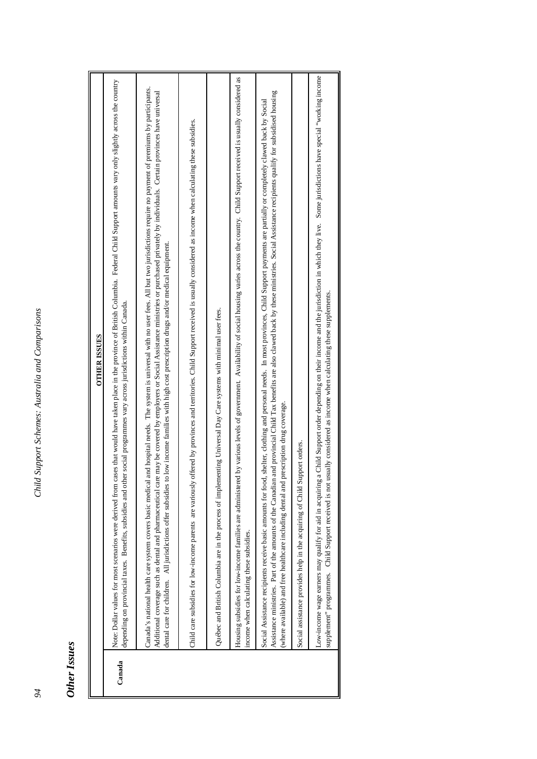# **Other Issues** *Other Issues*

|        | <b>OTHER ISSUES</b>                                                                                                                                                                                                                                                                                                                                                                                                                                                                                                                                       |
|--------|-----------------------------------------------------------------------------------------------------------------------------------------------------------------------------------------------------------------------------------------------------------------------------------------------------------------------------------------------------------------------------------------------------------------------------------------------------------------------------------------------------------------------------------------------------------|
| Canada | Note: Dollar values for most scenarios were derived from cases that would have taken place in the province of British Columbia. Federal Child Support amounts vary only slightly across the country<br>social programmes vary across jurisdictions within Canada.<br>depending on provincial taxes. Benefits, subsidies and other                                                                                                                                                                                                                         |
|        | Canada's national health care system covers basic medical and hospital needs. The system is universal with no user fees. All but two jurisdictions require no payment of premiums by participants.<br>Additional coverage such as dental and pharmaceutical care may be covered by employers or Social Assistance ministries or purchased privately by individuals. Certain provinces have universal<br>low income families with high cost prescription drugs and/or medical equipment.<br>dental care for children. All jurisdictions offer subsidies to |
|        | Child care subsidies for low-income parents are variously offered by provinces and territories. Child Support received is usually considered as income when calculating these subsidies.                                                                                                                                                                                                                                                                                                                                                                  |
|        | Québec and British Columbia are in the process of implementing Universal Day Care systems with minimal user fees.                                                                                                                                                                                                                                                                                                                                                                                                                                         |
|        | Housing subsidies for low-income families are administered by various levels of government. Availability of social housing varies across the country. Child Support received is usually considered as<br>income when calculating these subsidies.                                                                                                                                                                                                                                                                                                         |
|        | Assistance ministries. Part of the amounts of the Canadian and provincial Child Tax benefits are also clawed back by these ministries. Social Assistance recipients qualify for subsidised housing<br>shelter, clothing and personal needs. In most provinces, Child Support payments are partially or completely clawed back by Social<br>(where available) and free healthcare including dental and prescription drug coverage.<br>Social Assistance recipients receive basic amounts for food,                                                         |
|        | Social assistance provides help in the acquiring of Child Support orders.                                                                                                                                                                                                                                                                                                                                                                                                                                                                                 |
|        | Child Support order depending on their income and the jurisdiction in which they live. Some jurisdictions have special "working income<br>supplement" programmes. Child Support received is not usually considered as income when calculating these supplements.<br>Low-income wage earners may qualify for aid in acquiring a                                                                                                                                                                                                                            |